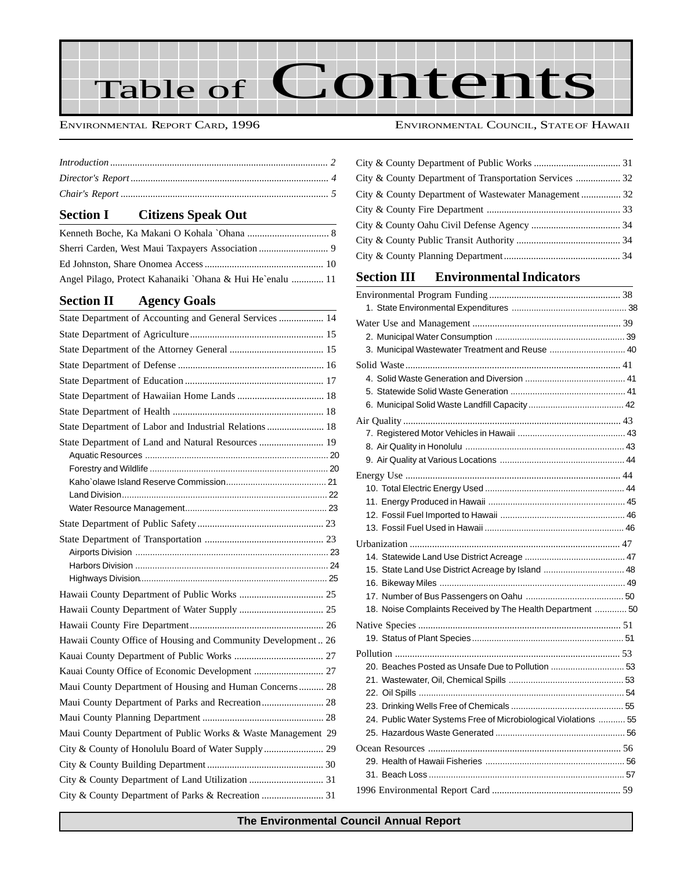Table of Contents

#### ENVIRONMENTAL REPORT CARD, 1996 ENVIRONMENTAL COUNCIL, STATEOF HAWAII

#### **Section I Citizens Speak Out**

| Angel Pilago, Protect Kahanaiki `Ohana & Hui He`enalu  11 |
|-----------------------------------------------------------|

### **[Section II Agency Goals](#page-12-0)**

| State Department of Accounting and General Services  14      |  |
|--------------------------------------------------------------|--|
|                                                              |  |
|                                                              |  |
|                                                              |  |
|                                                              |  |
|                                                              |  |
|                                                              |  |
| State Department of Labor and Industrial Relations  18       |  |
| State Department of Land and Natural Resources  19           |  |
|                                                              |  |
|                                                              |  |
|                                                              |  |
|                                                              |  |
|                                                              |  |
|                                                              |  |
|                                                              |  |
|                                                              |  |
|                                                              |  |
|                                                              |  |
|                                                              |  |
|                                                              |  |
|                                                              |  |
|                                                              |  |
| Hawaii County Office of Housing and Community Development 26 |  |
|                                                              |  |
|                                                              |  |
| Maui County Department of Housing and Human Concerns 28      |  |
| Maui County Department of Parks and Recreation 28            |  |
|                                                              |  |
| Maui County Department of Public Works & Waste Management 29 |  |
| City & County of Honolulu Board of Water Supply  29          |  |
|                                                              |  |
|                                                              |  |

#### **Section III Environmental Indicators**

| 3. Municipal Wastewater Treatment and Reuse  40                 |  |
|-----------------------------------------------------------------|--|
|                                                                 |  |
|                                                                 |  |
|                                                                 |  |
|                                                                 |  |
|                                                                 |  |
|                                                                 |  |
|                                                                 |  |
|                                                                 |  |
|                                                                 |  |
|                                                                 |  |
|                                                                 |  |
|                                                                 |  |
|                                                                 |  |
|                                                                 |  |
|                                                                 |  |
| 15. State Land Use District Acreage by Island  48               |  |
|                                                                 |  |
|                                                                 |  |
| 18. Noise Complaints Received by The Health Department  50      |  |
|                                                                 |  |
|                                                                 |  |
|                                                                 |  |
| 20. Beaches Posted as Unsafe Due to Pollution  53               |  |
|                                                                 |  |
|                                                                 |  |
|                                                                 |  |
| 24. Public Water Systems Free of Microbiological Violations  55 |  |
|                                                                 |  |
|                                                                 |  |
|                                                                 |  |
|                                                                 |  |
|                                                                 |  |
|                                                                 |  |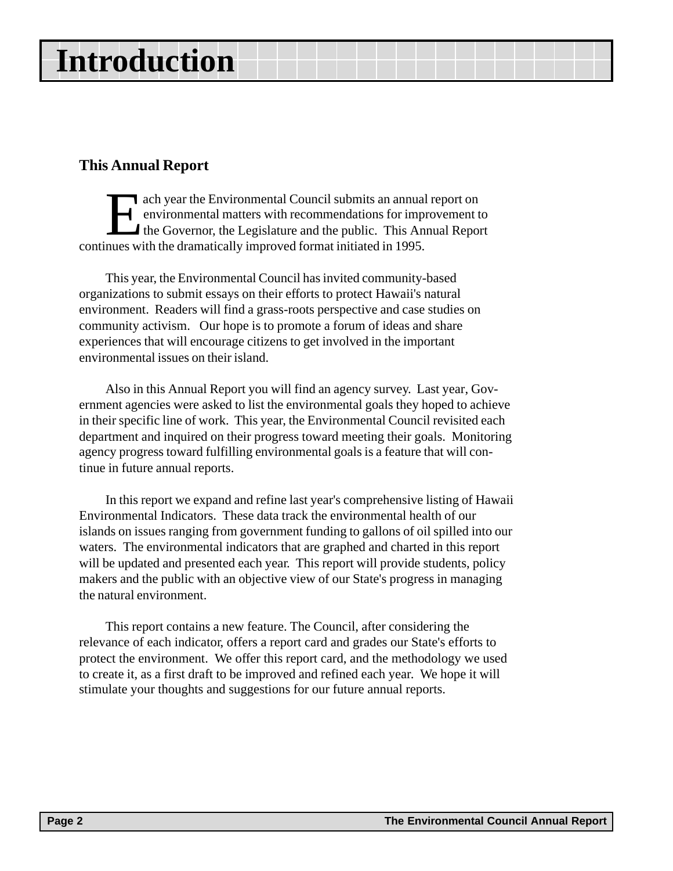# <span id="page-1-0"></span>**Introduction**

### **This Annual Report**

ach year the Environmental Council submits an annual report on<br>environmental matters with recommendations for improvement<br>the Governor, the Legislature and the public. This Annual Repo<br>nues with the dramatically improved f environmental matters with recommendations for improvement to the Governor, the Legislature and the public. This Annual Report continues with the dramatically improved format initiated in 1995.

This year, the Environmental Council has invited community-based organizations to submit essays on their efforts to protect Hawaii's natural environment. Readers will find a grass-roots perspective and case studies on community activism. Our hope is to promote a forum of ideas and share experiences that will encourage citizens to get involved in the important environmental issues on their island.

Also in this Annual Report you will find an agency survey. Last year, Government agencies were asked to list the environmental goals they hoped to achieve in their specific line of work. This year, the Environmental Council revisited each department and inquired on their progress toward meeting their goals. Monitoring agency progress toward fulfilling environmental goals is a feature that will continue in future annual reports.

In this report we expand and refine last year's comprehensive listing of Hawaii Environmental Indicators. These data track the environmental health of our islands on issues ranging from government funding to gallons of oil spilled into our waters. The environmental indicators that are graphed and charted in this report will be updated and presented each year. This report will provide students, policy makers and the public with an objective view of our State's progress in managing the natural environment.

This report contains a new feature. The Council, after considering the relevance of each indicator, offers a report card and grades our State's efforts to protect the environment. We offer this report card, and the methodology we used to create it, as a first draft to be improved and refined each year. We hope it will stimulate your thoughts and suggestions for our future annual reports.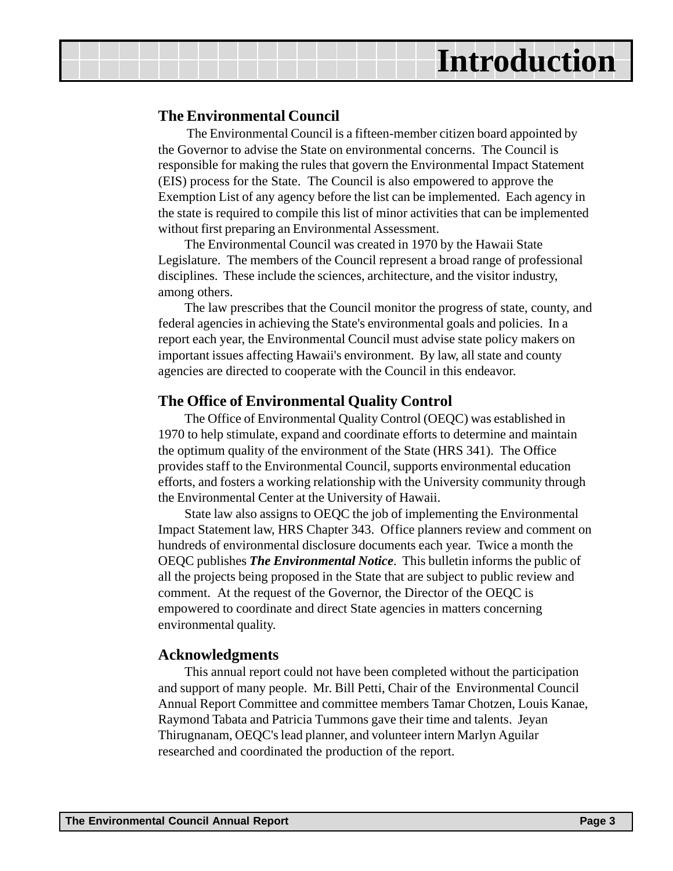## **Introduction**

#### **The Environmental Council**

The Environmental Council is a fifteen-member citizen board appointed by the Governor to advise the State on environmental concerns. The Council is responsible for making the rules that govern the Environmental Impact Statement (EIS) process for the State. The Council is also empowered to approve the Exemption List of any agency before the list can be implemented. Each agency in the state is required to compile this list of minor activities that can be implemented without first preparing an Environmental Assessment.

The Environmental Council was created in 1970 by the Hawaii State Legislature. The members of the Council represent a broad range of professional disciplines. These include the sciences, architecture, and the visitor industry, among others.

The law prescribes that the Council monitor the progress of state, county, and federal agencies in achieving the State's environmental goals and policies. In a report each year, the Environmental Council must advise state policy makers on important issues affecting Hawaii's environment. By law, all state and county agencies are directed to cooperate with the Council in this endeavor.

#### **The Office of Environmental Quality Control**

The Office of Environmental Quality Control (OEQC) was established in 1970 to help stimulate, expand and coordinate efforts to determine and maintain the optimum quality of the environment of the State (HRS 341). The Office provides staff to the Environmental Council, supports environmental education efforts, and fosters a working relationship with the University community through the Environmental Center at the University of Hawaii.

State law also assigns to OEQC the job of implementing the Environmental Impact Statement law, HRS Chapter 343. Office planners review and comment on hundreds of environmental disclosure documents each year. Twice a month the OEQC publishes *The Environmental Notice*. This bulletin informs the public of all the projects being proposed in the State that are subject to public review and comment. At the request of the Governor, the Director of the OEQC is empowered to coordinate and direct State agencies in matters concerning environmental quality.

#### **Acknowledgments**

This annual report could not have been completed without the participation and support of many people. Mr. Bill Petti, Chair of the Environmental Council Annual Report Committee and committee members Tamar Chotzen, Louis Kanae, Raymond Tabata and Patricia Tummons gave their time and talents. Jeyan Thirugnanam, OEQC's lead planner, and volunteer intern Marlyn Aguilar researched and coordinated the production of the report.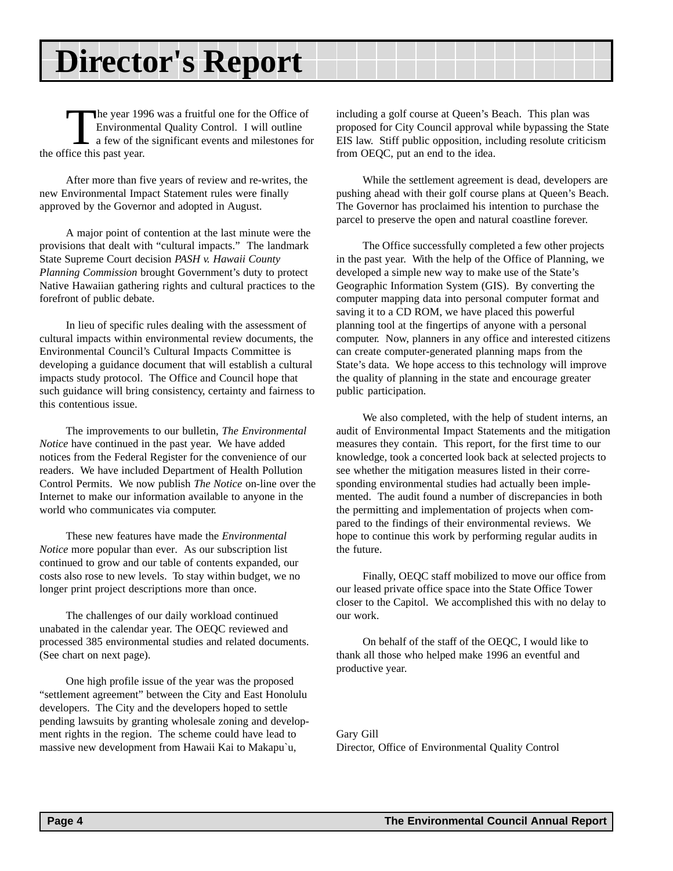# <span id="page-3-0"></span>**Director's Report**

The year 1996 was a fruitful one for the Office of<br>Environmental Quality Control. I will outline<br>a few of the significant events and milestones for<br>tice this past year Environmental Quality Control. I will outline a few of the significant events and milestones for the office this past year.

After more than five years of review and re-writes, the new Environmental Impact Statement rules were finally approved by the Governor and adopted in August.

A major point of contention at the last minute were the provisions that dealt with "cultural impacts." The landmark State Supreme Court decision *PASH v. Hawaii County Planning Commission* brought Government's duty to protect Native Hawaiian gathering rights and cultural practices to the forefront of public debate.

In lieu of specific rules dealing with the assessment of cultural impacts within environmental review documents, the Environmental Council's Cultural Impacts Committee is developing a guidance document that will establish a cultural impacts study protocol. The Office and Council hope that such guidance will bring consistency, certainty and fairness to this contentious issue.

The improvements to our bulletin, *The Environmental Notice* have continued in the past year. We have added notices from the Federal Register for the convenience of our readers. We have included Department of Health Pollution Control Permits. We now publish *The Notice* on-line over the Internet to make our information available to anyone in the world who communicates via computer.

These new features have made the *Environmental Notice* more popular than ever. As our subscription list continued to grow and our table of contents expanded, our costs also rose to new levels. To stay within budget, we no longer print project descriptions more than once.

The challenges of our daily workload continued unabated in the calendar year. The OEQC reviewed and processed 385 environmental studies and related documents. (See chart on next page).

One high profile issue of the year was the proposed "settlement agreement" between the City and East Honolulu developers. The City and the developers hoped to settle pending lawsuits by granting wholesale zoning and development rights in the region. The scheme could have lead to massive new development from Hawaii Kai to Makapu`u,

including a golf course at Queen's Beach. This plan was proposed for City Council approval while bypassing the State EIS law. Stiff public opposition, including resolute criticism from OEQC, put an end to the idea.

While the settlement agreement is dead, developers are pushing ahead with their golf course plans at Queen's Beach. The Governor has proclaimed his intention to purchase the parcel to preserve the open and natural coastline forever.

The Office successfully completed a few other projects in the past year. With the help of the Office of Planning, we developed a simple new way to make use of the State's Geographic Information System (GIS). By converting the computer mapping data into personal computer format and saving it to a CD ROM, we have placed this powerful planning tool at the fingertips of anyone with a personal computer. Now, planners in any office and interested citizens can create computer-generated planning maps from the State's data. We hope access to this technology will improve the quality of planning in the state and encourage greater public participation.

We also completed, with the help of student interns, an audit of Environmental Impact Statements and the mitigation measures they contain. This report, for the first time to our knowledge, took a concerted look back at selected projects to see whether the mitigation measures listed in their corresponding environmental studies had actually been implemented. The audit found a number of discrepancies in both the permitting and implementation of projects when compared to the findings of their environmental reviews. We hope to continue this work by performing regular audits in the future.

Finally, OEQC staff mobilized to move our office from our leased private office space into the State Office Tower closer to the Capitol. We accomplished this with no delay to our work.

On behalf of the staff of the OEQC, I would like to thank all those who helped make 1996 an eventful and productive year.

Gary Gill Director, Office of Environmental Quality Control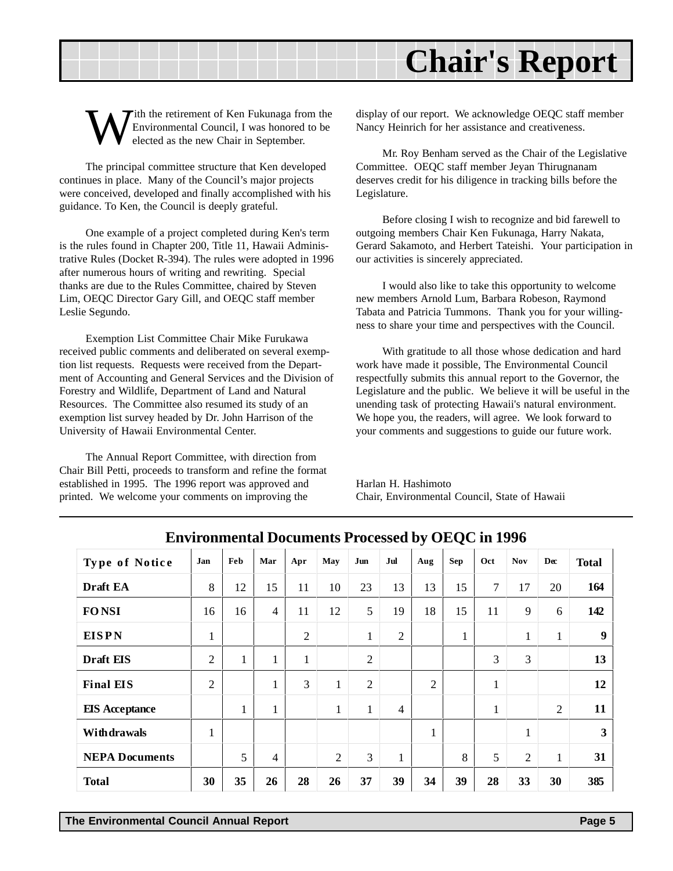# <span id="page-4-0"></span>**Chair's Report**

ith the retirement of Ken Fukunaga from the Environmental Council, I was honored to be elected as the new Chair in September.

The principal committee structure that Ken developed continues in place. Many of the Council's major projects were conceived, developed and finally accomplished with his guidance. To Ken, the Council is deeply grateful.

One example of a project completed during Ken's term is the rules found in Chapter 200, Title 11, Hawaii Administrative Rules (Docket R-394). The rules were adopted in 1996 after numerous hours of writing and rewriting. Special thanks are due to the Rules Committee, chaired by Steven Lim, OEQC Director Gary Gill, and OEQC staff member Leslie Segundo.

Exemption List Committee Chair Mike Furukawa received public comments and deliberated on several exemption list requests. Requests were received from the Department of Accounting and General Services and the Division of Forestry and Wildlife, Department of Land and Natural Resources. The Committee also resumed its study of an exemption list survey headed by Dr. John Harrison of the University of Hawaii Environmental Center.

The Annual Report Committee, with direction from Chair Bill Petti, proceeds to transform and refine the format established in 1995. The 1996 report was approved and printed. We welcome your comments on improving the

display of our report. We acknowledge OEQC staff member Nancy Heinrich for her assistance and creativeness.

Mr. Roy Benham served as the Chair of the Legislative Committee. OEQC staff member Jeyan Thirugnanam deserves credit for his diligence in tracking bills before the Legislature.

Before closing I wish to recognize and bid farewell to outgoing members Chair Ken Fukunaga, Harry Nakata, Gerard Sakamoto, and Herbert Tateishi. Your participation in our activities is sincerely appreciated.

I would also like to take this opportunity to welcome new members Arnold Lum, Barbara Robeson, Raymond Tabata and Patricia Tummons. Thank you for your willingness to share your time and perspectives with the Council.

With gratitude to all those whose dedication and hard work have made it possible, The Environmental Council respectfully submits this annual report to the Governor, the Legislature and the public. We believe it will be useful in the unending task of protecting Hawaii's natural environment. We hope you, the readers, will agree. We look forward to your comments and suggestions to guide our future work.

Harlan H. Hashimoto Chair, Environmental Council, State of Hawaii

| <b>Type of Notice</b> | Jan            | Feb          | Mar                      | Apr            | May            | Jun            | Jul            | Aug            | <b>Sep</b>   | Oct    | <b>Nov</b>     | Dec            | <b>Total</b> |
|-----------------------|----------------|--------------|--------------------------|----------------|----------------|----------------|----------------|----------------|--------------|--------|----------------|----------------|--------------|
| Draft EA              | 8              | 12           | 15                       | 11             | 10             | 23             | 13             | 13             | 15           | $\tau$ | 17             | 20             | 164          |
| <b>FONSI</b>          | 16             | 16           | $\overline{\mathcal{A}}$ | 11             | 12             | 5              | 19             | 18             | 15           | 11     | 9              | 6              | 142          |
| <b>EISPN</b>          | $\mathbf{1}$   |              |                          | $\overline{2}$ |                | $\mathbf{1}$   | $\overline{2}$ |                | $\mathbf{1}$ |        | 1              | 1              | 9            |
| Draft EIS             | $\overline{2}$ | $\mathbf{1}$ | $\mathbf{1}$             | $\mathbf{1}$   |                | $\overline{2}$ |                |                |              | 3      | 3              |                | 13           |
| <b>Final EIS</b>      | $\overline{2}$ |              | $\mathbf{1}$             | 3              | $\mathbf{1}$   | $\overline{2}$ |                | $\overline{2}$ |              | 1<br>1 |                |                | 12           |
| <b>EIS</b> Acceptance |                | $\mathbf{1}$ | 1                        |                | $\mathbf{1}$   | $\mathbf{1}$   | $\overline{4}$ |                |              | 1<br>1 |                | $\overline{2}$ | 11           |
| Withdrawals           | $\mathbf{1}$   |              |                          |                |                |                |                | 1              |              |        | 1              |                | 3            |
| <b>NEPA Documents</b> |                | 5            | $\overline{4}$           |                | $\overline{2}$ | 3              | $\mathbf{1}$   |                | 8            | 5      | $\overline{2}$ | $\mathbf{1}$   | 31           |
| <b>Total</b>          | 30             | 35           | 26                       | 28             | 26             | 37             | 39             | 34             | 39           | 28     | 33             | 30             | 385          |

**Environmental Documents Processed by OEQC in 1996**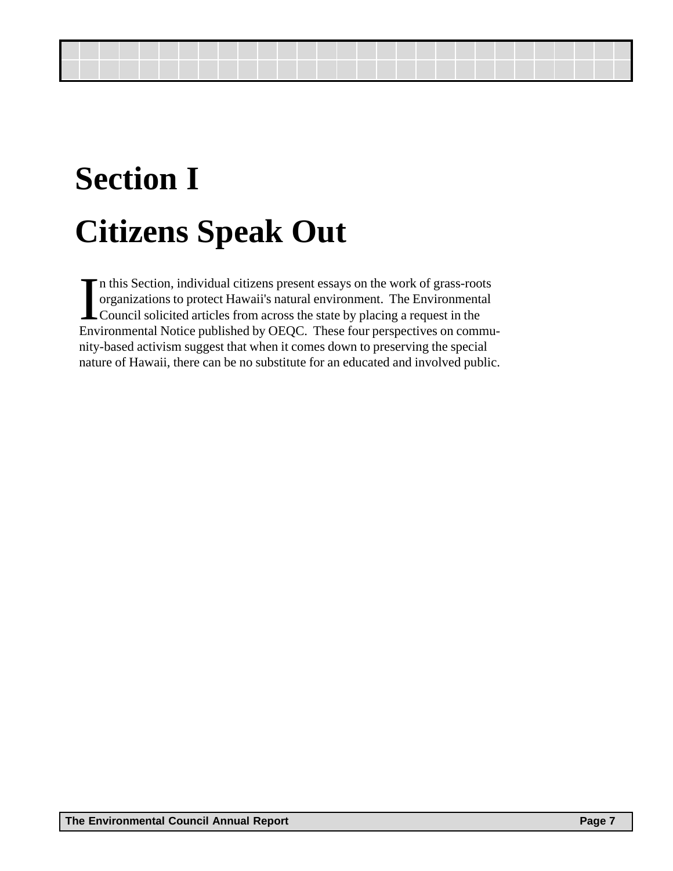# <span id="page-6-0"></span>**Section I Citizens Speak Out**

I<sub>Fny</sub> n this Section, individual citizens present essays on the work of grass-roots organizations to protect Hawaii's natural environment. The Environmental Council solicited articles from across the state by placing a request in the Environmental Notice published by OEQC. These four perspectives on community-based activism suggest that when it comes down to preserving the special nature of Hawaii, there can be no substitute for an educated and involved public.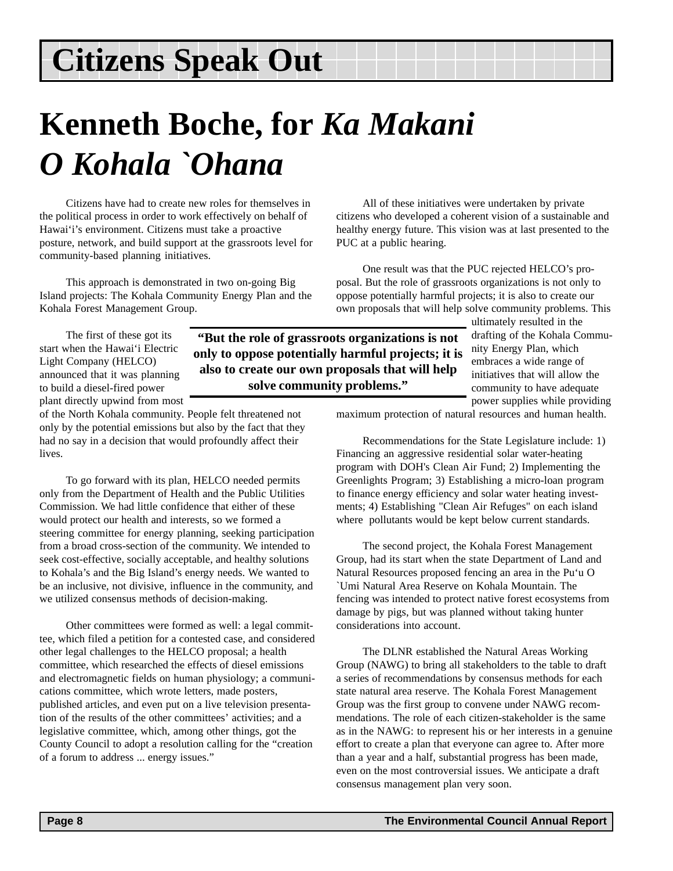# **Kenneth Boche, for** *Ka Makani O Kohala `Ohana*

Citizens have had to create new roles for themselves in the political process in order to work effectively on behalf of Hawai'i's environment. Citizens must take a proactive posture, network, and build support at the grassroots level for community-based planning initiatives.

This approach is demonstrated in two on-going Big Island projects: The Kohala Community Energy Plan and the Kohala Forest Management Group.

All of these initiatives were undertaken by private citizens who developed a coherent vision of a sustainable and healthy energy future. This vision was at last presented to the PUC at a public hearing.

One result was that the PUC rejected HELCO's proposal. But the role of grassroots organizations is not only to oppose potentially harmful projects; it is also to create our own proposals that will help solve community problems. This

The first of these got its start when the Hawai'i Electric Light Company (HELCO) announced that it was planning to build a diesel-fired power plant directly upwind from most

**"But the role of grassroots organizations is not only to oppose potentially harmful projects; it is also to create our own proposals that will help solve community problems."**

ultimately resulted in the drafting of the Kohala Community Energy Plan, which embraces a wide range of initiatives that will allow the community to have adequate power supplies while providing

maximum protection of natural resources and human health.

Recommendations for the State Legislature include: 1) Financing an aggressive residential solar water-heating program with DOH's Clean Air Fund; 2) Implementing the Greenlights Program; 3) Establishing a micro-loan program to finance energy efficiency and solar water heating investments; 4) Establishing "Clean Air Refuges" on each island where pollutants would be kept below current standards.

The second project, the Kohala Forest Management Group, had its start when the state Department of Land and Natural Resources proposed fencing an area in the Pu'u O `Umi Natural Area Reserve on Kohala Mountain. The fencing was intended to protect native forest ecosystems from damage by pigs, but was planned without taking hunter considerations into account.

The DLNR established the Natural Areas Working Group (NAWG) to bring all stakeholders to the table to draft a series of recommendations by consensus methods for each state natural area reserve. The Kohala Forest Management Group was the first group to convene under NAWG recommendations. The role of each citizen-stakeholder is the same as in the NAWG: to represent his or her interests in a genuine effort to create a plan that everyone can agree to. After more than a year and a half, substantial progress has been made, even on the most controversial issues. We anticipate a draft consensus management plan very soon.

of the North Kohala community. People felt threatened not only by the potential emissions but also by the fact that they had no say in a decision that would profoundly affect their lives.

To go forward with its plan, HELCO needed permits only from the Department of Health and the Public Utilities Commission. We had little confidence that either of these would protect our health and interests, so we formed a steering committee for energy planning, seeking participation from a broad cross-section of the community. We intended to seek cost-effective, socially acceptable, and healthy solutions to Kohala's and the Big Island's energy needs. We wanted to be an inclusive, not divisive, influence in the community, and we utilized consensus methods of decision-making.

Other committees were formed as well: a legal committee, which filed a petition for a contested case, and considered other legal challenges to the HELCO proposal; a health committee, which researched the effects of diesel emissions and electromagnetic fields on human physiology; a communications committee, which wrote letters, made posters, published articles, and even put on a live television presentation of the results of the other committees' activities; and a legislative committee, which, among other things, got the County Council to adopt a resolution calling for the "creation of a forum to address ... energy issues."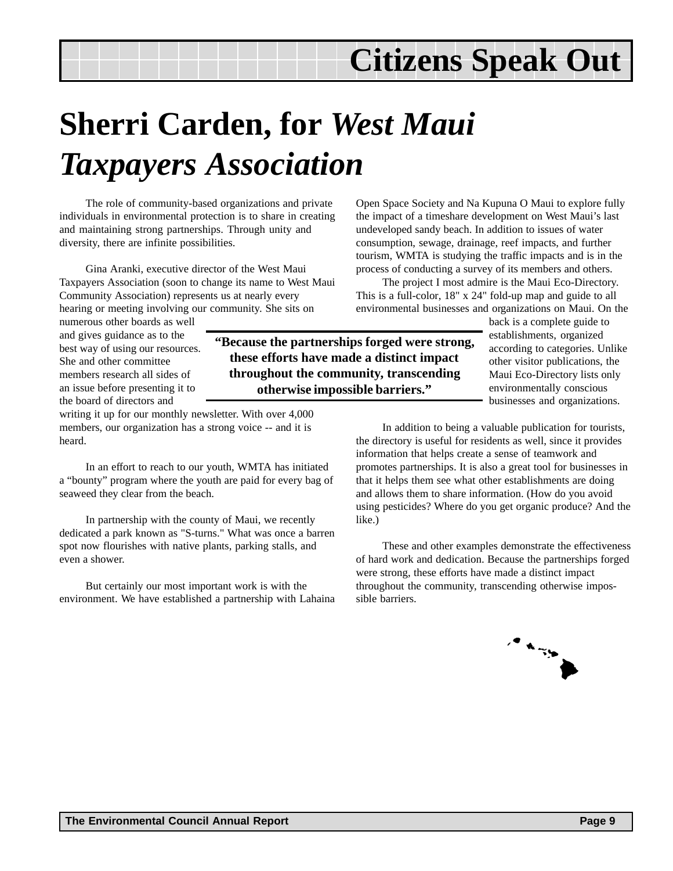# **Sherri Carden, for** *West Maui Taxpayers Association*

**"Because the partnerships forged were strong, these efforts have made a distinct impact throughout the community, transcending otherwise impossible barriers."**

The role of community-based organizations and private individuals in environmental protection is to share in creating and maintaining strong partnerships. Through unity and diversity, there are infinite possibilities.

Gina Aranki, executive director of the West Maui Taxpayers Association (soon to change its name to West Maui Community Association) represents us at nearly every hearing or meeting involving our community. She sits on

numerous other boards as well and gives guidance as to the best way of using our resources. She and other committee members research all sides of an issue before presenting it to the board of directors and

writing it up for our monthly newsletter. With over 4,000 members, our organization has a strong voice -- and it is heard.

In an effort to reach to our youth, WMTA has initiated a "bounty" program where the youth are paid for every bag of seaweed they clear from the beach.

In partnership with the county of Maui, we recently dedicated a park known as "S-turns." What was once a barren spot now flourishes with native plants, parking stalls, and even a shower.

But certainly our most important work is with the environment. We have established a partnership with Lahaina Open Space Society and Na Kupuna O Maui to explore fully the impact of a timeshare development on West Maui's last undeveloped sandy beach. In addition to issues of water consumption, sewage, drainage, reef impacts, and further tourism, WMTA is studying the traffic impacts and is in the process of conducting a survey of its members and others.

The project I most admire is the Maui Eco-Directory. This is a full-color, 18" x 24" fold-up map and guide to all environmental businesses and organizations on Maui. On the

> back is a complete guide to establishments, organized according to categories. Unlike other visitor publications, the Maui Eco-Directory lists only environmentally conscious businesses and organizations.

In addition to being a valuable publication for tourists, the directory is useful for residents as well, since it provides information that helps create a sense of teamwork and promotes partnerships. It is also a great tool for businesses in that it helps them see what other establishments are doing and allows them to share information. (How do you avoid using pesticides? Where do you get organic produce? And the like.)

These and other examples demonstrate the effectiveness of hard work and dedication. Because the partnerships forged were strong, these efforts have made a distinct impact throughout the community, transcending otherwise impossible barriers.

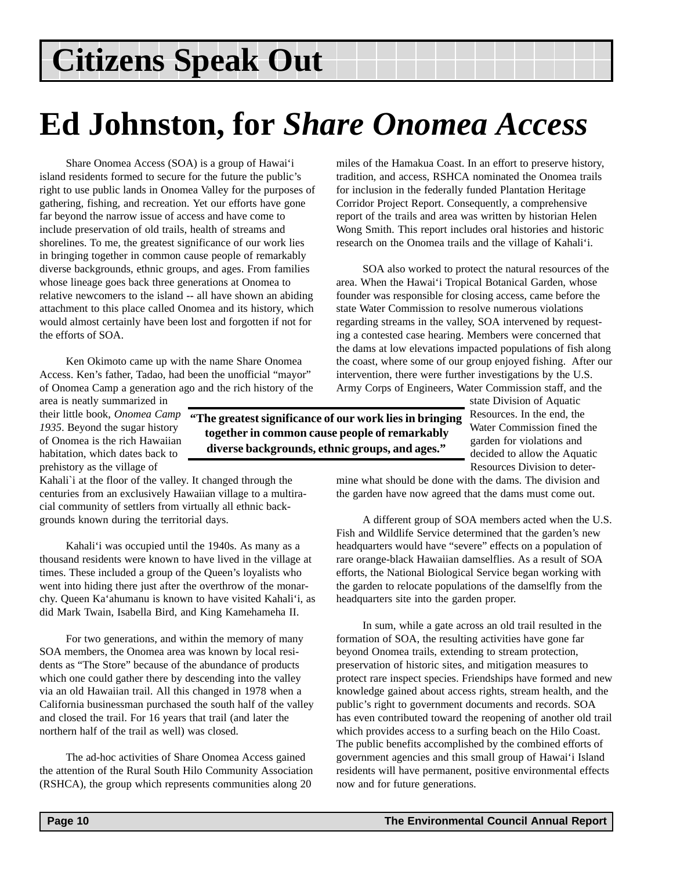## **Ed Johnston, for** *Share Onomea Access*

**"The greatest significance of our work lies in bringing together in common cause people of remarkably diverse backgrounds, ethnic groups, and ages."**

Share Onomea Access (SOA) is a group of Hawai'i island residents formed to secure for the future the public's right to use public lands in Onomea Valley for the purposes of gathering, fishing, and recreation. Yet our efforts have gone far beyond the narrow issue of access and have come to include preservation of old trails, health of streams and shorelines. To me, the greatest significance of our work lies in bringing together in common cause people of remarkably diverse backgrounds, ethnic groups, and ages. From families whose lineage goes back three generations at Onomea to relative newcomers to the island -- all have shown an abiding attachment to this place called Onomea and its history, which would almost certainly have been lost and forgotten if not for the efforts of SOA.

Ken Okimoto came up with the name Share Onomea Access. Ken's father, Tadao, had been the unofficial "mayor" of Onomea Camp a generation ago and the rich history of the

area is neatly summarized in their little book, *Onomea Camp 1935*. Beyond the sugar history of Onomea is the rich Hawaiian habitation, which dates back to prehistory as the village of

Kahali`i at the floor of the valley. It changed through the centuries from an exclusively Hawaiian village to a multiracial community of settlers from virtually all ethnic backgrounds known during the territorial days.

Kahali'i was occupied until the 1940s. As many as a thousand residents were known to have lived in the village at times. These included a group of the Queen's loyalists who went into hiding there just after the overthrow of the monarchy. Queen Ka'ahumanu is known to have visited Kahali'i, as did Mark Twain, Isabella Bird, and King Kamehameha II.

For two generations, and within the memory of many SOA members, the Onomea area was known by local residents as "The Store" because of the abundance of products which one could gather there by descending into the valley via an old Hawaiian trail. All this changed in 1978 when a California businessman purchased the south half of the valley and closed the trail. For 16 years that trail (and later the northern half of the trail as well) was closed.

The ad-hoc activities of Share Onomea Access gained the attention of the Rural South Hilo Community Association (RSHCA), the group which represents communities along 20

miles of the Hamakua Coast. In an effort to preserve history, tradition, and access, RSHCA nominated the Onomea trails for inclusion in the federally funded Plantation Heritage Corridor Project Report. Consequently, a comprehensive report of the trails and area was written by historian Helen Wong Smith. This report includes oral histories and historic research on the Onomea trails and the village of Kahali'i.

SOA also worked to protect the natural resources of the area. When the Hawai'i Tropical Botanical Garden, whose founder was responsible for closing access, came before the state Water Commission to resolve numerous violations regarding streams in the valley, SOA intervened by requesting a contested case hearing. Members were concerned that the dams at low elevations impacted populations of fish along the coast, where some of our group enjoyed fishing. After our intervention, there were further investigations by the U.S. Army Corps of Engineers, Water Commission staff, and the

> state Division of Aquatic Resources. In the end, the Water Commission fined the garden for violations and decided to allow the Aquatic Resources Division to deter-

mine what should be done with the dams. The division and the garden have now agreed that the dams must come out.

A different group of SOA members acted when the U.S. Fish and Wildlife Service determined that the garden's new headquarters would have "severe" effects on a population of rare orange-black Hawaiian damselflies. As a result of SOA efforts, the National Biological Service began working with the garden to relocate populations of the damselfly from the headquarters site into the garden proper.

In sum, while a gate across an old trail resulted in the formation of SOA, the resulting activities have gone far beyond Onomea trails, extending to stream protection, preservation of historic sites, and mitigation measures to protect rare inspect species. Friendships have formed and new knowledge gained about access rights, stream health, and the public's right to government documents and records. SOA has even contributed toward the reopening of another old trail which provides access to a surfing beach on the Hilo Coast. The public benefits accomplished by the combined efforts of government agencies and this small group of Hawai'i Island residents will have permanent, positive environmental effects now and for future generations.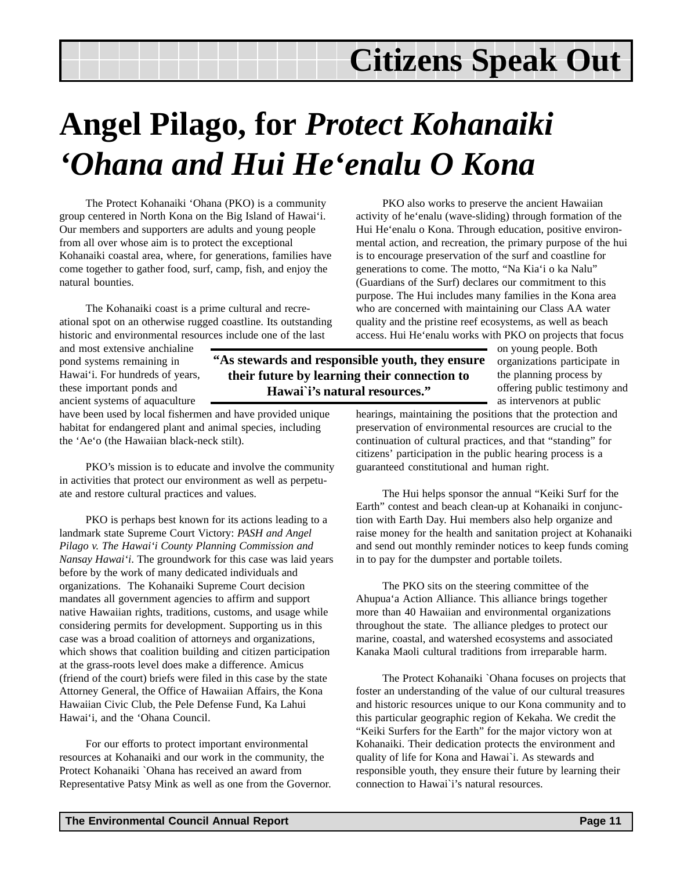# **Angel Pilago, for** *Protect Kohanaiki 'Ohana and Hui He'enalu O Kona*

The Protect Kohanaiki 'Ohana (PKO) is a community group centered in North Kona on the Big Island of Hawai'i. Our members and supporters are adults and young people from all over whose aim is to protect the exceptional Kohanaiki coastal area, where, for generations, families have come together to gather food, surf, camp, fish, and enjoy the natural bounties.

The Kohanaiki coast is a prime cultural and recreational spot on an otherwise rugged coastline. Its outstanding historic and environmental resources include one of the last

and most extensive anchialine pond systems remaining in Hawai'i. For hundreds of years, these important ponds and ancient systems of aquaculture

have been used by local fishermen and have provided unique habitat for endangered plant and animal species, including the 'Ae'o (the Hawaiian black-neck stilt).

PKO's mission is to educate and involve the community in activities that protect our environment as well as perpetuate and restore cultural practices and values.

PKO is perhaps best known for its actions leading to a landmark state Supreme Court Victory: *PASH and Angel Pilago v. The Hawai'i County Planning Commission and Nansay Hawai'i*. The groundwork for this case was laid years before by the work of many dedicated individuals and organizations. The Kohanaiki Supreme Court decision mandates all government agencies to affirm and support native Hawaiian rights, traditions, customs, and usage while considering permits for development. Supporting us in this case was a broad coalition of attorneys and organizations, which shows that coalition building and citizen participation at the grass-roots level does make a difference. Amicus (friend of the court) briefs were filed in this case by the state Attorney General, the Office of Hawaiian Affairs, the Kona Hawaiian Civic Club, the Pele Defense Fund, Ka Lahui Hawai'i, and the 'Ohana Council.

For our efforts to protect important environmental resources at Kohanaiki and our work in the community, the Protect Kohanaiki `Ohana has received an award from Representative Patsy Mink as well as one from the Governor.

PKO also works to preserve the ancient Hawaiian activity of he'enalu (wave-sliding) through formation of the Hui He'enalu o Kona. Through education, positive environmental action, and recreation, the primary purpose of the hui is to encourage preservation of the surf and coastline for generations to come. The motto, "Na Kia'i o ka Nalu" (Guardians of the Surf) declares our commitment to this purpose. The Hui includes many families in the Kona area who are concerned with maintaining our Class AA water quality and the pristine reef ecosystems, as well as beach access. Hui He'enalu works with PKO on projects that focus

**"As stewards and responsible youth, they ensure their future by learning their connection to Hawai`i's natural resources."**

on young people. Both organizations participate in the planning process by offering public testimony and as intervenors at public

hearings, maintaining the positions that the protection and preservation of environmental resources are crucial to the continuation of cultural practices, and that "standing" for citizens' participation in the public hearing process is a guaranteed constitutional and human right.

The Hui helps sponsor the annual "Keiki Surf for the Earth" contest and beach clean-up at Kohanaiki in conjunction with Earth Day. Hui members also help organize and raise money for the health and sanitation project at Kohanaiki and send out monthly reminder notices to keep funds coming in to pay for the dumpster and portable toilets.

The PKO sits on the steering committee of the Ahupua'a Action Alliance. This alliance brings together more than 40 Hawaiian and environmental organizations throughout the state. The alliance pledges to protect our marine, coastal, and watershed ecosystems and associated Kanaka Maoli cultural traditions from irreparable harm.

The Protect Kohanaiki `Ohana focuses on projects that foster an understanding of the value of our cultural treasures and historic resources unique to our Kona community and to this particular geographic region of Kekaha. We credit the "Keiki Surfers for the Earth" for the major victory won at Kohanaiki. Their dedication protects the environment and quality of life for Kona and Hawai`i. As stewards and responsible youth, they ensure their future by learning their connection to Hawai`i's natural resources.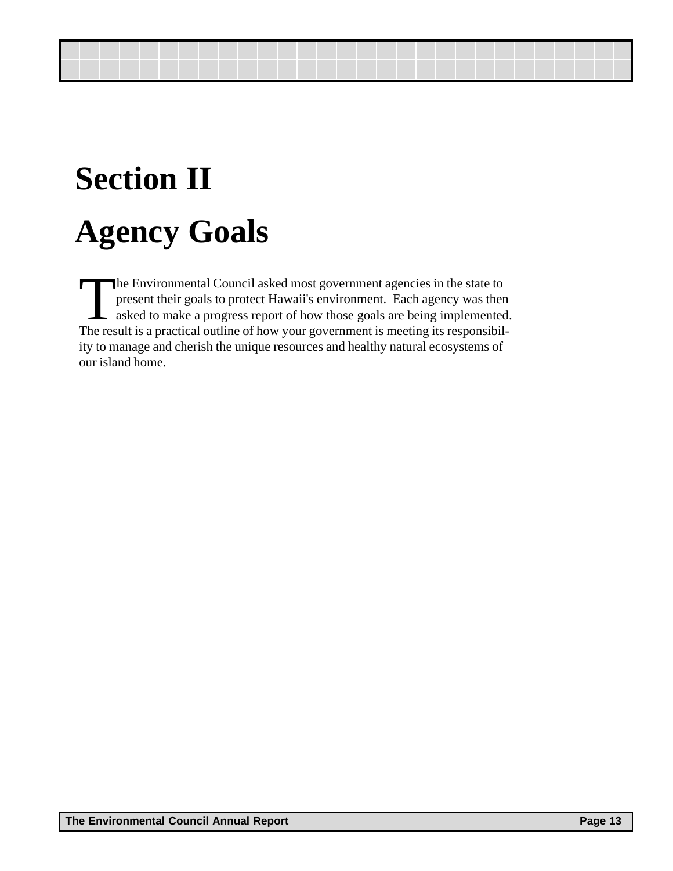# <span id="page-12-0"></span>**Section II Agency Goals**

The Environmental Council asked most government agencies in the state to present their goals to protect Hawaii's environment. Each agency was then sked to make a progress report of how those goals are being implemented. The result is a practical outline of how your government is meeting its responsibility to manage and cherish the unique resources and healthy natural ecosystems of our island home.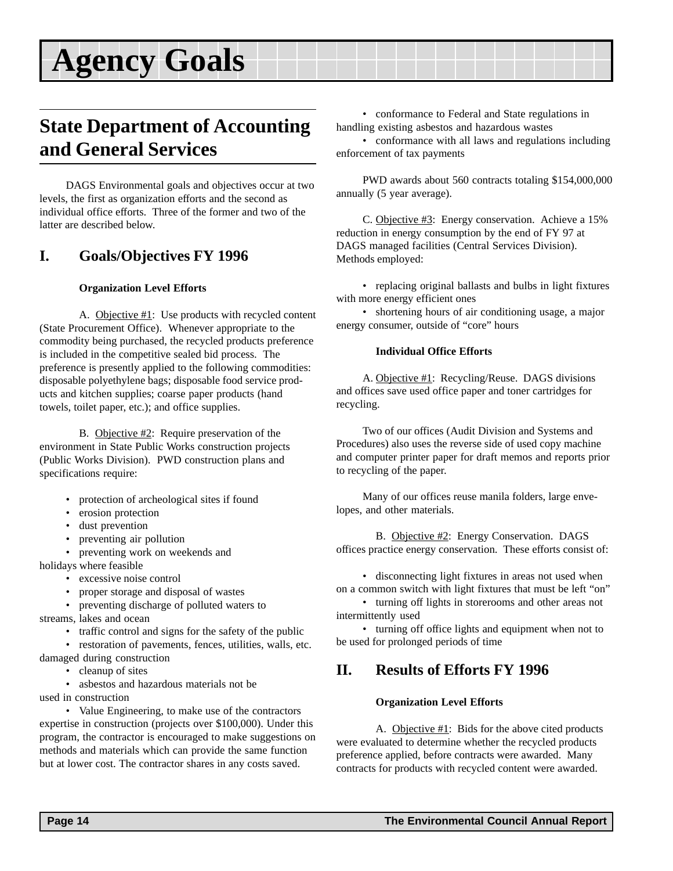### <span id="page-13-0"></span>**State Department of Accounting and General Services**

DAGS Environmental goals and objectives occur at two levels, the first as organization efforts and the second as individual office efforts. Three of the former and two of the latter are described below.

#### **I. Goals/Objectives FY 1996**

#### **Organization Level Efforts**

A. Objective #1: Use products with recycled content (State Procurement Office). Whenever appropriate to the commodity being purchased, the recycled products preference is included in the competitive sealed bid process. The preference is presently applied to the following commodities: disposable polyethylene bags; disposable food service products and kitchen supplies; coarse paper products (hand towels, toilet paper, etc.); and office supplies.

B. Objective #2: Require preservation of the environment in State Public Works construction projects (Public Works Division). PWD construction plans and specifications require:

- protection of archeological sites if found
- erosion protection
- dust prevention
- preventing air pollution
- preventing work on weekends and holidays where feasible
	- excessive noise control
	- proper storage and disposal of wastes
	- preventing discharge of polluted waters to

streams, lakes and ocean

- traffic control and signs for the safety of the public
- restoration of pavements, fences, utilities, walls, etc. damaged during construction
	- cleanup of sites

• asbestos and hazardous materials not be used in construction

• Value Engineering, to make use of the contractors expertise in construction (projects over \$100,000). Under this program, the contractor is encouraged to make suggestions on methods and materials which can provide the same function but at lower cost. The contractor shares in any costs saved.

• conformance to Federal and State regulations in handling existing asbestos and hazardous wastes

• conformance with all laws and regulations including enforcement of tax payments

PWD awards about 560 contracts totaling \$154,000,000 annually (5 year average).

C. Objective #3: Energy conservation. Achieve a 15% reduction in energy consumption by the end of FY 97 at DAGS managed facilities (Central Services Division). Methods employed:

• replacing original ballasts and bulbs in light fixtures with more energy efficient ones

• shortening hours of air conditioning usage, a major energy consumer, outside of "core" hours

#### **Individual Office Efforts**

A. Objective #1: Recycling/Reuse. DAGS divisions and offices save used office paper and toner cartridges for recycling.

Two of our offices (Audit Division and Systems and Procedures) also uses the reverse side of used copy machine and computer printer paper for draft memos and reports prior to recycling of the paper.

Many of our offices reuse manila folders, large envelopes, and other materials.

B. Objective #2: Energy Conservation. DAGS offices practice energy conservation. These efforts consist of:

• disconnecting light fixtures in areas not used when on a common switch with light fixtures that must be left "on"

• turning off lights in storerooms and other areas not intermittently used

• turning off office lights and equipment when not to be used for prolonged periods of time

### **II. Results of Efforts FY 1996**

#### **Organization Level Efforts**

A. Objective #1: Bids for the above cited products were evaluated to determine whether the recycled products preference applied, before contracts were awarded. Many contracts for products with recycled content were awarded.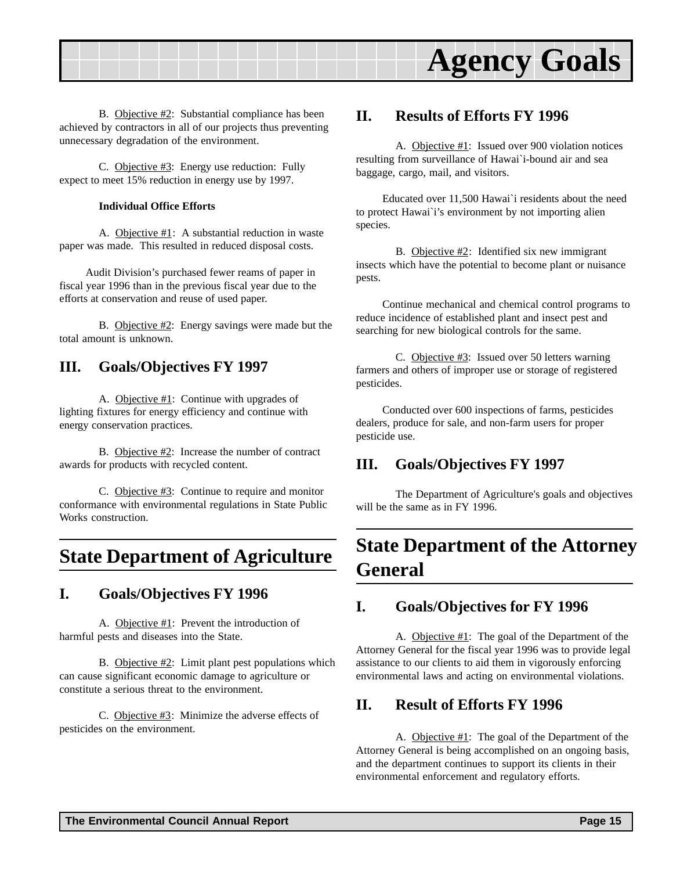<span id="page-14-0"></span>

B. Objective #2: Substantial compliance has been achieved by contractors in all of our projects thus preventing unnecessary degradation of the environment.

C. Objective #3: Energy use reduction: Fully expect to meet 15% reduction in energy use by 1997.

#### **Individual Office Efforts**

A. Objective  $#1$ : A substantial reduction in waste paper was made. This resulted in reduced disposal costs.

Audit Division's purchased fewer reams of paper in fiscal year 1996 than in the previous fiscal year due to the efforts at conservation and reuse of used paper.

B. Objective #2: Energy savings were made but the total amount is unknown.

#### **III. Goals/Objectives FY 1997**

A. Objective #1: Continue with upgrades of lighting fixtures for energy efficiency and continue with energy conservation practices.

B. Objective #2: Increase the number of contract awards for products with recycled content.

C. Objective #3: Continue to require and monitor conformance with environmental regulations in State Public Works construction.

### **State Department of Agriculture**

#### **I. Goals/Objectives FY 1996**

A. Objective #1: Prevent the introduction of harmful pests and diseases into the State.

B. Objective #2: Limit plant pest populations which can cause significant economic damage to agriculture or constitute a serious threat to the environment.

C. Objective #3: Minimize the adverse effects of pesticides on the environment.

#### **II. Results of Efforts FY 1996**

A. Objective #1: Issued over 900 violation notices resulting from surveillance of Hawai`i-bound air and sea baggage, cargo, mail, and visitors.

Educated over 11,500 Hawai`i residents about the need to protect Hawai`i's environment by not importing alien species.

B. Objective  $\#2$ : Identified six new immigrant insects which have the potential to become plant or nuisance pests.

Continue mechanical and chemical control programs to reduce incidence of established plant and insect pest and searching for new biological controls for the same.

C. Objective #3: Issued over 50 letters warning farmers and others of improper use or storage of registered pesticides.

Conducted over 600 inspections of farms, pesticides dealers, produce for sale, and non-farm users for proper pesticide use.

#### **III. Goals/Objectives FY 1997**

The Department of Agriculture's goals and objectives will be the same as in FY 1996.

## **State Department of the Attorney General**

#### **I. Goals/Objectives for FY 1996**

A. Objective #1: The goal of the Department of the Attorney General for the fiscal year 1996 was to provide legal assistance to our clients to aid them in vigorously enforcing environmental laws and acting on environmental violations.

#### **II. Result of Efforts FY 1996**

A. Objective  $#1$ : The goal of the Department of the Attorney General is being accomplished on an ongoing basis, and the department continues to support its clients in their environmental enforcement and regulatory efforts.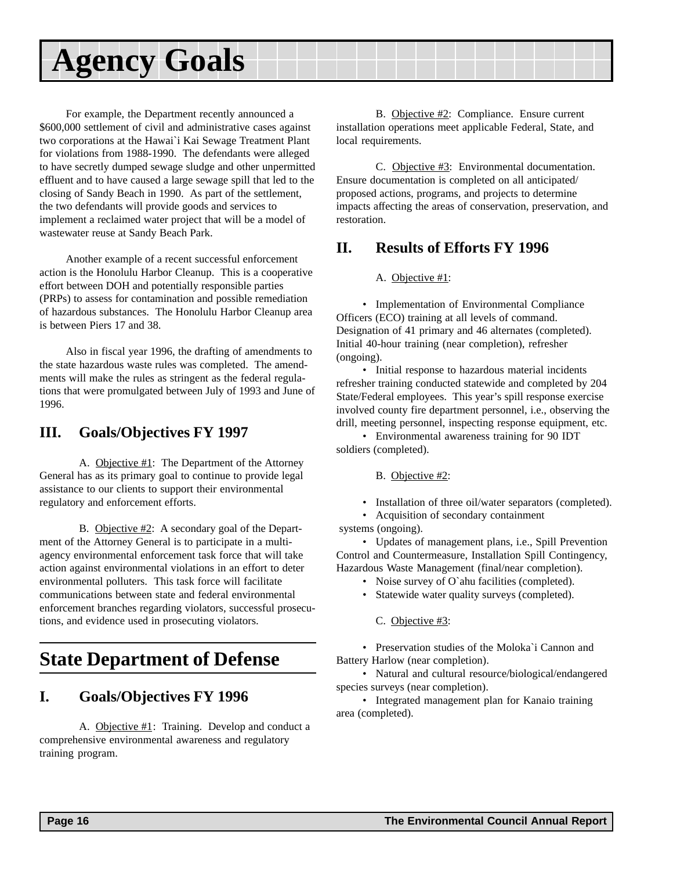<span id="page-15-0"></span>For example, the Department recently announced a \$600,000 settlement of civil and administrative cases against two corporations at the Hawai`i Kai Sewage Treatment Plant for violations from 1988-1990. The defendants were alleged to have secretly dumped sewage sludge and other unpermitted effluent and to have caused a large sewage spill that led to the closing of Sandy Beach in 1990. As part of the settlement, the two defendants will provide goods and services to implement a reclaimed water project that will be a model of wastewater reuse at Sandy Beach Park.

Another example of a recent successful enforcement action is the Honolulu Harbor Cleanup. This is a cooperative effort between DOH and potentially responsible parties (PRPs) to assess for contamination and possible remediation of hazardous substances. The Honolulu Harbor Cleanup area is between Piers 17 and 38.

Also in fiscal year 1996, the drafting of amendments to the state hazardous waste rules was completed. The amendments will make the rules as stringent as the federal regulations that were promulgated between July of 1993 and June of 1996.

#### **III. Goals/Objectives FY 1997**

A. Objective #1: The Department of the Attorney General has as its primary goal to continue to provide legal assistance to our clients to support their environmental regulatory and enforcement efforts.

B. Objective #2: A secondary goal of the Department of the Attorney General is to participate in a multiagency environmental enforcement task force that will take action against environmental violations in an effort to deter environmental polluters. This task force will facilitate communications between state and federal environmental enforcement branches regarding violators, successful prosecutions, and evidence used in prosecuting violators.

### **State Department of Defense**

#### **I. Goals/Objectives FY 1996**

A. Objective #1: Training. Develop and conduct a comprehensive environmental awareness and regulatory training program.

B. Objective #2: Compliance. Ensure current installation operations meet applicable Federal, State, and local requirements.

C. Objective #3: Environmental documentation. Ensure documentation is completed on all anticipated/ proposed actions, programs, and projects to determine impacts affecting the areas of conservation, preservation, and restoration.

#### **II. Results of Efforts FY 1996**

A. Objective #1:

• Implementation of Environmental Compliance Officers (ECO) training at all levels of command. Designation of 41 primary and 46 alternates (completed). Initial 40-hour training (near completion), refresher (ongoing).

• Initial response to hazardous material incidents refresher training conducted statewide and completed by 204 State/Federal employees. This year's spill response exercise involved county fire department personnel, i.e., observing the drill, meeting personnel, inspecting response equipment, etc.

• Environmental awareness training for 90 IDT soldiers (completed).

B. Objective #2:

• Installation of three oil/water separators (completed).

• Acquisition of secondary containment systems (ongoing).

• Updates of management plans, i.e., Spill Prevention Control and Countermeasure, Installation Spill Contingency, Hazardous Waste Management (final/near completion).

- Noise survey of O`ahu facilities (completed).
- Statewide water quality surveys (completed).

C. Objective #3:

• Preservation studies of the Moloka`i Cannon and Battery Harlow (near completion).

• Natural and cultural resource/biological/endangered species surveys (near completion).

• Integrated management plan for Kanaio training area (completed).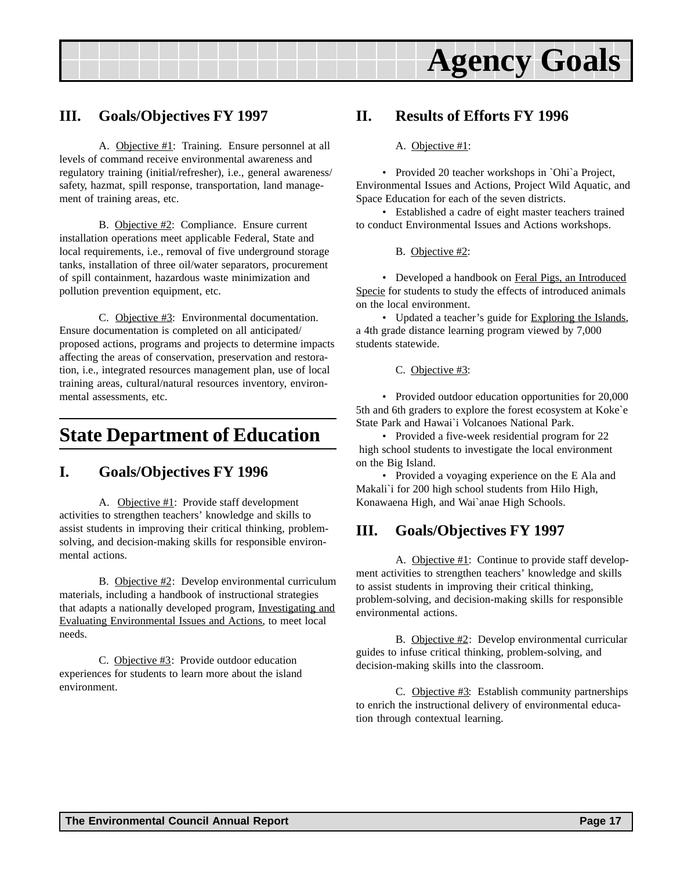

#### <span id="page-16-0"></span>**III. Goals/Objectives FY 1997**

A. Objective #1: Training. Ensure personnel at all levels of command receive environmental awareness and regulatory training (initial/refresher), i.e., general awareness/ safety, hazmat, spill response, transportation, land management of training areas, etc.

B. Objective #2: Compliance. Ensure current installation operations meet applicable Federal, State and local requirements, i.e., removal of five underground storage tanks, installation of three oil/water separators, procurement of spill containment, hazardous waste minimization and pollution prevention equipment, etc.

C. Objective #3: Environmental documentation. Ensure documentation is completed on all anticipated/ proposed actions, programs and projects to determine impacts affecting the areas of conservation, preservation and restoration, i.e., integrated resources management plan, use of local training areas, cultural/natural resources inventory, environmental assessments, etc.

### **State Department of Education**

#### **I. Goals/Objectives FY 1996**

A. Objective #1: Provide staff development activities to strengthen teachers' knowledge and skills to assist students in improving their critical thinking, problemsolving, and decision-making skills for responsible environmental actions.

B. Objective #2: Develop environmental curriculum materials, including a handbook of instructional strategies that adapts a nationally developed program, Investigating and Evaluating Environmental Issues and Actions, to meet local needs.

C. Objective #3: Provide outdoor education experiences for students to learn more about the island environment.

#### **II. Results of Efforts FY 1996**

#### A. Objective #1:

• Provided 20 teacher workshops in `Ohi`a Project, Environmental Issues and Actions, Project Wild Aquatic, and Space Education for each of the seven districts.

• Established a cadre of eight master teachers trained to conduct Environmental Issues and Actions workshops.

B. Objective #2:

• Developed a handbook on Feral Pigs, an Introduced Specie for students to study the effects of introduced animals on the local environment.

• Updated a teacher's guide for Exploring the Islands, a 4th grade distance learning program viewed by 7,000 students statewide.

C. Objective #3:

• Provided outdoor education opportunities for 20,000 5th and 6th graders to explore the forest ecosystem at Koke`e State Park and Hawai`i Volcanoes National Park.

• Provided a five-week residential program for 22 high school students to investigate the local environment on the Big Island.

• Provided a voyaging experience on the E Ala and Makali`i for 200 high school students from Hilo High, Konawaena High, and Wai`anae High Schools.

#### **III. Goals/Objectives FY 1997**

A. Objective #1: Continue to provide staff development activities to strengthen teachers' knowledge and skills to assist students in improving their critical thinking, problem-solving, and decision-making skills for responsible environmental actions.

B. Objective #2: Develop environmental curricular guides to infuse critical thinking, problem-solving, and decision-making skills into the classroom.

C. Objective #3: Establish community partnerships to enrich the instructional delivery of environmental education through contextual learning.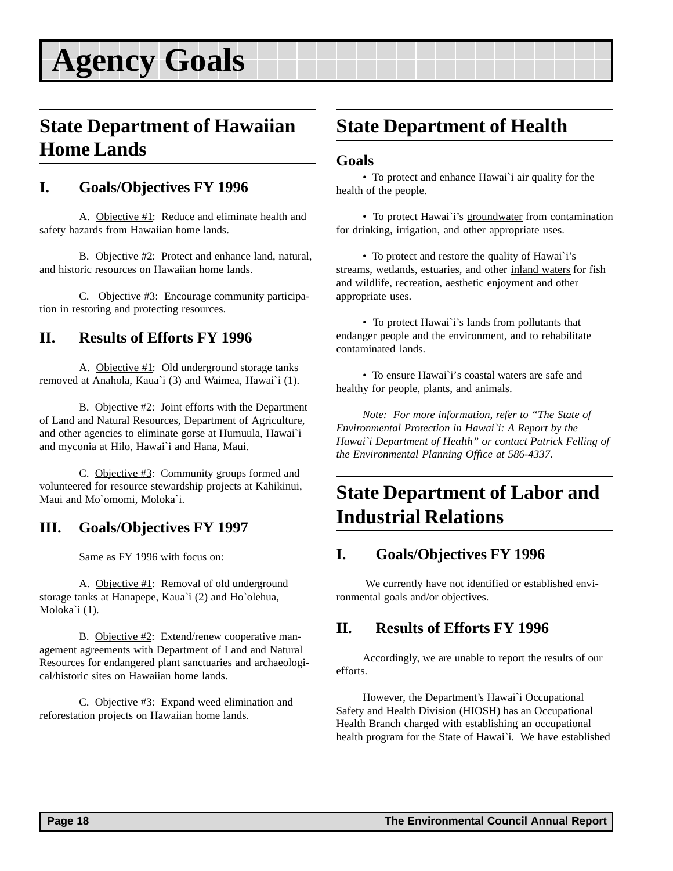### <span id="page-17-0"></span>**State Department of Hawaiian Home Lands**

#### **I. Goals/Objectives FY 1996**

A. Objective #1: Reduce and eliminate health and safety hazards from Hawaiian home lands.

B. Objective #2: Protect and enhance land, natural, and historic resources on Hawaiian home lands.

C. Objective #3: Encourage community participation in restoring and protecting resources.

### **II. Results of Efforts FY 1996**

A. Objective #1: Old underground storage tanks removed at Anahola, Kaua`i (3) and Waimea, Hawai`i (1).

B. Objective #2: Joint efforts with the Department of Land and Natural Resources, Department of Agriculture, and other agencies to eliminate gorse at Humuula, Hawai`i and myconia at Hilo, Hawai`i and Hana, Maui.

C. Objective #3: Community groups formed and volunteered for resource stewardship projects at Kahikinui, Maui and Mo`omomi, Moloka`i.

#### **III. Goals/Objectives FY 1997**

Same as FY 1996 with focus on:

A. Objective #1: Removal of old underground storage tanks at Hanapepe, Kaua`i (2) and Ho`olehua, Moloka`i (1).

B. Objective #2: Extend/renew cooperative management agreements with Department of Land and Natural Resources for endangered plant sanctuaries and archaeological/historic sites on Hawaiian home lands.

C. Objective #3: Expand weed elimination and reforestation projects on Hawaiian home lands.

## **State Department of Health**

#### **Goals**

• To protect and enhance Hawai`i air quality for the health of the people.

• To protect Hawai`i's groundwater from contamination for drinking, irrigation, and other appropriate uses.

• To protect and restore the quality of Hawai`i's streams, wetlands, estuaries, and other inland waters for fish and wildlife, recreation, aesthetic enjoyment and other appropriate uses.

• To protect Hawai`i's lands from pollutants that endanger people and the environment, and to rehabilitate contaminated lands.

• To ensure Hawai`i's coastal waters are safe and healthy for people, plants, and animals.

*Note: For more information, refer to "The State of Environmental Protection in Hawai`i: A Report by the Hawai`i Department of Health" or contact Patrick Felling of the Environmental Planning Office at 586-4337.*

## **State Department of Labor and Industrial Relations**

#### **I. Goals/Objectives FY 1996**

 We currently have not identified or established environmental goals and/or objectives.

#### **II. Results of Efforts FY 1996**

Accordingly, we are unable to report the results of our efforts.

However, the Department's Hawai`i Occupational Safety and Health Division (HIOSH) has an Occupational Health Branch charged with establishing an occupational health program for the State of Hawai`i. We have established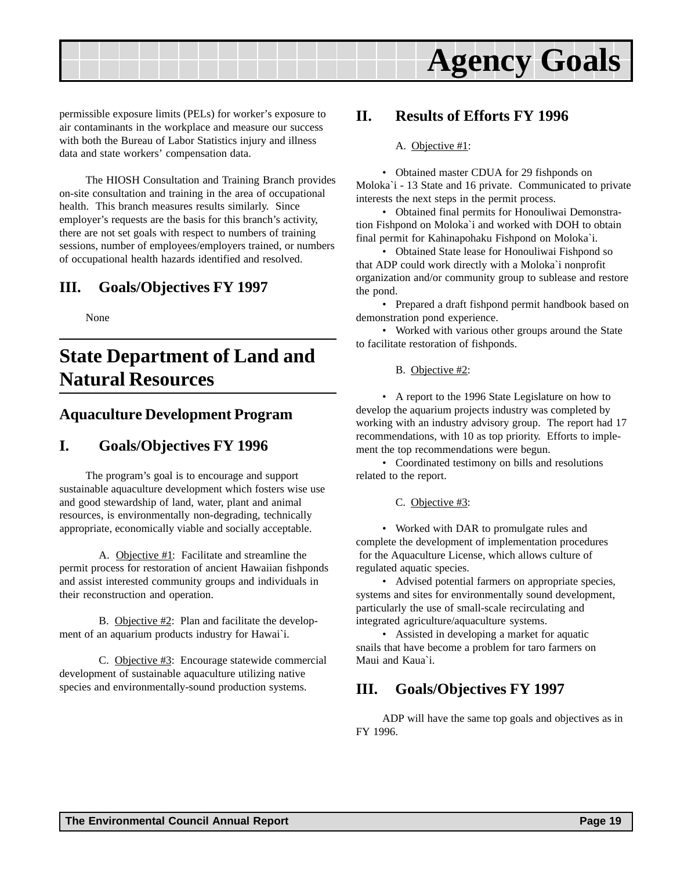<span id="page-18-0"></span>

permissible exposure limits (PELs) for worker's exposure to air contaminants in the workplace and measure our success with both the Bureau of Labor Statistics injury and illness data and state workers' compensation data.

The HIOSH Consultation and Training Branch provides on-site consultation and training in the area of occupational health. This branch measures results similarly. Since employer's requests are the basis for this branch's activity, there are not set goals with respect to numbers of training sessions, number of employees/employers trained, or numbers of occupational health hazards identified and resolved.

#### **III. Goals/Objectives FY 1997**

None

## **State Department of Land and Natural Resources**

#### **Aquaculture Development Program**

#### **I. Goals/Objectives FY 1996**

The program's goal is to encourage and support sustainable aquaculture development which fosters wise use and good stewardship of land, water, plant and animal resources, is environmentally non-degrading, technically appropriate, economically viable and socially acceptable.

A. Objective #1: Facilitate and streamline the permit process for restoration of ancient Hawaiian fishponds and assist interested community groups and individuals in their reconstruction and operation.

B. Objective #2: Plan and facilitate the development of an aquarium products industry for Hawai`i.

C. Objective #3: Encourage statewide commercial development of sustainable aquaculture utilizing native species and environmentally-sound production systems.

#### **II. Results of Efforts FY 1996**

#### A. Objective #1:

• Obtained master CDUA for 29 fishponds on Moloka`i - 13 State and 16 private. Communicated to private interests the next steps in the permit process.

• Obtained final permits for Honouliwai Demonstration Fishpond on Moloka`i and worked with DOH to obtain final permit for Kahinapohaku Fishpond on Moloka`i.

• Obtained State lease for Honouliwai Fishpond so that ADP could work directly with a Moloka`i nonprofit organization and/or community group to sublease and restore the pond.

• Prepared a draft fishpond permit handbook based on demonstration pond experience.

• Worked with various other groups around the State to facilitate restoration of fishponds.

B. Objective #2:

• A report to the 1996 State Legislature on how to develop the aquarium projects industry was completed by working with an industry advisory group. The report had 17 recommendations, with 10 as top priority. Efforts to implement the top recommendations were begun.

• Coordinated testimony on bills and resolutions related to the report.

C. Objective #3:

• Worked with DAR to promulgate rules and complete the development of implementation procedures for the Aquaculture License, which allows culture of regulated aquatic species.

• Advised potential farmers on appropriate species, systems and sites for environmentally sound development, particularly the use of small-scale recirculating and integrated agriculture/aquaculture systems.

• Assisted in developing a market for aquatic snails that have become a problem for taro farmers on Maui and Kaua`i.

### **III. Goals/Objectives FY 1997**

ADP will have the same top goals and objectives as in FY 1996.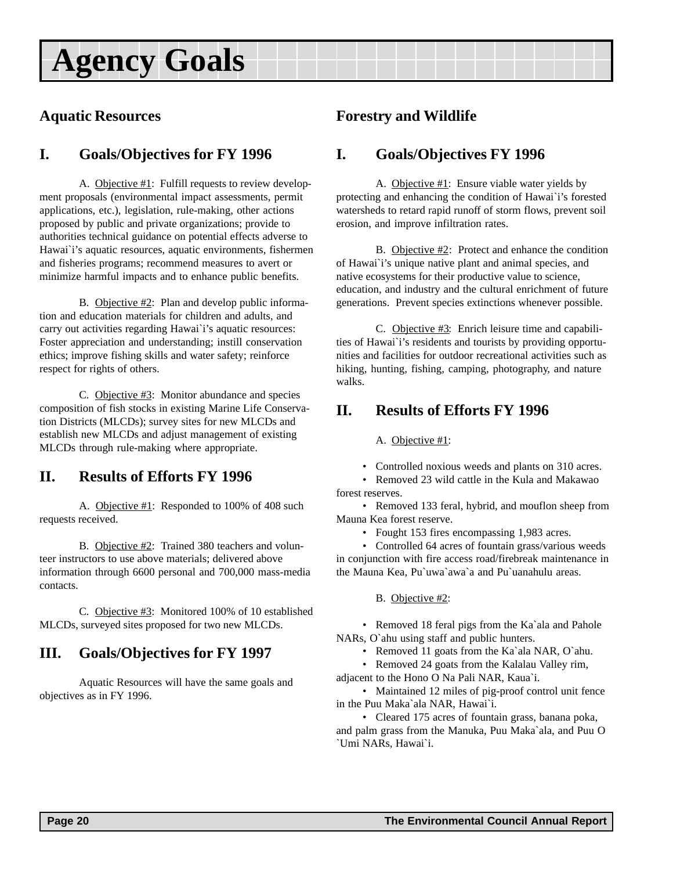### <span id="page-19-0"></span>**Aquatic Resources**

### **I. Goals/Objectives for FY 1996**

A. Objective #1: Fulfill requests to review development proposals (environmental impact assessments, permit applications, etc.), legislation, rule-making, other actions proposed by public and private organizations; provide to authorities technical guidance on potential effects adverse to Hawai`i's aquatic resources, aquatic environments, fishermen and fisheries programs; recommend measures to avert or minimize harmful impacts and to enhance public benefits.

B. Objective #2: Plan and develop public information and education materials for children and adults, and carry out activities regarding Hawai`i's aquatic resources: Foster appreciation and understanding; instill conservation ethics; improve fishing skills and water safety; reinforce respect for rights of others.

C. Objective #3: Monitor abundance and species composition of fish stocks in existing Marine Life Conservation Districts (MLCDs); survey sites for new MLCDs and establish new MLCDs and adjust management of existing MLCDs through rule-making where appropriate.

### **II. Results of Efforts FY 1996**

A. Objective #1: Responded to 100% of 408 such requests received.

B. Objective #2: Trained 380 teachers and volunteer instructors to use above materials; delivered above information through 6600 personal and 700,000 mass-media contacts.

C. Objective #3: Monitored 100% of 10 established MLCDs, surveyed sites proposed for two new MLCDs.

### **III. Goals/Objectives for FY 1997**

Aquatic Resources will have the same goals and objectives as in FY 1996.

#### **Forestry and Wildlife**

#### **I. Goals/Objectives FY 1996**

A. Objective #1: Ensure viable water yields by protecting and enhancing the condition of Hawai`i's forested watersheds to retard rapid runoff of storm flows, prevent soil erosion, and improve infiltration rates.

B. Objective #2: Protect and enhance the condition of Hawai`i's unique native plant and animal species, and native ecosystems for their productive value to science, education, and industry and the cultural enrichment of future generations. Prevent species extinctions whenever possible.

C. Objective #3: Enrich leisure time and capabilities of Hawai`i's residents and tourists by providing opportunities and facilities for outdoor recreational activities such as hiking, hunting, fishing, camping, photography, and nature walks.

#### **II. Results of Efforts FY 1996**

A. Objective #1:

• Controlled noxious weeds and plants on 310 acres.

• Removed 23 wild cattle in the Kula and Makawao forest reserves.

• Removed 133 feral, hybrid, and mouflon sheep from Mauna Kea forest reserve.

• Fought 153 fires encompassing 1,983 acres.

• Controlled 64 acres of fountain grass/various weeds in conjunction with fire access road/firebreak maintenance in the Mauna Kea, Pu`uwa`awa`a and Pu`uanahulu areas.

#### B. Objective #2:

• Removed 18 feral pigs from the Ka`ala and Pahole NARs, O`ahu using staff and public hunters.

- Removed 11 goats from the Ka`ala NAR, O`ahu.
- Removed 24 goats from the Kalalau Valley rim,

adjacent to the Hono O Na Pali NAR, Kaua`i. • Maintained 12 miles of pig-proof control unit fence in the Puu Maka`ala NAR, Hawai`i.

• Cleared 175 acres of fountain grass, banana poka, and palm grass from the Manuka, Puu Maka`ala, and Puu O `Umi NARs, Hawai`i.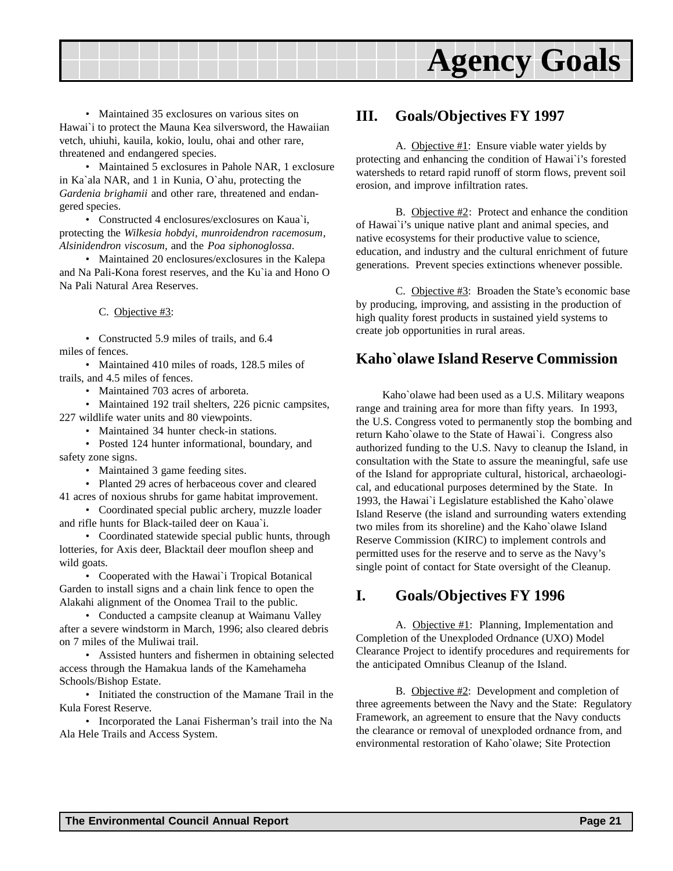<span id="page-20-0"></span>

• Maintained 35 exclosures on various sites on Hawai`i to protect the Mauna Kea silversword, the Hawaiian vetch, uhiuhi, kauila, kokio, loulu, ohai and other rare, threatened and endangered species.

• Maintained 5 exclosures in Pahole NAR, 1 exclosure in Ka`ala NAR, and 1 in Kunia, O`ahu, protecting the *Gardenia brighamii* and other rare, threatened and endangered species.

• Constructed 4 enclosures/exclosures on Kaua`i, protecting the *Wilkesia hobdyi, munroidendron racemosum*, *Alsinidendron viscosum,* and the *Poa siphonoglossa*.

• Maintained 20 enclosures/exclosures in the Kalepa and Na Pali-Kona forest reserves, and the Ku`ia and Hono O Na Pali Natural Area Reserves.

C. Objective #3:

• Constructed 5.9 miles of trails, and 6.4 miles of fences.

• Maintained 410 miles of roads, 128.5 miles of trails, and 4.5 miles of fences.

• Maintained 703 acres of arboreta.

• Maintained 192 trail shelters, 226 picnic campsites, 227 wildlife water units and 80 viewpoints.

• Maintained 34 hunter check-in stations.

• Posted 124 hunter informational, boundary, and safety zone signs.

• Maintained 3 game feeding sites.

• Planted 29 acres of herbaceous cover and cleared 41 acres of noxious shrubs for game habitat improvement.

• Coordinated special public archery, muzzle loader and rifle hunts for Black-tailed deer on Kaua`i.

• Coordinated statewide special public hunts, through lotteries, for Axis deer, Blacktail deer mouflon sheep and wild goats.

• Cooperated with the Hawai`i Tropical Botanical Garden to install signs and a chain link fence to open the Alakahi alignment of the Onomea Trail to the public.

• Conducted a campsite cleanup at Waimanu Valley after a severe windstorm in March, 1996; also cleared debris on 7 miles of the Muliwai trail.

• Assisted hunters and fishermen in obtaining selected access through the Hamakua lands of the Kamehameha Schools/Bishop Estate.

• Initiated the construction of the Mamane Trail in the Kula Forest Reserve.

• Incorporated the Lanai Fisherman's trail into the Na Ala Hele Trails and Access System.

#### **III. Goals/Objectives FY 1997**

A. Objective  $#1$ : Ensure viable water yields by protecting and enhancing the condition of Hawai`i's forested watersheds to retard rapid runoff of storm flows, prevent soil erosion, and improve infiltration rates.

B. Objective #2: Protect and enhance the condition of Hawai`i's unique native plant and animal species, and native ecosystems for their productive value to science, education, and industry and the cultural enrichment of future generations. Prevent species extinctions whenever possible.

C. Objective  $\#3$ : Broaden the State's economic base by producing, improving, and assisting in the production of high quality forest products in sustained yield systems to create job opportunities in rural areas.

#### **Kaho`olawe Island Reserve Commission**

Kaho`olawe had been used as a U.S. Military weapons range and training area for more than fifty years. In 1993, the U.S. Congress voted to permanently stop the bombing and return Kaho`olawe to the State of Hawai`i. Congress also authorized funding to the U.S. Navy to cleanup the Island, in consultation with the State to assure the meaningful, safe use of the Island for appropriate cultural, historical, archaeological, and educational purposes determined by the State. In 1993, the Hawai`i Legislature established the Kaho`olawe Island Reserve (the island and surrounding waters extending two miles from its shoreline) and the Kaho`olawe Island Reserve Commission (KIRC) to implement controls and permitted uses for the reserve and to serve as the Navy's single point of contact for State oversight of the Cleanup.

#### **I. Goals/Objectives FY 1996**

A. Objective #1: Planning, Implementation and Completion of the Unexploded Ordnance (UXO) Model Clearance Project to identify procedures and requirements for the anticipated Omnibus Cleanup of the Island.

B. Objective #2: Development and completion of three agreements between the Navy and the State: Regulatory Framework, an agreement to ensure that the Navy conducts the clearance or removal of unexploded ordnance from, and environmental restoration of Kaho`olawe; Site Protection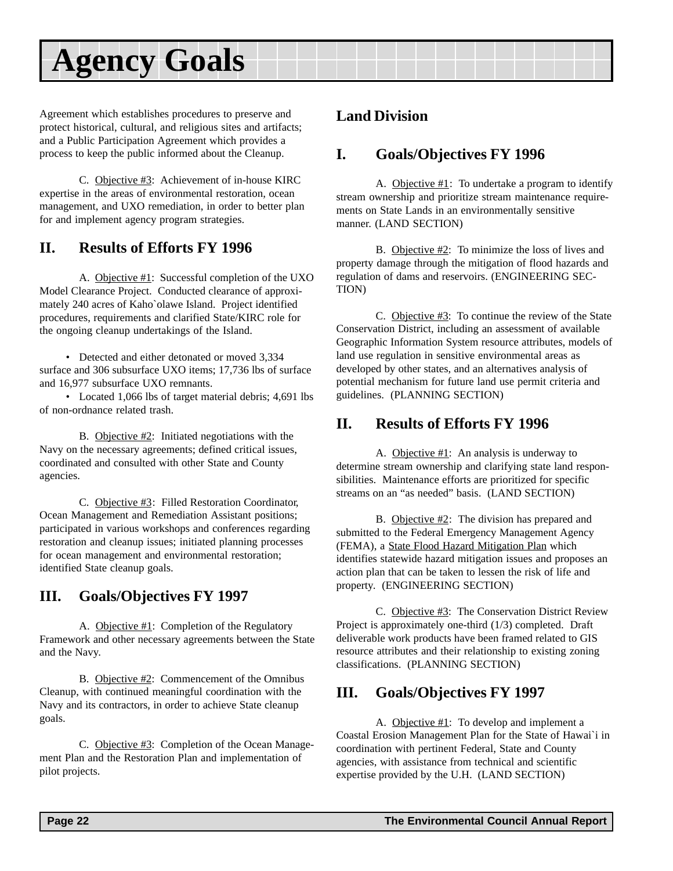<span id="page-21-0"></span>Agreement which establishes procedures to preserve and protect historical, cultural, and religious sites and artifacts; and a Public Participation Agreement which provides a process to keep the public informed about the Cleanup.

C. Objective #3: Achievement of in-house KIRC expertise in the areas of environmental restoration, ocean management, and UXO remediation, in order to better plan for and implement agency program strategies.

#### **II. Results of Efforts FY 1996**

A. Objective #1: Successful completion of the UXO Model Clearance Project. Conducted clearance of approximately 240 acres of Kaho`olawe Island. Project identified procedures, requirements and clarified State/KIRC role for the ongoing cleanup undertakings of the Island.

• Detected and either detonated or moved 3,334 surface and 306 subsurface UXO items; 17,736 lbs of surface and 16,977 subsurface UXO remnants.

• Located 1,066 lbs of target material debris; 4,691 lbs of non-ordnance related trash.

B. Objective  $\#2$ : Initiated negotiations with the Navy on the necessary agreements; defined critical issues, coordinated and consulted with other State and County agencies.

C. Objective #3: Filled Restoration Coordinator, Ocean Management and Remediation Assistant positions; participated in various workshops and conferences regarding restoration and cleanup issues; initiated planning processes for ocean management and environmental restoration; identified State cleanup goals.

#### **III. Goals/Objectives FY 1997**

A. Objective #1: Completion of the Regulatory Framework and other necessary agreements between the State and the Navy.

B. Objective #2: Commencement of the Omnibus Cleanup, with continued meaningful coordination with the Navy and its contractors, in order to achieve State cleanup goals.

C. Objective #3: Completion of the Ocean Management Plan and the Restoration Plan and implementation of pilot projects.

#### **Land Division**

#### **I. Goals/Objectives FY 1996**

A. Objective #1: To undertake a program to identify stream ownership and prioritize stream maintenance requirements on State Lands in an environmentally sensitive manner. (LAND SECTION)

B. Objective #2: To minimize the loss of lives and property damage through the mitigation of flood hazards and regulation of dams and reservoirs. (ENGINEERING SEC-TION)

C. Objective #3: To continue the review of the State Conservation District, including an assessment of available Geographic Information System resource attributes, models of land use regulation in sensitive environmental areas as developed by other states, and an alternatives analysis of potential mechanism for future land use permit criteria and guidelines. (PLANNING SECTION)

#### **II. Results of Efforts FY 1996**

A. Objective  $#1$ : An analysis is underway to determine stream ownership and clarifying state land responsibilities. Maintenance efforts are prioritized for specific streams on an "as needed" basis. (LAND SECTION)

B. Objective #2: The division has prepared and submitted to the Federal Emergency Management Agency (FEMA), a State Flood Hazard Mitigation Plan which identifies statewide hazard mitigation issues and proposes an action plan that can be taken to lessen the risk of life and property. (ENGINEERING SECTION)

C. Objective #3: The Conservation District Review Project is approximately one-third (1/3) completed. Draft deliverable work products have been framed related to GIS resource attributes and their relationship to existing zoning classifications. (PLANNING SECTION)

#### **III. Goals/Objectives FY 1997**

A. Objective #1: To develop and implement a Coastal Erosion Management Plan for the State of Hawai`i in coordination with pertinent Federal, State and County agencies, with assistance from technical and scientific expertise provided by the U.H. (LAND SECTION)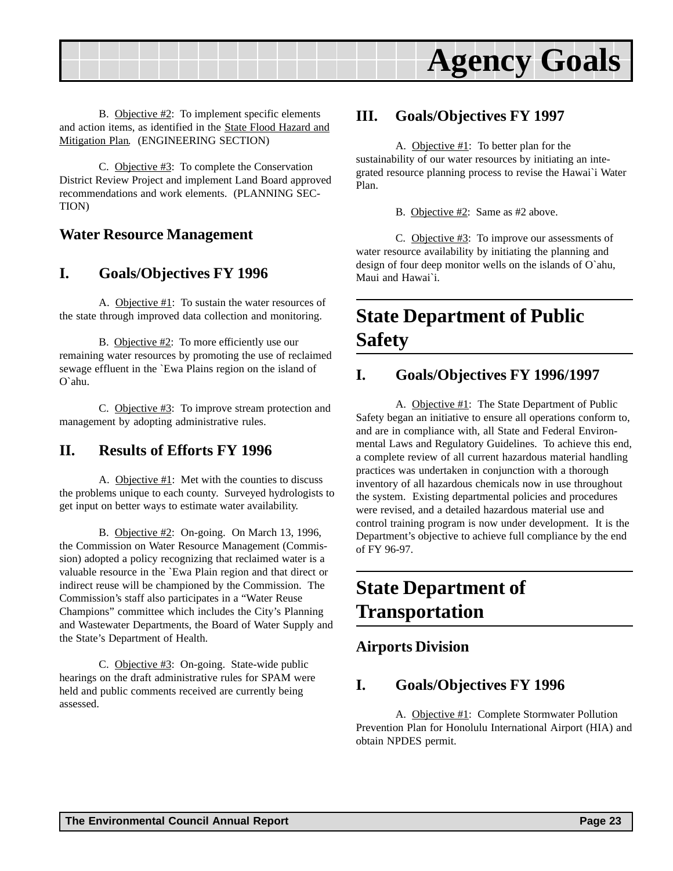<span id="page-22-0"></span>

B. Objective #2: To implement specific elements and action items, as identified in the State Flood Hazard and Mitigation Plan. (ENGINEERING SECTION)

C. Objective #3: To complete the Conservation District Review Project and implement Land Board approved recommendations and work elements. (PLANNING SEC-TION)

#### **Water Resource Management**

#### **I. Goals/Objectives FY 1996**

A. Objective #1: To sustain the water resources of the state through improved data collection and monitoring.

B. Objective #2: To more efficiently use our remaining water resources by promoting the use of reclaimed sewage effluent in the `Ewa Plains region on the island of O`ahu.

C. Objective #3: To improve stream protection and management by adopting administrative rules.

#### **II. Results of Efforts FY 1996**

A. Objective #1: Met with the counties to discuss the problems unique to each county. Surveyed hydrologists to get input on better ways to estimate water availability.

B. Objective #2: On-going. On March 13, 1996, the Commission on Water Resource Management (Commission) adopted a policy recognizing that reclaimed water is a valuable resource in the `Ewa Plain region and that direct or indirect reuse will be championed by the Commission. The Commission's staff also participates in a "Water Reuse Champions" committee which includes the City's Planning and Wastewater Departments, the Board of Water Supply and the State's Department of Health.

C. Objective #3: On-going. State-wide public hearings on the draft administrative rules for SPAM were held and public comments received are currently being assessed.

#### **III. Goals/Objectives FY 1997**

A. Objective #1: To better plan for the sustainability of our water resources by initiating an integrated resource planning process to revise the Hawai`i Water Plan.

B. Objective #2: Same as #2 above.

C. Objective #3: To improve our assessments of water resource availability by initiating the planning and design of four deep monitor wells on the islands of O`ahu, Maui and Hawai`i.

## **State Department of Public Safety**

#### **I. Goals/Objectives FY 1996/1997**

A. Objective #1: The State Department of Public Safety began an initiative to ensure all operations conform to, and are in compliance with, all State and Federal Environmental Laws and Regulatory Guidelines. To achieve this end, a complete review of all current hazardous material handling practices was undertaken in conjunction with a thorough inventory of all hazardous chemicals now in use throughout the system. Existing departmental policies and procedures were revised, and a detailed hazardous material use and control training program is now under development. It is the Department's objective to achieve full compliance by the end of FY 96-97.

## **State Department of Transportation**

#### **Airports Division**

#### **I. Goals/Objectives FY 1996**

A. Objective #1: Complete Stormwater Pollution Prevention Plan for Honolulu International Airport (HIA) and obtain NPDES permit.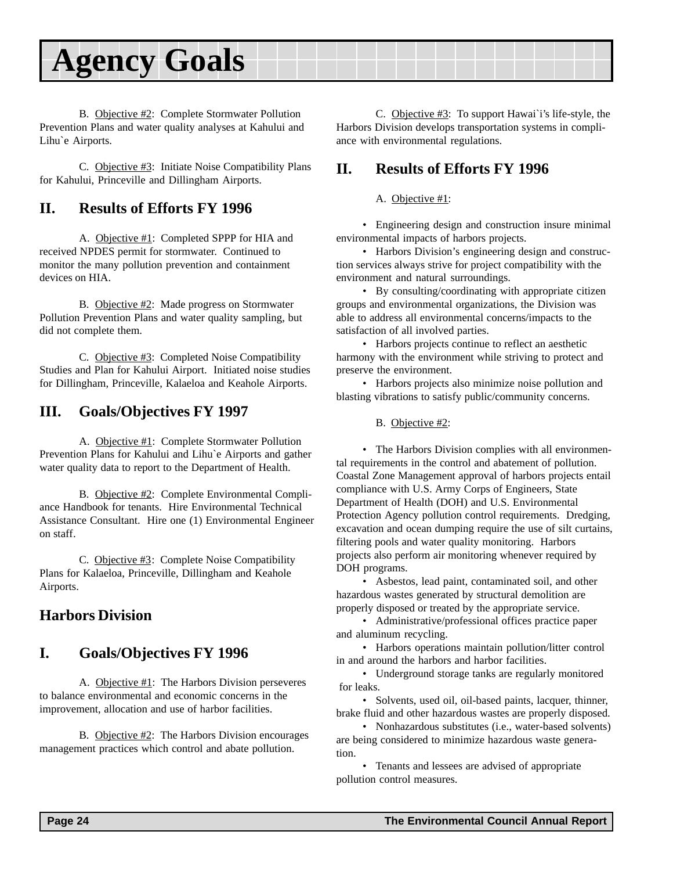<span id="page-23-0"></span>

B. Objective #2: Complete Stormwater Pollution Prevention Plans and water quality analyses at Kahului and Lihu`e Airports.

C. Objective #3: Initiate Noise Compatibility Plans for Kahului, Princeville and Dillingham Airports.

#### **II. Results of Efforts FY 1996**

A. Objective #1: Completed SPPP for HIA and received NPDES permit for stormwater. Continued to monitor the many pollution prevention and containment devices on HIA.

B. Objective #2: Made progress on Stormwater Pollution Prevention Plans and water quality sampling, but did not complete them.

C. Objective #3: Completed Noise Compatibility Studies and Plan for Kahului Airport. Initiated noise studies for Dillingham, Princeville, Kalaeloa and Keahole Airports.

#### **III. Goals/Objectives FY 1997**

A. Objective #1: Complete Stormwater Pollution Prevention Plans for Kahului and Lihu`e Airports and gather water quality data to report to the Department of Health.

B. Objective #2: Complete Environmental Compliance Handbook for tenants. Hire Environmental Technical Assistance Consultant. Hire one (1) Environmental Engineer on staff.

C. Objective #3: Complete Noise Compatibility Plans for Kalaeloa, Princeville, Dillingham and Keahole Airports.

#### **Harbors Division**

#### **I. Goals/Objectives FY 1996**

A. Objective #1: The Harbors Division perseveres to balance environmental and economic concerns in the improvement, allocation and use of harbor facilities.

B. Objective #2: The Harbors Division encourages management practices which control and abate pollution.

C. Objective #3: To support Hawai`i's life-style, the Harbors Division develops transportation systems in compliance with environmental regulations.

#### **II. Results of Efforts FY 1996**

A. Objective #1:

• Engineering design and construction insure minimal environmental impacts of harbors projects.

• Harbors Division's engineering design and construction services always strive for project compatibility with the environment and natural surroundings.

• By consulting/coordinating with appropriate citizen groups and environmental organizations, the Division was able to address all environmental concerns/impacts to the satisfaction of all involved parties.

• Harbors projects continue to reflect an aesthetic harmony with the environment while striving to protect and preserve the environment.

• Harbors projects also minimize noise pollution and blasting vibrations to satisfy public/community concerns.

B. Objective #2:

• The Harbors Division complies with all environmental requirements in the control and abatement of pollution. Coastal Zone Management approval of harbors projects entail compliance with U.S. Army Corps of Engineers, State Department of Health (DOH) and U.S. Environmental Protection Agency pollution control requirements. Dredging, excavation and ocean dumping require the use of silt curtains, filtering pools and water quality monitoring. Harbors projects also perform air monitoring whenever required by DOH programs.

• Asbestos, lead paint, contaminated soil, and other hazardous wastes generated by structural demolition are properly disposed or treated by the appropriate service.

• Administrative/professional offices practice paper and aluminum recycling.

• Harbors operations maintain pollution/litter control in and around the harbors and harbor facilities.

• Underground storage tanks are regularly monitored for leaks.

• Solvents, used oil, oil-based paints, lacquer, thinner, brake fluid and other hazardous wastes are properly disposed.

• Nonhazardous substitutes (i.e., water-based solvents) are being considered to minimize hazardous waste generation.

• Tenants and lessees are advised of appropriate pollution control measures.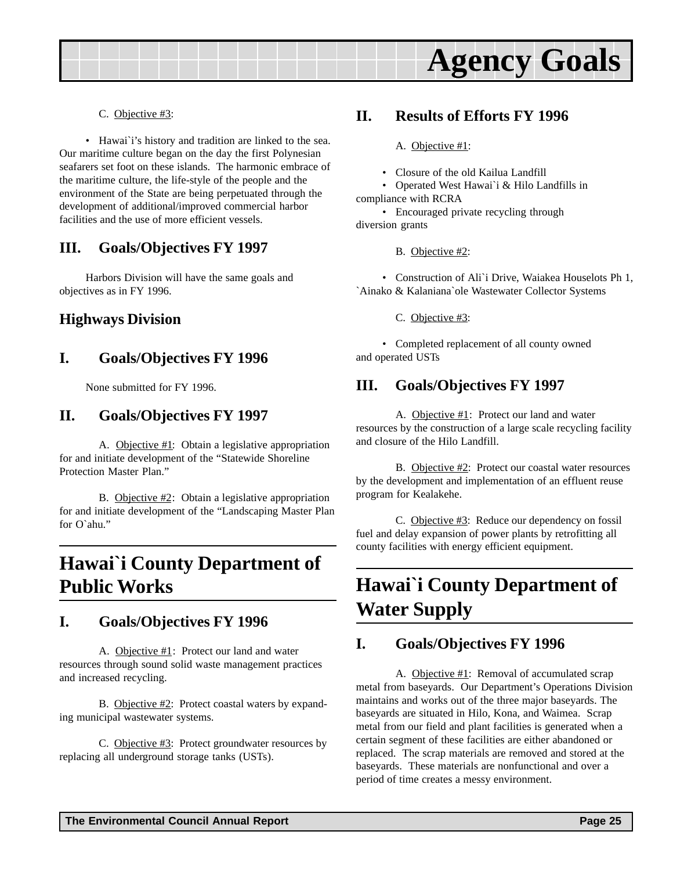<span id="page-24-0"></span>

C. Objective #3:

• Hawai`i's history and tradition are linked to the sea. Our maritime culture began on the day the first Polynesian seafarers set foot on these islands. The harmonic embrace of the maritime culture, the life-style of the people and the environment of the State are being perpetuated through the development of additional/improved commercial harbor facilities and the use of more efficient vessels.

#### **III. Goals/Objectives FY 1997**

Harbors Division will have the same goals and objectives as in FY 1996.

#### **Highways Division**

#### **I. Goals/Objectives FY 1996**

None submitted for FY 1996.

#### **II. Goals/Objectives FY 1997**

A. Objective  $#1$ : Obtain a legislative appropriation for and initiate development of the "Statewide Shoreline Protection Master Plan."

B. Objective #2: Obtain a legislative appropriation for and initiate development of the "Landscaping Master Plan for O`ahu."

### **Hawai`i County Department of Public Works**

#### **I. Goals/Objectives FY 1996**

A. Objective #1: Protect our land and water resources through sound solid waste management practices and increased recycling.

B. Objective #2: Protect coastal waters by expanding municipal wastewater systems.

C. Objective  $\#3$ : Protect groundwater resources by replacing all underground storage tanks (USTs).

#### **II. Results of Efforts FY 1996**

A. Objective #1:

• Closure of the old Kailua Landfill

• Operated West Hawai`i & Hilo Landfills in compliance with RCRA

• Encouraged private recycling through diversion grants

B. Objective #2:

• Construction of Ali`i Drive, Waiakea Houselots Ph 1, `Ainako & Kalaniana`ole Wastewater Collector Systems

C. Objective #3:

• Completed replacement of all county owned and operated USTs

#### **III. Goals/Objectives FY 1997**

A. Objective #1: Protect our land and water resources by the construction of a large scale recycling facility and closure of the Hilo Landfill.

B. Objective #2: Protect our coastal water resources by the development and implementation of an effluent reuse program for Kealakehe.

C. Objective #3: Reduce our dependency on fossil fuel and delay expansion of power plants by retrofitting all county facilities with energy efficient equipment.

## **Hawai`i County Department of Water Supply**

#### **I. Goals/Objectives FY 1996**

A. Objective #1: Removal of accumulated scrap metal from baseyards. Our Department's Operations Division maintains and works out of the three major baseyards. The baseyards are situated in Hilo, Kona, and Waimea. Scrap metal from our field and plant facilities is generated when a certain segment of these facilities are either abandoned or replaced. The scrap materials are removed and stored at the baseyards. These materials are nonfunctional and over a period of time creates a messy environment.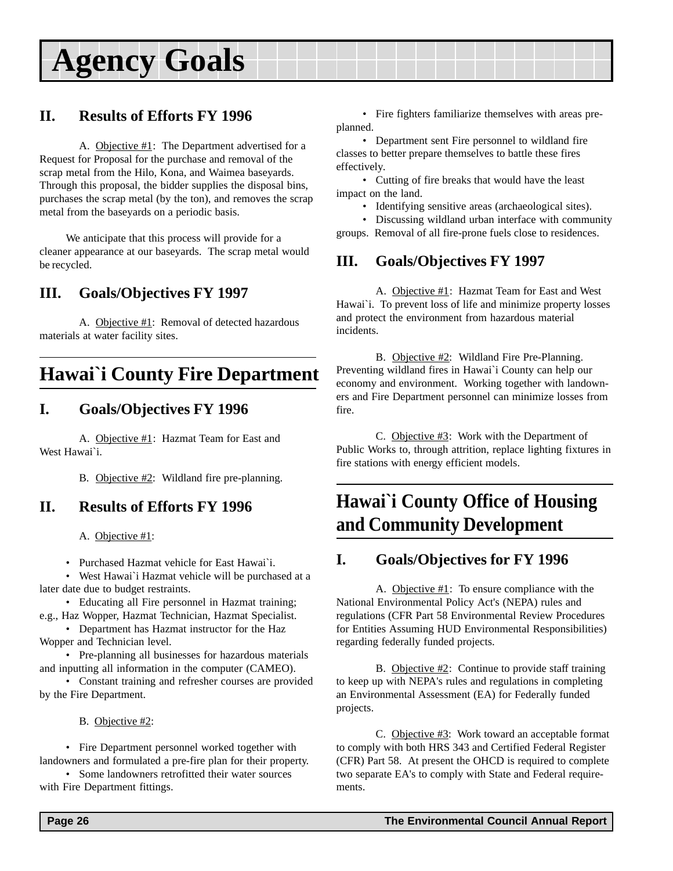### <span id="page-25-0"></span>**II. Results of Efforts FY 1996**

A. Objective #1: The Department advertised for a Request for Proposal for the purchase and removal of the scrap metal from the Hilo, Kona, and Waimea baseyards. Through this proposal, the bidder supplies the disposal bins, purchases the scrap metal (by the ton), and removes the scrap metal from the baseyards on a periodic basis.

We anticipate that this process will provide for a cleaner appearance at our baseyards. The scrap metal would be recycled.

### **III. Goals/Objectives FY 1997**

A. Objective #1: Removal of detected hazardous materials at water facility sites.

### **Hawai`i County Fire Department**

#### **I. Goals/Objectives FY 1996**

A. Objective #1: Hazmat Team for East and West Hawai`i.

B. Objective #2: Wildland fire pre-planning.

#### **II. Results of Efforts FY 1996**

A. Objective #1:

• Purchased Hazmat vehicle for East Hawai`i.

• West Hawai`i Hazmat vehicle will be purchased at a later date due to budget restraints.

• Educating all Fire personnel in Hazmat training; e.g., Haz Wopper, Hazmat Technician, Hazmat Specialist.

• Department has Hazmat instructor for the Haz Wopper and Technician level.

• Pre-planning all businesses for hazardous materials and inputting all information in the computer (CAMEO).

• Constant training and refresher courses are provided by the Fire Department.

B. Objective #2:

• Fire Department personnel worked together with landowners and formulated a pre-fire plan for their property.

• Some landowners retrofitted their water sources with Fire Department fittings.

• Fire fighters familiarize themselves with areas preplanned.

• Department sent Fire personnel to wildland fire classes to better prepare themselves to battle these fires effectively.

• Cutting of fire breaks that would have the least impact on the land.

• Identifying sensitive areas (archaeological sites).

• Discussing wildland urban interface with community groups. Removal of all fire-prone fuels close to residences.

### **III. Goals/Objectives FY 1997**

A. Objective #1: Hazmat Team for East and West Hawai`i. To prevent loss of life and minimize property losses and protect the environment from hazardous material incidents.

B. Objective #2: Wildland Fire Pre-Planning. Preventing wildland fires in Hawai`i County can help our economy and environment. Working together with landowners and Fire Department personnel can minimize losses from fire.

C. Objective #3: Work with the Department of Public Works to, through attrition, replace lighting fixtures in fire stations with energy efficient models.

## **Hawai`i County Office of Housing and Community Development**

#### **I. Goals/Objectives for FY 1996**

A. Objective #1: To ensure compliance with the National Environmental Policy Act's (NEPA) rules and regulations (CFR Part 58 Environmental Review Procedures for Entities Assuming HUD Environmental Responsibilities) regarding federally funded projects.

B. Objective  $#2$ : Continue to provide staff training to keep up with NEPA's rules and regulations in completing an Environmental Assessment (EA) for Federally funded projects.

C. Objective #3: Work toward an acceptable format to comply with both HRS 343 and Certified Federal Register (CFR) Part 58. At present the OHCD is required to complete two separate EA's to comply with State and Federal requirements.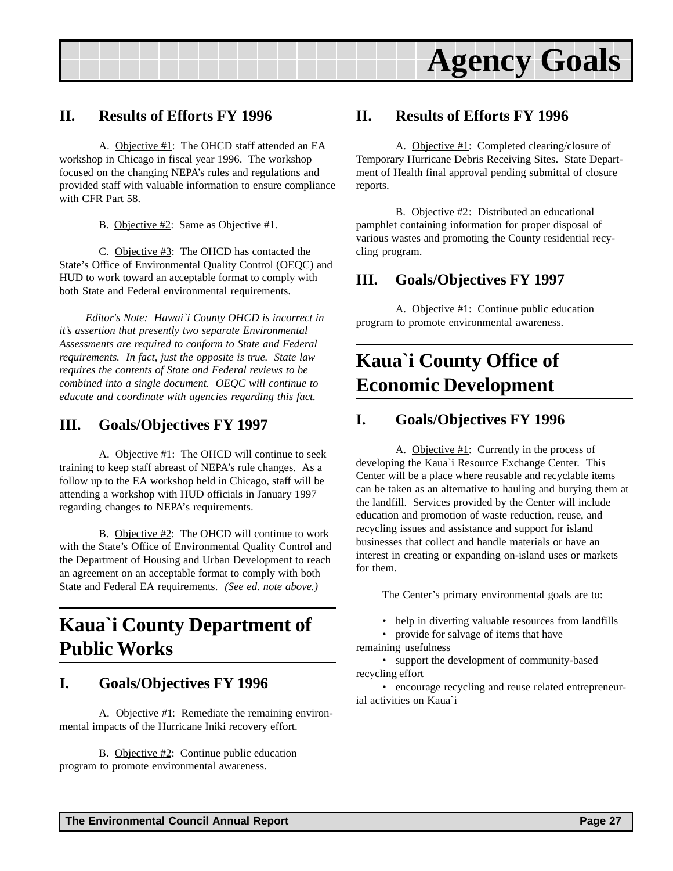<span id="page-26-0"></span>

#### **II. Results of Efforts FY 1996**

A. Objective #1: The OHCD staff attended an EA workshop in Chicago in fiscal year 1996. The workshop focused on the changing NEPA's rules and regulations and provided staff with valuable information to ensure compliance with CFR Part 58.

B. Objective #2: Same as Objective #1.

C. Objective #3: The OHCD has contacted the State's Office of Environmental Quality Control (OEQC) and HUD to work toward an acceptable format to comply with both State and Federal environmental requirements.

*Editor's Note: Hawai`i County OHCD is incorrect in it's assertion that presently two separate Environmental Assessments are required to conform to State and Federal requirements. In fact, just the opposite is true. State law requires the contents of State and Federal reviews to be combined into a single document. OEQC will continue to educate and coordinate with agencies regarding this fact.*

#### **III. Goals/Objectives FY 1997**

A. Objective #1: The OHCD will continue to seek training to keep staff abreast of NEPA's rule changes. As a follow up to the EA workshop held in Chicago, staff will be attending a workshop with HUD officials in January 1997 regarding changes to NEPA's requirements.

B. Objective #2: The OHCD will continue to work with the State's Office of Environmental Quality Control and the Department of Housing and Urban Development to reach an agreement on an acceptable format to comply with both State and Federal EA requirements. *(See ed. note above.)*

## **Kaua`i County Department of Public Works**

#### **I. Goals/Objectives FY 1996**

A. Objective #1: Remediate the remaining environmental impacts of the Hurricane Iniki recovery effort.

B. Objective #2: Continue public education program to promote environmental awareness.

#### **II. Results of Efforts FY 1996**

A. Objective #1: Completed clearing/closure of Temporary Hurricane Debris Receiving Sites. State Department of Health final approval pending submittal of closure reports.

B. Objective #2: Distributed an educational pamphlet containing information for proper disposal of various wastes and promoting the County residential recycling program.

### **III. Goals/Objectives FY 1997**

A. Objective #1: Continue public education program to promote environmental awareness.

## **Kaua`i County Office of Economic Development**

#### **I. Goals/Objectives FY 1996**

A. Objective #1: Currently in the process of developing the Kaua`i Resource Exchange Center. This Center will be a place where reusable and recyclable items can be taken as an alternative to hauling and burying them at the landfill. Services provided by the Center will include education and promotion of waste reduction, reuse, and recycling issues and assistance and support for island businesses that collect and handle materials or have an interest in creating or expanding on-island uses or markets for them.

The Center's primary environmental goals are to:

- help in diverting valuable resources from landfills
- provide for salvage of items that have remaining usefulness

• support the development of community-based recycling effort

• encourage recycling and reuse related entrepreneurial activities on Kaua`i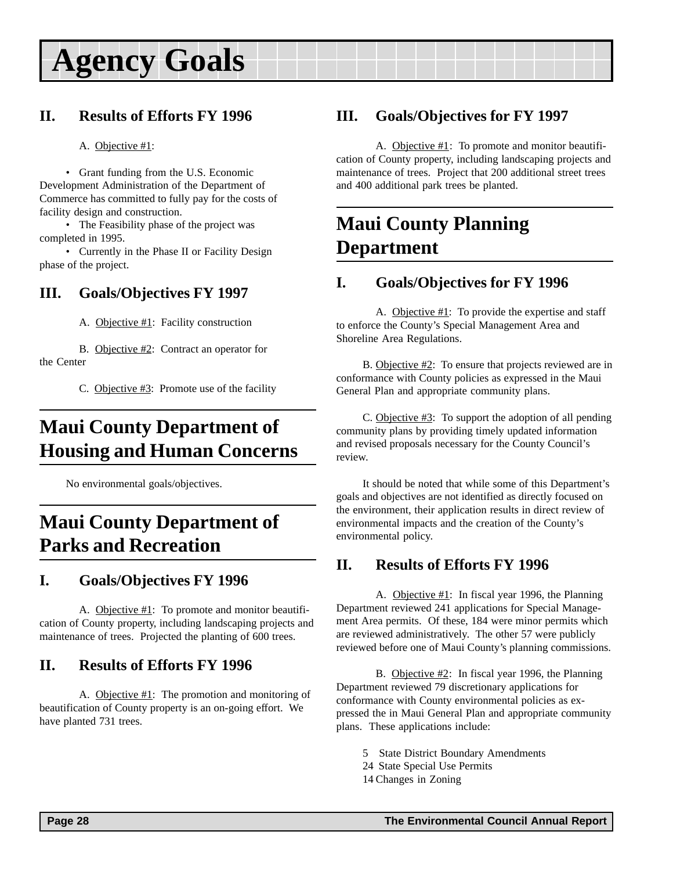### <span id="page-27-0"></span>**II. Results of Efforts FY 1996**

#### A. Objective #1:

• Grant funding from the U.S. Economic Development Administration of the Department of Commerce has committed to fully pay for the costs of facility design and construction.

• The Feasibility phase of the project was completed in 1995.

• Currently in the Phase II or Facility Design phase of the project.

### **III. Goals/Objectives FY 1997**

A. Objective #1: Facility construction

B. Objective #2: Contract an operator for the Center

C. Objective #3: Promote use of the facility

## **Maui County Department of Housing and Human Concerns**

No environmental goals/objectives.

### **Maui County Department of Parks and Recreation**

### **I. Goals/Objectives FY 1996**

A. Objective #1: To promote and monitor beautification of County property, including landscaping projects and maintenance of trees. Projected the planting of 600 trees.

#### **II. Results of Efforts FY 1996**

A. Objective #1: The promotion and monitoring of beautification of County property is an on-going effort. We have planted 731 trees.

### **III. Goals/Objectives for FY 1997**

A. Objective #1: To promote and monitor beautification of County property, including landscaping projects and maintenance of trees. Project that 200 additional street trees and 400 additional park trees be planted.

### **Maui County Planning Department**

### **I. Goals/Objectives for FY 1996**

A. Objective  $#1$ : To provide the expertise and staff to enforce the County's Special Management Area and Shoreline Area Regulations.

B. Objective #2: To ensure that projects reviewed are in conformance with County policies as expressed in the Maui General Plan and appropriate community plans.

C. Objective #3: To support the adoption of all pending community plans by providing timely updated information and revised proposals necessary for the County Council's review.

It should be noted that while some of this Department's goals and objectives are not identified as directly focused on the environment, their application results in direct review of environmental impacts and the creation of the County's environmental policy.

### **II. Results of Efforts FY 1996**

A. Objective #1: In fiscal year 1996, the Planning Department reviewed 241 applications for Special Management Area permits. Of these, 184 were minor permits which are reviewed administratively. The other 57 were publicly reviewed before one of Maui County's planning commissions.

B. Objective #2: In fiscal year 1996, the Planning Department reviewed 79 discretionary applications for conformance with County environmental policies as expressed the in Maui General Plan and appropriate community plans. These applications include:

- 5 State District Boundary Amendments
- 24 State Special Use Permits
- 14 Changes in Zoning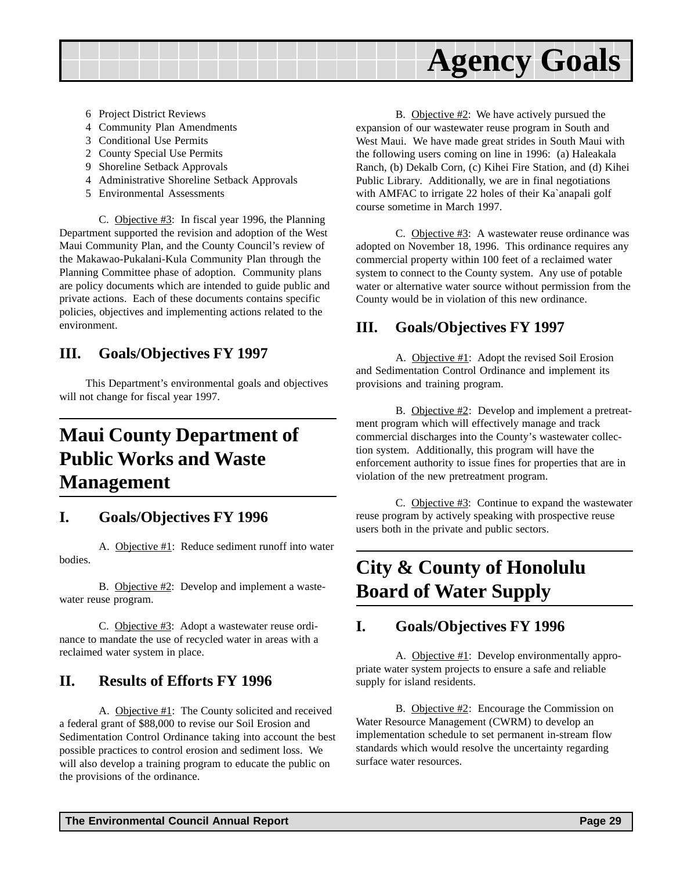<span id="page-28-0"></span>

- 6 Project District Reviews
- 4 Community Plan Amendments
- 3 Conditional Use Permits
- 2 County Special Use Permits
- 9 Shoreline Setback Approvals
- 4 Administrative Shoreline Setback Approvals
- 5 Environmental Assessments

C. Objective  $\#3$ : In fiscal year 1996, the Planning Department supported the revision and adoption of the West Maui Community Plan, and the County Council's review of the Makawao-Pukalani-Kula Community Plan through the Planning Committee phase of adoption. Community plans are policy documents which are intended to guide public and private actions. Each of these documents contains specific policies, objectives and implementing actions related to the environment.

#### **III. Goals/Objectives FY 1997**

This Department's environmental goals and objectives will not change for fiscal year 1997.

## **Maui County Department of Public Works and Waste Management**

#### **I. Goals/Objectives FY 1996**

A. Objective #1: Reduce sediment runoff into water bodies.

B. Objective #2: Develop and implement a wastewater reuse program.

C. Objective #3: Adopt a wastewater reuse ordinance to mandate the use of recycled water in areas with a reclaimed water system in place.

#### **II. Results of Efforts FY 1996**

A. Objective #1: The County solicited and received a federal grant of \$88,000 to revise our Soil Erosion and Sedimentation Control Ordinance taking into account the best possible practices to control erosion and sediment loss. We will also develop a training program to educate the public on the provisions of the ordinance.

B. Objective #2: We have actively pursued the expansion of our wastewater reuse program in South and West Maui. We have made great strides in South Maui with the following users coming on line in 1996: (a) Haleakala Ranch, (b) Dekalb Corn, (c) Kihei Fire Station, and (d) Kihei Public Library. Additionally, we are in final negotiations with AMFAC to irrigate 22 holes of their Ka`anapali golf course sometime in March 1997.

C. Objective #3: A wastewater reuse ordinance was adopted on November 18, 1996. This ordinance requires any commercial property within 100 feet of a reclaimed water system to connect to the County system. Any use of potable water or alternative water source without permission from the County would be in violation of this new ordinance.

#### **III. Goals/Objectives FY 1997**

A. Objective #1: Adopt the revised Soil Erosion and Sedimentation Control Ordinance and implement its provisions and training program.

B. Objective #2: Develop and implement a pretreatment program which will effectively manage and track commercial discharges into the County's wastewater collection system. Additionally, this program will have the enforcement authority to issue fines for properties that are in violation of the new pretreatment program.

C. Objective  $\#3$ : Continue to expand the wastewater reuse program by actively speaking with prospective reuse users both in the private and public sectors.

### **City & County of Honolulu Board of Water Supply**

#### **I. Goals/Objectives FY 1996**

A. Objective #1: Develop environmentally appropriate water system projects to ensure a safe and reliable supply for island residents.

B. Objective  $\#2$ : Encourage the Commission on Water Resource Management (CWRM) to develop an implementation schedule to set permanent in-stream flow standards which would resolve the uncertainty regarding surface water resources.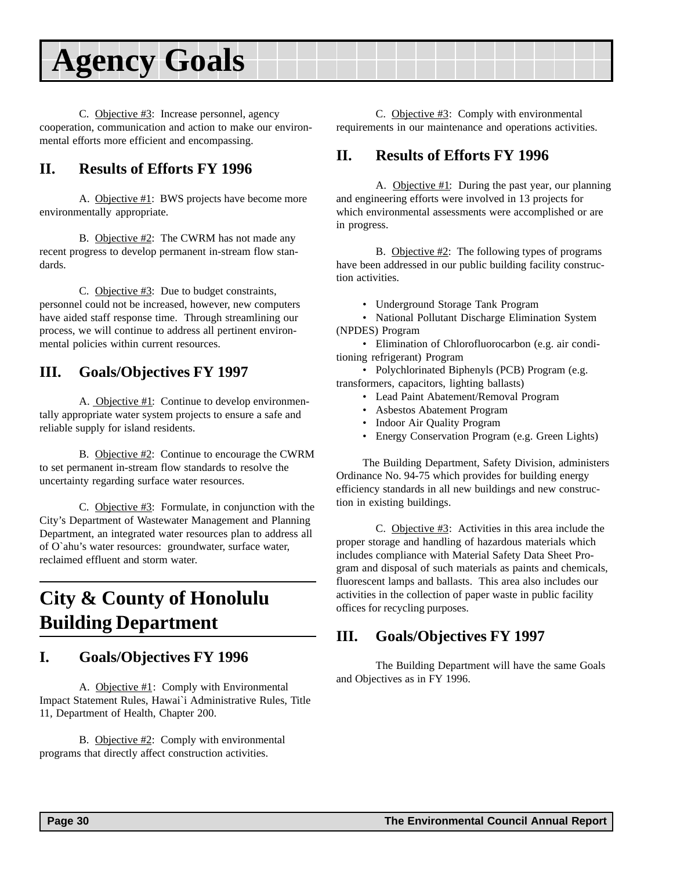<span id="page-29-0"></span>C. Objective #3: Increase personnel, agency cooperation, communication and action to make our environmental efforts more efficient and encompassing.

### **II. Results of Efforts FY 1996**

A. Objective #1: BWS projects have become more environmentally appropriate.

B. Objective #2: The CWRM has not made any recent progress to develop permanent in-stream flow standards.

C. Objective  $\#3$ : Due to budget constraints, personnel could not be increased, however, new computers have aided staff response time. Through streamlining our process, we will continue to address all pertinent environmental policies within current resources.

#### **III. Goals/Objectives FY 1997**

A. Objective #1: Continue to develop environmentally appropriate water system projects to ensure a safe and reliable supply for island residents.

B. Objective #2: Continue to encourage the CWRM to set permanent in-stream flow standards to resolve the uncertainty regarding surface water resources.

C. Objective  $\#3$ : Formulate, in conjunction with the City's Department of Wastewater Management and Planning Department, an integrated water resources plan to address all of O`ahu's water resources: groundwater, surface water, reclaimed effluent and storm water.

## **City & County of Honolulu Building Department**

#### **I. Goals/Objectives FY 1996**

A. Objective #1: Comply with Environmental Impact Statement Rules, Hawai`i Administrative Rules, Title 11, Department of Health, Chapter 200.

B. Objective #2: Comply with environmental programs that directly affect construction activities.

C. Objective #3: Comply with environmental requirements in our maintenance and operations activities.

#### **II. Results of Efforts FY 1996**

A. Objective #1: During the past year, our planning and engineering efforts were involved in 13 projects for which environmental assessments were accomplished or are in progress.

B. Objective #2: The following types of programs have been addressed in our public building facility construction activities.

• Underground Storage Tank Program

• National Pollutant Discharge Elimination System (NPDES) Program

• Elimination of Chlorofluorocarbon (e.g. air conditioning refrigerant) Program

• Polychlorinated Biphenyls (PCB) Program (e.g. transformers, capacitors, lighting ballasts)

- Lead Paint Abatement/Removal Program
- Asbestos Abatement Program
- Indoor Air Quality Program
- Energy Conservation Program (e.g. Green Lights)

The Building Department, Safety Division, administers Ordinance No. 94-75 which provides for building energy efficiency standards in all new buildings and new construction in existing buildings.

C. Objective #3: Activities in this area include the proper storage and handling of hazardous materials which includes compliance with Material Safety Data Sheet Program and disposal of such materials as paints and chemicals, fluorescent lamps and ballasts. This area also includes our activities in the collection of paper waste in public facility offices for recycling purposes.

#### **III. Goals/Objectives FY 1997**

The Building Department will have the same Goals and Objectives as in FY 1996.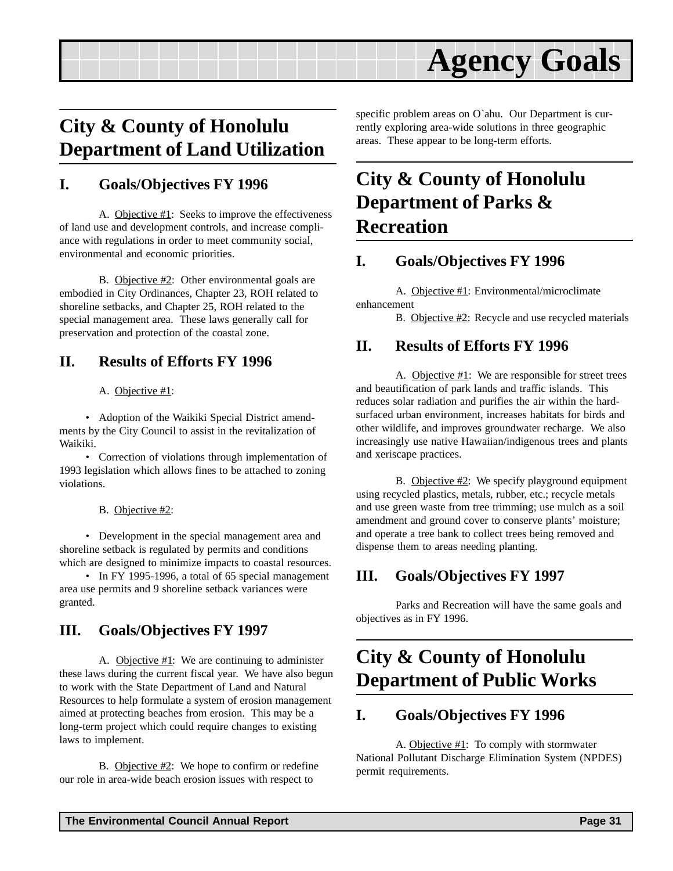## <span id="page-30-0"></span>**City & County of Honolulu Department of Land Utilization**

#### **I. Goals/Objectives FY 1996**

A. Objective #1: Seeks to improve the effectiveness of land use and development controls, and increase compliance with regulations in order to meet community social, environmental and economic priorities.

B. Objective #2: Other environmental goals are embodied in City Ordinances, Chapter 23, ROH related to shoreline setbacks, and Chapter 25, ROH related to the special management area. These laws generally call for preservation and protection of the coastal zone.

### **II. Results of Efforts FY 1996**

#### A. Objective #1:

• Adoption of the Waikiki Special District amendments by the City Council to assist in the revitalization of Waikiki.

• Correction of violations through implementation of 1993 legislation which allows fines to be attached to zoning violations.

B. Objective #2:

• Development in the special management area and shoreline setback is regulated by permits and conditions which are designed to minimize impacts to coastal resources.

• In FY 1995-1996, a total of 65 special management area use permits and 9 shoreline setback variances were granted.

### **III. Goals/Objectives FY 1997**

A. Objective #1: We are continuing to administer these laws during the current fiscal year. We have also begun to work with the State Department of Land and Natural Resources to help formulate a system of erosion management aimed at protecting beaches from erosion. This may be a long-term project which could require changes to existing laws to implement.

B. Objective #2: We hope to confirm or redefine our role in area-wide beach erosion issues with respect to

specific problem areas on O`ahu. Our Department is currently exploring area-wide solutions in three geographic areas. These appear to be long-term efforts.

## **City & County of Honolulu Department of Parks & Recreation**

### **I. Goals/Objectives FY 1996**

A. Objective #1: Environmental/microclimate enhancement

B. Objective #2: Recycle and use recycled materials

#### **II. Results of Efforts FY 1996**

A. Objective  $#1$ : We are responsible for street trees and beautification of park lands and traffic islands. This reduces solar radiation and purifies the air within the hardsurfaced urban environment, increases habitats for birds and other wildlife, and improves groundwater recharge. We also increasingly use native Hawaiian/indigenous trees and plants and xeriscape practices.

B. Objective #2: We specify playground equipment using recycled plastics, metals, rubber, etc.; recycle metals and use green waste from tree trimming; use mulch as a soil amendment and ground cover to conserve plants' moisture; and operate a tree bank to collect trees being removed and dispense them to areas needing planting.

### **III. Goals/Objectives FY 1997**

Parks and Recreation will have the same goals and objectives as in FY 1996.

## **City & County of Honolulu Department of Public Works**

#### **I. Goals/Objectives FY 1996**

A. Objective #1: To comply with stormwater National Pollutant Discharge Elimination System (NPDES) permit requirements.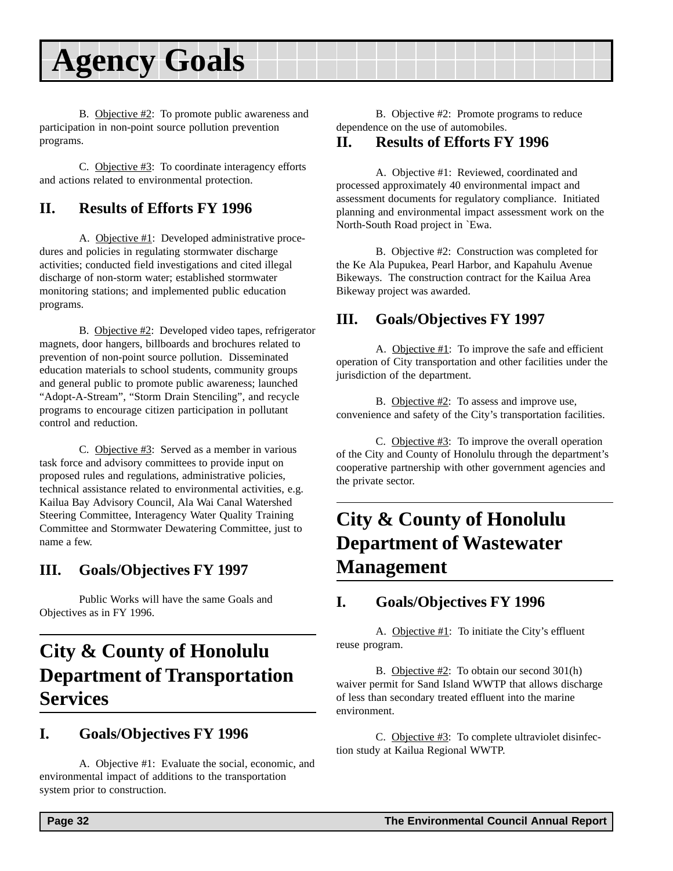<span id="page-31-0"></span>B. Objective #2: To promote public awareness and participation in non-point source pollution prevention programs.

C. Objective #3: To coordinate interagency efforts and actions related to environmental protection.

### **II. Results of Efforts FY 1996**

A. Objective #1: Developed administrative procedures and policies in regulating stormwater discharge activities; conducted field investigations and cited illegal discharge of non-storm water; established stormwater monitoring stations; and implemented public education programs.

B. Objective #2: Developed video tapes, refrigerator magnets, door hangers, billboards and brochures related to prevention of non-point source pollution. Disseminated education materials to school students, community groups and general public to promote public awareness; launched "Adopt-A-Stream", "Storm Drain Stenciling", and recycle programs to encourage citizen participation in pollutant control and reduction.

C. Objective #3: Served as a member in various task force and advisory committees to provide input on proposed rules and regulations, administrative policies, technical assistance related to environmental activities, e.g. Kailua Bay Advisory Council, Ala Wai Canal Watershed Steering Committee, Interagency Water Quality Training Committee and Stormwater Dewatering Committee, just to name a few.

### **III. Goals/Objectives FY 1997**

Public Works will have the same Goals and Objectives as in FY 1996.

## **City & County of Honolulu Department of Transportation Services**

#### **I. Goals/Objectives FY 1996**

A. Objective #1: Evaluate the social, economic, and environmental impact of additions to the transportation system prior to construction.

#### **II. Results of Efforts FY 1996**

A. Objective #1: Reviewed, coordinated and processed approximately 40 environmental impact and assessment documents for regulatory compliance. Initiated planning and environmental impact assessment work on the North-South Road project in `Ewa.

B. Objective #2: Construction was completed for the Ke Ala Pupukea, Pearl Harbor, and Kapahulu Avenue Bikeways. The construction contract for the Kailua Area Bikeway project was awarded.

#### **III. Goals/Objectives FY 1997**

A. Objective #1: To improve the safe and efficient operation of City transportation and other facilities under the jurisdiction of the department.

B. Objective #2: To assess and improve use, convenience and safety of the City's transportation facilities.

C. Objective #3: To improve the overall operation of the City and County of Honolulu through the department's cooperative partnership with other government agencies and the private sector.

## **City & County of Honolulu Department of Wastewater Management**

#### **I. Goals/Objectives FY 1996**

A. Objective  $#1$ : To initiate the City's effluent reuse program.

B. Objective #2: To obtain our second 301(h) waiver permit for Sand Island WWTP that allows discharge of less than secondary treated effluent into the marine environment.

C. Objective  $\#3$ : To complete ultraviolet disinfection study at Kailua Regional WWTP.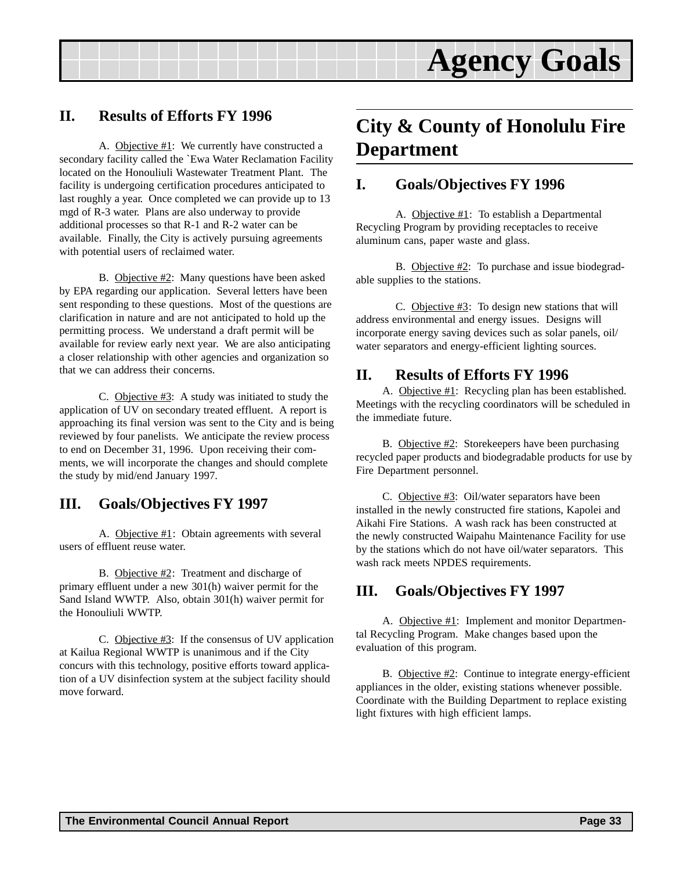

#### <span id="page-32-0"></span>**II. Results of Efforts FY 1996**

A. Objective #1: We currently have constructed a secondary facility called the `Ewa Water Reclamation Facility located on the Honouliuli Wastewater Treatment Plant. The facility is undergoing certification procedures anticipated to last roughly a year. Once completed we can provide up to 13 mgd of R-3 water. Plans are also underway to provide additional processes so that R-1 and R-2 water can be available. Finally, the City is actively pursuing agreements with potential users of reclaimed water.

B. Objective #2: Many questions have been asked by EPA regarding our application. Several letters have been sent responding to these questions. Most of the questions are clarification in nature and are not anticipated to hold up the permitting process. We understand a draft permit will be available for review early next year. We are also anticipating a closer relationship with other agencies and organization so that we can address their concerns.

C. Objective #3: A study was initiated to study the application of UV on secondary treated effluent. A report is approaching its final version was sent to the City and is being reviewed by four panelists. We anticipate the review process to end on December 31, 1996. Upon receiving their comments, we will incorporate the changes and should complete the study by mid/end January 1997.

#### **III. Goals/Objectives FY 1997**

A. Objective #1: Obtain agreements with several users of effluent reuse water.

B. Objective #2: Treatment and discharge of primary effluent under a new 301(h) waiver permit for the Sand Island WWTP. Also, obtain 301(h) waiver permit for the Honouliuli WWTP.

C. Objective #3: If the consensus of UV application at Kailua Regional WWTP is unanimous and if the City concurs with this technology, positive efforts toward application of a UV disinfection system at the subject facility should move forward.

### **City & County of Honolulu Fire Department**

#### **I. Goals/Objectives FY 1996**

A. Objective #1: To establish a Departmental Recycling Program by providing receptacles to receive aluminum cans, paper waste and glass.

B. Objective #2: To purchase and issue biodegradable supplies to the stations.

C. Objective  $\#3$ : To design new stations that will address environmental and energy issues. Designs will incorporate energy saving devices such as solar panels, oil/ water separators and energy-efficient lighting sources.

#### **II. Results of Efforts FY 1996**

A. Objective #1: Recycling plan has been established. Meetings with the recycling coordinators will be scheduled in the immediate future.

B. Objective #2: Storekeepers have been purchasing recycled paper products and biodegradable products for use by Fire Department personnel.

C. Objective #3: Oil/water separators have been installed in the newly constructed fire stations, Kapolei and Aikahi Fire Stations. A wash rack has been constructed at the newly constructed Waipahu Maintenance Facility for use by the stations which do not have oil/water separators. This wash rack meets NPDES requirements.

#### **III. Goals/Objectives FY 1997**

A. Objective #1: Implement and monitor Departmental Recycling Program. Make changes based upon the evaluation of this program.

B. Objective #2: Continue to integrate energy-efficient appliances in the older, existing stations whenever possible. Coordinate with the Building Department to replace existing light fixtures with high efficient lamps.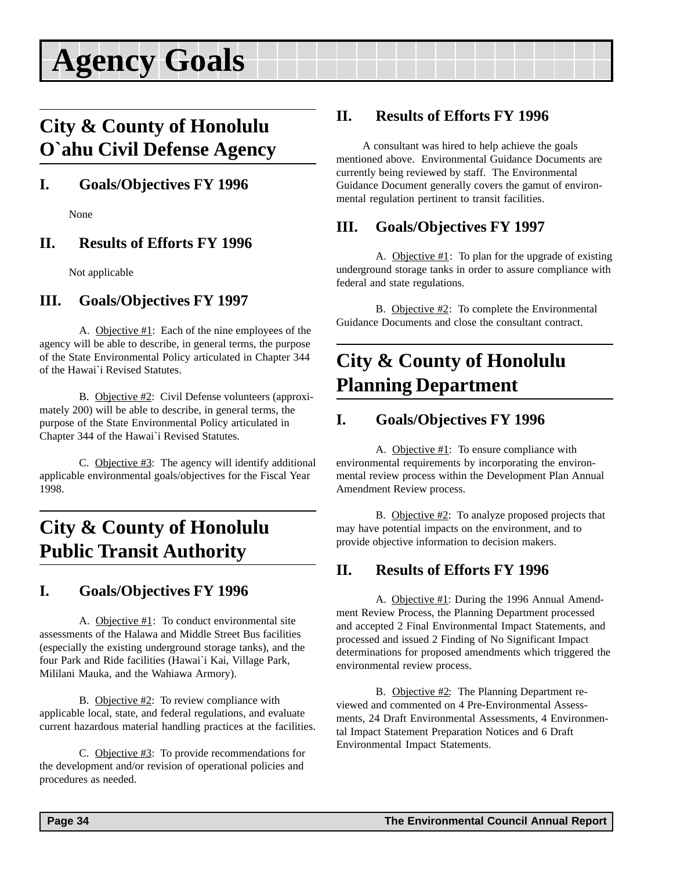### <span id="page-33-0"></span>**City & County of Honolulu O`ahu Civil Defense Agency**

### **I. Goals/Objectives FY 1996**

None

### **II. Results of Efforts FY 1996**

Not applicable

### **III. Goals/Objectives FY 1997**

A. Objective #1: Each of the nine employees of the agency will be able to describe, in general terms, the purpose of the State Environmental Policy articulated in Chapter 344 of the Hawai`i Revised Statutes.

B. Objective #2: Civil Defense volunteers (approximately 200) will be able to describe, in general terms, the purpose of the State Environmental Policy articulated in Chapter 344 of the Hawai`i Revised Statutes.

C. Objective #3: The agency will identify additional applicable environmental goals/objectives for the Fiscal Year 1998.

### **City & County of Honolulu Public Transit Authority**

### **I. Goals/Objectives FY 1996**

A. Objective #1: To conduct environmental site assessments of the Halawa and Middle Street Bus facilities (especially the existing underground storage tanks), and the four Park and Ride facilities (Hawai`i Kai, Village Park, Mililani Mauka, and the Wahiawa Armory).

B. Objective #2: To review compliance with applicable local, state, and federal regulations, and evaluate current hazardous material handling practices at the facilities.

C. Objective #3: To provide recommendations for the development and/or revision of operational policies and procedures as needed.

#### **II. Results of Efforts FY 1996**

A consultant was hired to help achieve the goals mentioned above. Environmental Guidance Documents are currently being reviewed by staff. The Environmental Guidance Document generally covers the gamut of environmental regulation pertinent to transit facilities.

### **III. Goals/Objectives FY 1997**

A. Objective #1: To plan for the upgrade of existing underground storage tanks in order to assure compliance with federal and state regulations.

B. Objective #2: To complete the Environmental Guidance Documents and close the consultant contract.

## **City & County of Honolulu Planning Department**

### **I. Goals/Objectives FY 1996**

A. Objective #1: To ensure compliance with environmental requirements by incorporating the environmental review process within the Development Plan Annual Amendment Review process.

B. Objective #2: To analyze proposed projects that may have potential impacts on the environment, and to provide objective information to decision makers.

### **II. Results of Efforts FY 1996**

A. Objective #1: During the 1996 Annual Amendment Review Process, the Planning Department processed and accepted 2 Final Environmental Impact Statements, and processed and issued 2 Finding of No Significant Impact determinations for proposed amendments which triggered the environmental review process.

B. Objective #2: The Planning Department reviewed and commented on 4 Pre-Environmental Assessments, 24 Draft Environmental Assessments, 4 Environmental Impact Statement Preparation Notices and 6 Draft Environmental Impact Statements.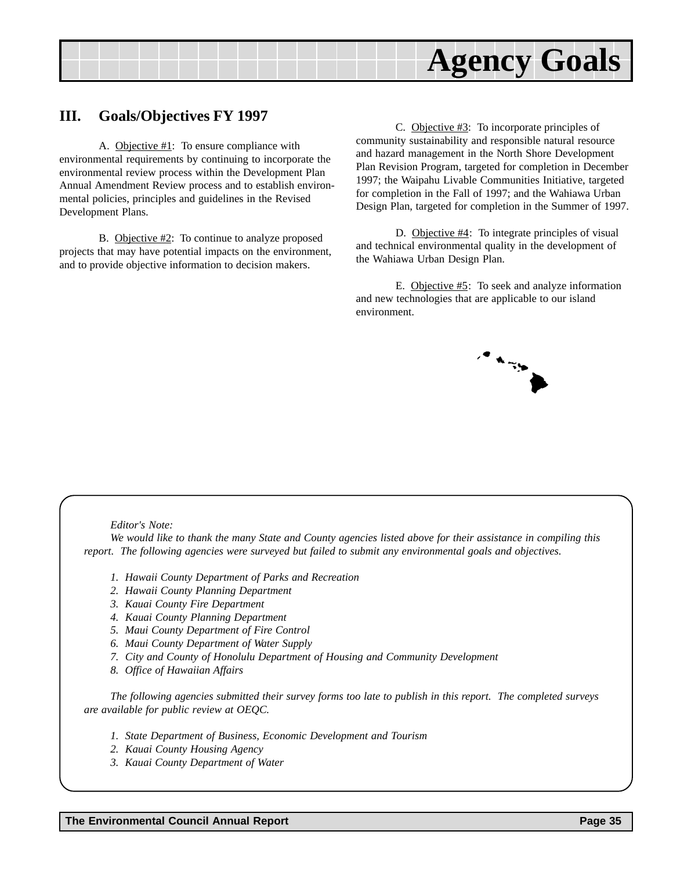

#### **III. Goals/Objectives FY 1997**

A. Objective  $#1$ : To ensure compliance with environmental requirements by continuing to incorporate the environmental review process within the Development Plan Annual Amendment Review process and to establish environmental policies, principles and guidelines in the Revised Development Plans.

B. Objective #2: To continue to analyze proposed projects that may have potential impacts on the environment, and to provide objective information to decision makers.

C. Objective #3: To incorporate principles of community sustainability and responsible natural resource and hazard management in the North Shore Development Plan Revision Program, targeted for completion in December 1997; the Waipahu Livable Communities Initiative, targeted for completion in the Fall of 1997; and the Wahiawa Urban Design Plan, targeted for completion in the Summer of 1997.

D. Objective #4: To integrate principles of visual and technical environmental quality in the development of the Wahiawa Urban Design Plan.

E. Objective #5: To seek and analyze information and new technologies that are applicable to our island environment.



#### *Editor's Note:*

*We would like to thank the many State and County agencies listed above for their assistance in compiling this report. The following agencies were surveyed but failed to submit any environmental goals and objectives.*

- *1. Hawaii County Department of Parks and Recreation*
- *2. Hawaii County Planning Department*
- *3. Kauai County Fire Department*
- *4. Kauai County Planning Department*
- *5. Maui County Department of Fire Control*
- *6. Maui County Department of Water Supply*
- *7. City and County of Honolulu Department of Housing and Community Development*
- *8. Office of Hawaiian Affairs*

*The following agencies submitted their survey forms too late to publish in this report. The completed surveys are available for public review at OEQC.*

- *1. State Department of Business, Economic Development and Tourism*
- *2. Kauai County Housing Agency*
- *3. Kauai County Department of Water*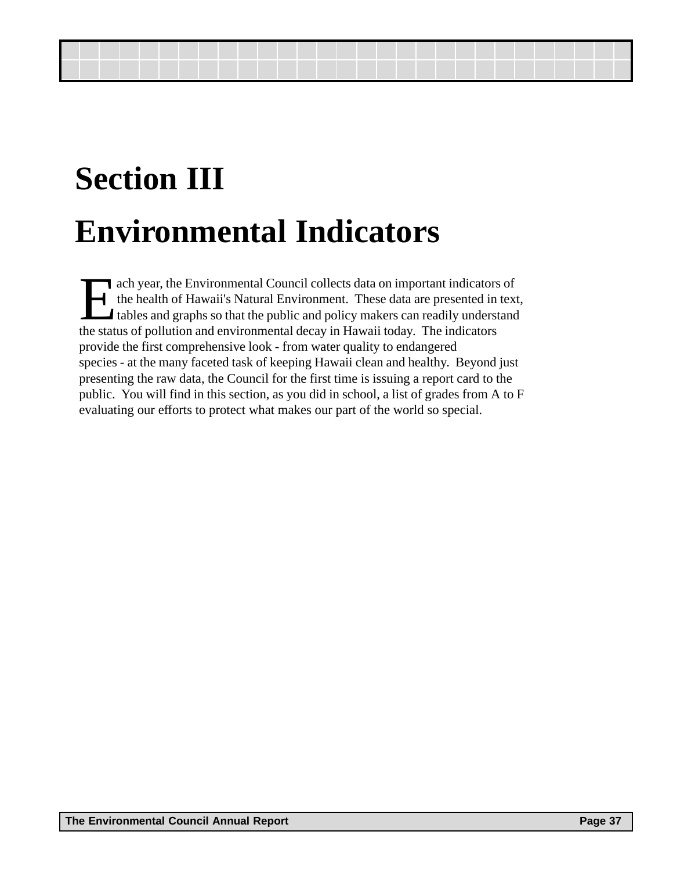# **Section III Environmental Indicators**

ach year, the Environmental Council collects data on important indicators of<br>the health of Hawaii's Natural Environment. These data are presented in tex<br>tables and graphs so that the public and policy makers can readily un the health of Hawaii's Natural Environment. These data are presented in text, tables and graphs so that the public and policy makers can readily understand the status of pollution and environmental decay in Hawaii today. The indicators provide the first comprehensive look - from water quality to endangered species - at the many faceted task of keeping Hawaii clean and healthy. Beyond just presenting the raw data, the Council for the first time is issuing a report card to the public. You will find in this section, as you did in school, a list of grades from A to F evaluating our efforts to protect what makes our part of the world so special.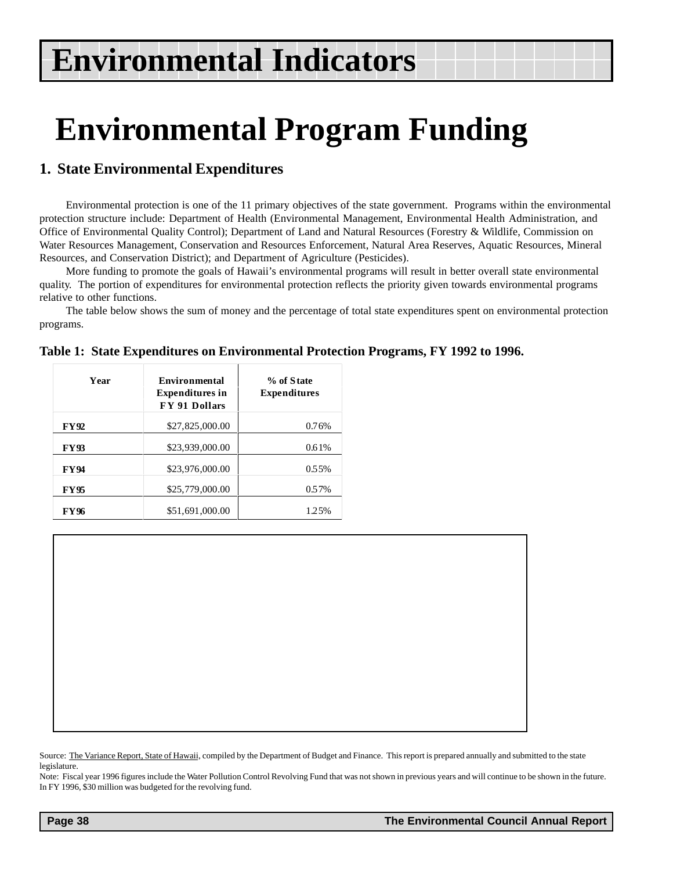# <span id="page-37-0"></span>**Environmental Program Funding**

### **1. State Environmental Expenditures**

Environmental protection is one of the 11 primary objectives of the state government. Programs within the environmental protection structure include: Department of Health (Environmental Management, Environmental Health Administration, and Office of Environmental Quality Control); Department of Land and Natural Resources (Forestry & Wildlife, Commission on Water Resources Management, Conservation and Resources Enforcement, Natural Area Reserves, Aquatic Resources, Mineral Resources, and Conservation District); and Department of Agriculture (Pesticides).

More funding to promote the goals of Hawaii's environmental programs will result in better overall state environmental quality. The portion of expenditures for environmental protection reflects the priority given towards environmental programs relative to other functions.

The table below shows the sum of money and the percentage of total state expenditures spent on environmental protection programs.

| Year        | Environmental<br><b>Expenditures in</b><br>FY 91 Dollars | % of State<br><b>Expenditures</b> |
|-------------|----------------------------------------------------------|-----------------------------------|
| <b>FY92</b> | \$27,825,000.00                                          | 0.76%                             |
| <b>FY93</b> | \$23,939,000.00                                          | 0.61%                             |
| <b>FY94</b> | \$23,976,000.00                                          | 0.55%                             |
| <b>FY95</b> | \$25,779,000.00                                          | 0.57%                             |
| <b>FY96</b> | \$51,691,000.00                                          | 1.25%                             |

|  | Table 1: State Expenditures on Environmental Protection Programs, FY 1992 to 1996. |  |  |
|--|------------------------------------------------------------------------------------|--|--|
|  |                                                                                    |  |  |

Source: The Variance Report, State of Hawaii, compiled by the Department of Budget and Finance. This report is prepared annually and submitted to the state legislature.

Note: Fiscal year 1996 figures include the Water Pollution Control Revolving Fund that was not shown in previous years and will continue to be shown in the future. In FY 1996, \$30 million was budgeted for the revolving fund.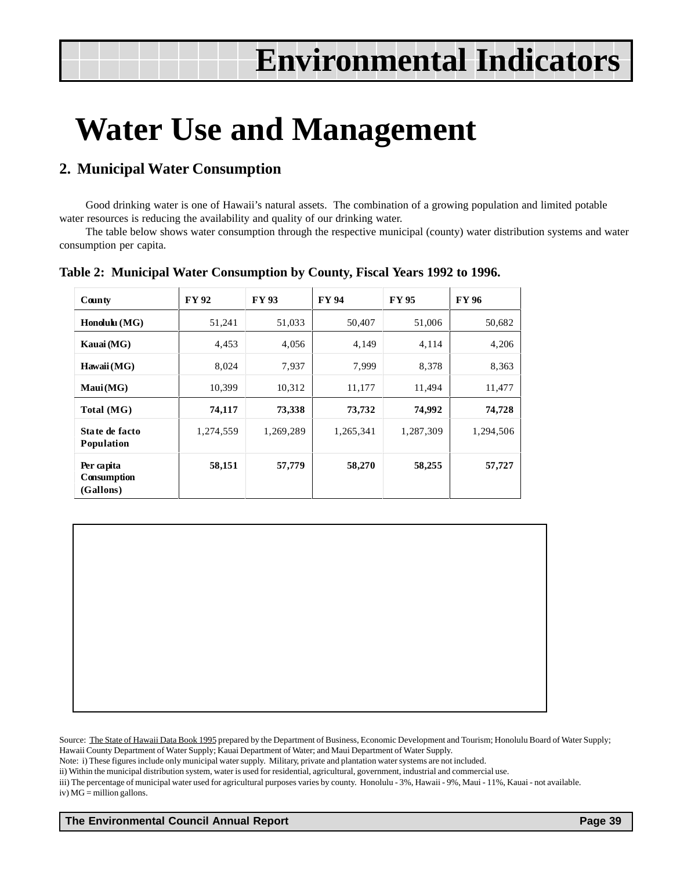## <span id="page-38-0"></span>**Water Use and Management**

### **2. Municipal Water Consumption**

Good drinking water is one of Hawaii's natural assets. The combination of a growing population and limited potable water resources is reducing the availability and quality of our drinking water.

The table below shows water consumption through the respective municipal (county) water distribution systems and water consumption per capita.

| County                                 | <b>FY92</b> | <b>FY93</b> | <b>FY 94</b> | <b>FY95</b> | <b>FY 96</b> |
|----------------------------------------|-------------|-------------|--------------|-------------|--------------|
| $\mathbf{H}$ onolulu (MG)              | 51,241      | 51,033      | 50,407       | 51,006      | 50,682       |
| Kauai (MG)                             | 4,453       | 4,056       | 4,149        | 4,114       | 4,206        |
| Hawaii (MG)                            | 8,024       | 7,937       | 7,999        | 8,378       | 8,363        |
| Maui(MG)                               | 10,399      | 10,312      | 11,177       | 11,494      | 11,477       |
| Total (MG)                             | 74,117      | 73,338      | 73,732       | 74,992      | 74,728       |
| State de facto<br>Population           | 1,274,559   | 1,269,289   | 1,265,341    | 1,287,309   | 1,294,506    |
| Per capita<br>Consumption<br>(Gallons) | 58,151      | 57,779      | 58,270       | 58,255      | 57,727       |

**Table 2: Municipal Water Consumption by County, Fiscal Years 1992 to 1996.**

Source: The State of Hawaii Data Book 1995 prepared by the Department of Business, Economic Development and Tourism; Honolulu Board of Water Supply; Hawaii County Department of Water Supply; Kauai Department of Water; and Maui Department of Water Supply.

Note: i) These figures include only municipal water supply. Military, private and plantation water systems are not included.

ii) Within the municipal distribution system, water is used for residential, agricultural, government, industrial and commercial use.

iii) The percentage of municipal water used for agricultural purposes varies by county. Honolulu - 3%, Hawaii - 9%, Maui - 11%, Kauai - not available. iv) MG = million gallons.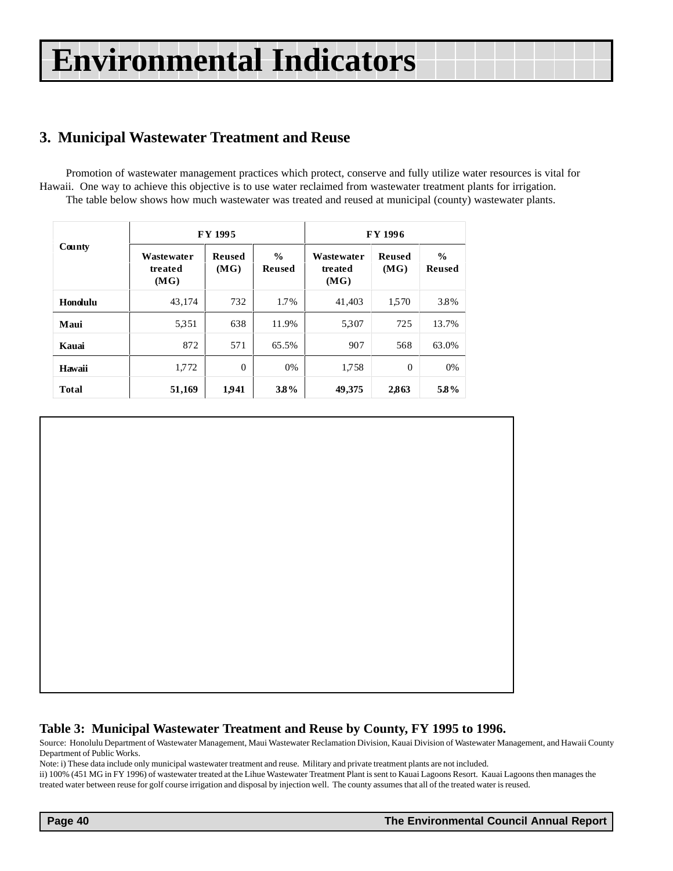### <span id="page-39-0"></span>**3. Municipal Wastewater Treatment and Reuse**

Promotion of wastewater management practices which protect, conserve and fully utilize water resources is vital for Hawaii. One way to achieve this objective is to use water reclaimed from wastewater treatment plants for irrigation. The table below shows how much wastewater was treated and reused at municipal (county) wastewater plants.

|              |                               | <b>FY 1995</b>        |                         | FY 1996                       |                       |                                |  |
|--------------|-------------------------------|-----------------------|-------------------------|-------------------------------|-----------------------|--------------------------------|--|
| County       | Wastewater<br>treated<br>(MG) | <b>Reused</b><br>(MG) | $\frac{0}{0}$<br>Reused | Wastewater<br>treated<br>(MG) | <b>Reused</b><br>(MG) | $\frac{0}{0}$<br><b>Reused</b> |  |
| Honolulu     | 43.174                        | 732                   | 1.7%                    | 41,403                        | 1,570                 | 3.8%                           |  |
| Maui         | 5.351                         | 638                   | 11.9%                   | 5.307                         | 725                   | 13.7%                          |  |
| Kauai        | 872                           | 571                   | 65.5%                   | 907                           | 568                   | 63.0%                          |  |
| Hawaii       | 1,772                         | $\mathbf{0}$          | 0%                      | 1,758                         | $\Omega$              | 0%                             |  |
| <b>Total</b> | 51,169                        | 1941                  | 3.8%                    | 49,375                        | 2,863                 | 58%                            |  |

#### **Table 3: Municipal Wastewater Treatment and Reuse by County, FY 1995 to 1996.**

Source: Honolulu Department of Wastewater Management, Maui Wastewater Reclamation Division, Kauai Division of Wastewater Management, and Hawaii County Department of Public Works.

Note: i) These data include only municipal wastewater treatment and reuse. Military and private treatment plants are not included.

ii) 100% (451 MG in FY 1996) of wastewater treated at the Lihue Wastewater Treatment Plant is sent to Kauai Lagoons Resort. Kauai Lagoons then manages the treated water between reuse for golf course irrigation and disposal by injection well. The county assumes that all of the treated water is reused.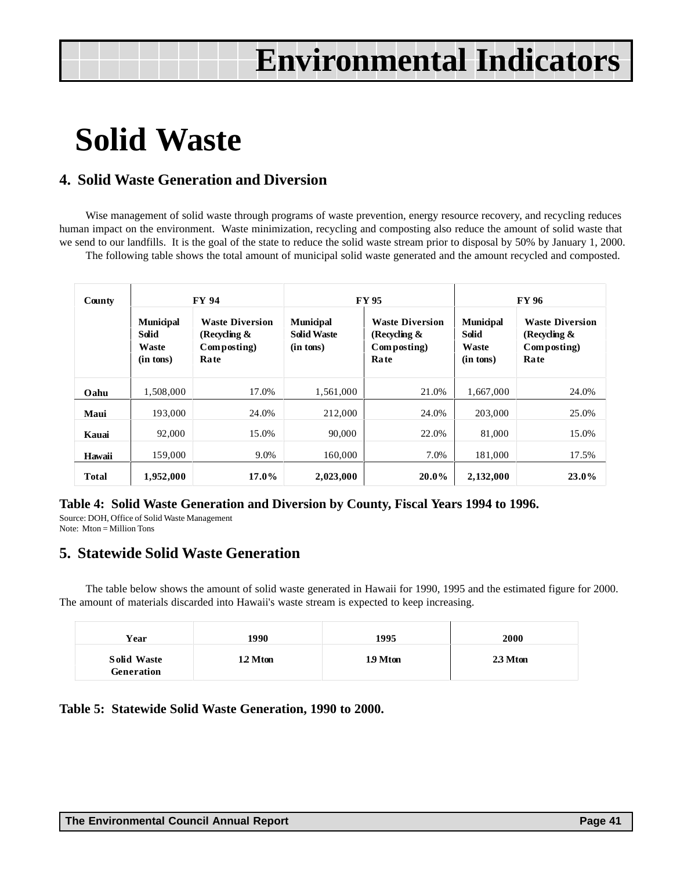## <span id="page-40-0"></span>**Solid Waste**

#### **4. Solid Waste Generation and Diversion**

Wise management of solid waste through programs of waste prevention, energy resource recovery, and recycling reduces human impact on the environment. Waste minimization, recycling and composting also reduce the amount of solid waste that we send to our landfills. It is the goal of the state to reduce the solid waste stream prior to disposal by 50% by January 1, 2000.

The following table shows the total amount of municipal solid waste generated and the amount recycled and composted.

| County       |                                                        | <b>FY 94</b>                                                            |                                                     | <b>FY95</b>                                                      | <b>FY96</b>                                            |                                                                         |  |
|--------------|--------------------------------------------------------|-------------------------------------------------------------------------|-----------------------------------------------------|------------------------------------------------------------------|--------------------------------------------------------|-------------------------------------------------------------------------|--|
|              | <b>Municipal</b><br><b>Solid</b><br>Waste<br>(in tons) | <b>Waste Diversion</b><br>(Recycling $\&$<br>Composting)<br><b>Rate</b> | <b>Municipal</b><br><b>Solid Waste</b><br>(in tons) | <b>Waste Diversion</b><br>(Recycling $\&$<br>Composting)<br>Rate | <b>Municipal</b><br><b>Solid</b><br>Waste<br>(in tons) | <b>Waste Diversion</b><br>(Recycling $\&$<br>Composting)<br><b>Rate</b> |  |
| Oahu         | 1,508,000                                              | 17.0%                                                                   | 1,561,000                                           | 21.0%                                                            | 1,667,000                                              | 24.0%                                                                   |  |
| Maui         | 193,000                                                | 24.0%                                                                   | 212,000                                             | 24.0%                                                            | 203,000                                                | 25.0%                                                                   |  |
| Kauai        | 92,000                                                 | 15.0%                                                                   | 90,000                                              | 22.0%                                                            | 81,000                                                 | 15.0%                                                                   |  |
| Hawaii       | 159,000                                                | 9.0%                                                                    | 160,000                                             | 7.0%                                                             | 181,000                                                | 17.5%                                                                   |  |
| <b>Total</b> | 1,952,000                                              | 17.0%                                                                   | 2,023,000                                           | $20.0\%$                                                         | 2,132,000                                              | $23.0\%$                                                                |  |

#### **Table 4: Solid Waste Generation and Diversion by County, Fiscal Years 1994 to 1996.**

Source: DOH, Office of Solid Waste Management Note: Mton = Million Tons

#### **5. Statewide Solid Waste Generation**

The table below shows the amount of solid waste generated in Hawaii for 1990, 1995 and the estimated figure for 2000. The amount of materials discarded into Hawaii's waste stream is expected to keep increasing.

| Year                             | 1990     | 1995     | 2000    |
|----------------------------------|----------|----------|---------|
| <b>Solid Waste</b><br>Generation | 1.2 Mton | 1.9 Mton | 23 Mton |

#### **Table 5: Statewide Solid Waste Generation, 1990 to 2000.**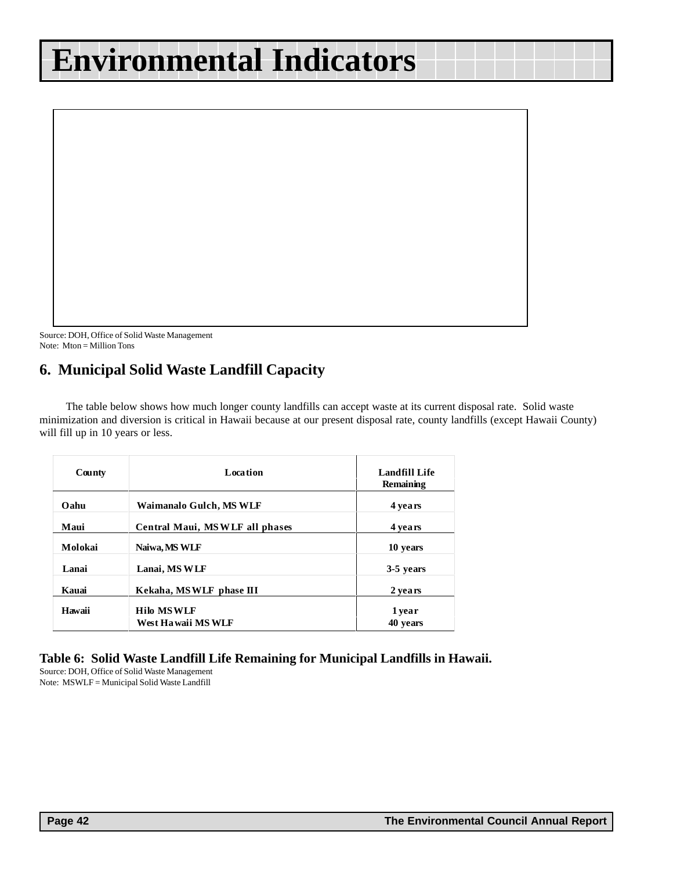<span id="page-41-0"></span>

Source: DOH, Office of Solid Waste Management Note: Mton = Million Tons

### **6. Municipal Solid Waste Landfill Capacity**

The table below shows how much longer county landfills can accept waste at its current disposal rate. Solid waste minimization and diversion is critical in Hawaii because at our present disposal rate, county landfills (except Hawaii County) will fill up in 10 years or less.

| County  | <b>Location</b>                          | <b>Landfill Life</b><br>Remaining |
|---------|------------------------------------------|-----------------------------------|
| Oahu    | Waimanalo Gulch, MS WLF                  | 4 years                           |
| Maui    | Central Maui, MSWLF all phases           | 4 years                           |
| Molokai | Naiwa, MS WLF                            | 10 years                          |
| Lanai   | Lanai, MS WLF                            | 3-5 years                         |
| Kauai   | Kekaha, MSWLF phase III                  | 2 years                           |
| Hawaii  | <b>Hilo MSWLF</b><br>West Ha waii MS WLF | 1 year<br>40 years                |

#### **Table 6: Solid Waste Landfill Life Remaining for Municipal Landfills in Hawaii.**

Source: DOH, Office of Solid Waste Management Note: MSWLF = Municipal Solid Waste Landfill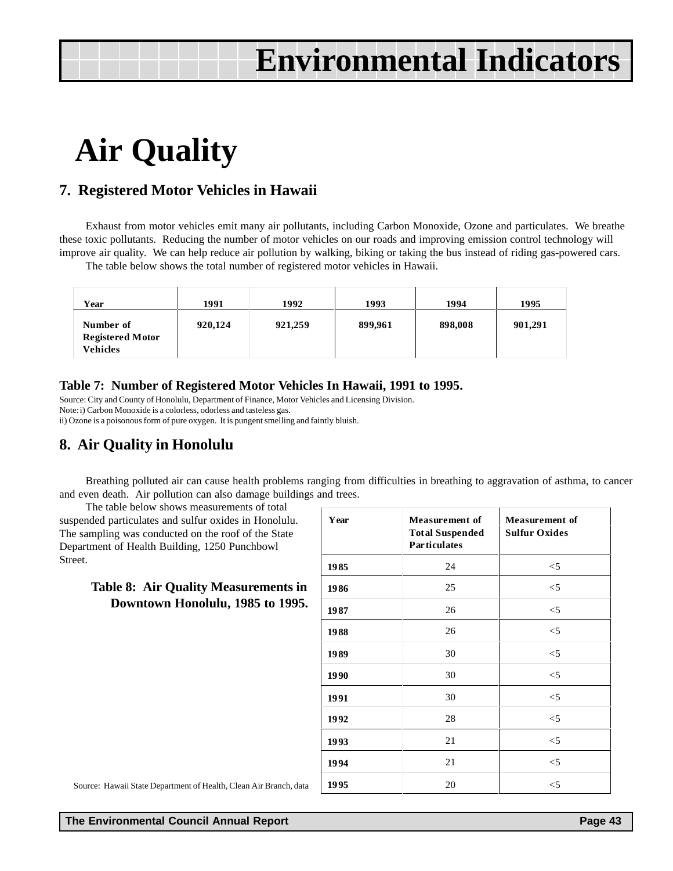# <span id="page-42-0"></span>**Air Quality**

#### **7. Registered Motor Vehicles in Hawaii**

Exhaust from motor vehicles emit many air pollutants, including Carbon Monoxide, Ozone and particulates. We breathe these toxic pollutants. Reducing the number of motor vehicles on our roads and improving emission control technology will improve air quality. We can help reduce air pollution by walking, biking or taking the bus instead of riding gas-powered cars.

The table below shows the total number of registered motor vehicles in Hawaii.

| Year                                                    | 1991    | 1992    | 1993    | 1994    | 1995    |
|---------------------------------------------------------|---------|---------|---------|---------|---------|
| Number of<br><b>Registered Motor</b><br><b>Vehicles</b> | 920,124 | 921,259 | 899,961 | 898,008 | 901,291 |

#### **Table 7: Number of Registered Motor Vehicles In Hawaii, 1991 to 1995.**

Source: City and County of Honolulu, Department of Finance, Motor Vehicles and Licensing Division. Note: i) Carbon Monoxide is a colorless, odorless and tasteless gas. ii) Ozone is a poisonous form of pure oxygen. It is pungent smelling and faintly bluish.

### **8. Air Quality in Honolulu**

Breathing polluted air can cause health problems ranging from difficulties in breathing to aggravation of asthma, to cancer and even death. Air pollution can also damage buildings and trees.

The table below shows measurements of total suspended particulates and sulfur oxides in Honolulu. The sampling was conducted on the roof of the State Department of Health Building, 1250 Punchbowl Street.

#### **Table 8: Air Quality Measurements in Downtown Honolulu, 1985 to 1995.**

| Year | <b>Measurement of</b><br><b>Total Suspended</b><br><b>Particulates</b> | <b>Measurement of</b><br><b>Sulfur Oxides</b> |
|------|------------------------------------------------------------------------|-----------------------------------------------|
| 1985 | 24                                                                     | $<$ 5                                         |
| 1986 | 25                                                                     | $<$ 5                                         |
| 1987 | 26                                                                     | $<$ 5                                         |
| 1988 | 26                                                                     | $<$ 5                                         |
| 1989 | 30                                                                     | $<$ 5                                         |
| 1990 | 30                                                                     | $<$ 5                                         |
| 1991 | 30                                                                     | $<$ 5                                         |
| 1992 | 28                                                                     | $<$ 5                                         |
| 1993 | 21                                                                     | $<$ 5                                         |
| 1994 | 21                                                                     | $<$ 5                                         |
| 1995 | 20                                                                     | $<$ 5                                         |

Source: Hawaii State Department of Health, Clean Air Branch, data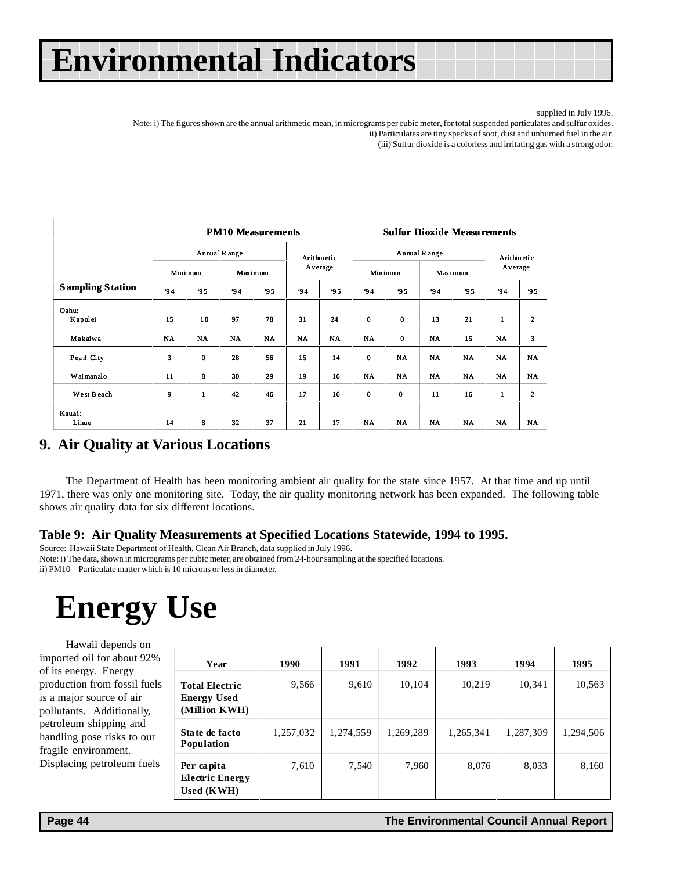supplied in July 1996.

<span id="page-43-0"></span>Note: i) The figures shown are the annual arithmetic mean, in micrograms per cubic meter, for total suspended particulates and sulfur oxides. ii) Particulates are tiny specks of soot, dust and unburned fuel in the air.

(iii) Sulfur dioxide is a colorless and irritating gas with a strong odor.

|                         |           |           | <b>PM10 Measurements</b> |           |           |            | <b>Sulfur Dioxide Measurements</b> |           |               |           |              |              |  |
|-------------------------|-----------|-----------|--------------------------|-----------|-----------|------------|------------------------------------|-----------|---------------|-----------|--------------|--------------|--|
|                         |           |           | Annual R ange            |           |           | Arithmetic |                                    |           | Annual R ange |           |              | Arithmetic   |  |
|                         |           | Minimum   |                          | Maximum   | Average   |            | Minimum                            |           | Maximum       |           | Average      |              |  |
| <b>Sampling Station</b> | 94        | 95        | 94                       | 95        | 94        | 95         | 94                                 | 95        | 94            | 95        | 94           | 95           |  |
| Oahu:<br>Kapolei        | 15        | 10        | 97                       | 78        | 31        | 24         | 0                                  | 0         | 13            | 21        | $\mathbf{1}$ | $\mathbf{2}$ |  |
| Makaiwa                 | <b>NA</b> | <b>NA</b> | <b>NA</b>                | <b>NA</b> | <b>NA</b> | <b>NA</b>  | <b>NA</b>                          | 0         | NA            | 15        | <b>NA</b>    | 3            |  |
| Pearl City              | 3         | 0         | 28                       | 56        | 15        | 14         | 0                                  | <b>NA</b> | <b>NA</b>     | <b>NA</b> | <b>NA</b>    | <b>NA</b>    |  |
| Wai manalo              | 11        | 8         | 30                       | 29        | 19        | 16         | <b>NA</b>                          | <b>NA</b> | <b>NA</b>     | <b>NA</b> | <b>NA</b>    | <b>NA</b>    |  |
| West B each             | 9         | 1         | 42                       | 46        | 17        | 16         | 0                                  | $\bf{0}$  | 11            | 16        | 1            | $\mathbf{2}$ |  |
| Kauai:<br>Lihue         | 14        | 8         | 32                       | 37        | 21        | 17         | <b>NA</b>                          | <b>NA</b> | <b>NA</b>     | <b>NA</b> | <b>NA</b>    | <b>NA</b>    |  |

#### **9. Air Quality at Various Locations**

The Department of Health has been monitoring ambient air quality for the state since 1957. At that time and up until 1971, there was only one monitoring site. Today, the air quality monitoring network has been expanded. The following table shows air quality data for six different locations.

#### **Table 9: Air Quality Measurements at Specified Locations Statewide, 1994 to 1995.**

Source: Hawaii State Department of Health, Clean Air Branch, data supplied in July 1996.

Note: i) The data, shown in micrograms per cubic meter, are obtained from 24-hour sampling at the specified locations. ii) PM10 = Particulate matter which is 10 microns or less in diameter.

## **Energy Use**

Hawaii depends on imported oil for about 92% of its energy. Energy production from fossil fuels is a major source of air pollutants. Additionally, petroleum shipping and handling pose risks to our fragile environment. Displacing petroleum fuels

| Year                                                         | 1990      | 1991      | 1992      | 1993      | 1994      | 1995      |
|--------------------------------------------------------------|-----------|-----------|-----------|-----------|-----------|-----------|
| <b>Total Electric</b><br><b>Energy Used</b><br>(Million KWH) | 9,566     | 9,610     | 10,104    | 10,219    | 10,341    | 10,563    |
| State de facto<br><b>Population</b>                          | 1,257,032 | 1,274,559 | 1,269,289 | 1,265,341 | 1,287,309 | 1,294,506 |
| Per capita<br><b>Electric Energy</b><br>Used (KWH)           | 7,610     | 7,540     | 7,960     | 8,076     | 8,033     | 8,160     |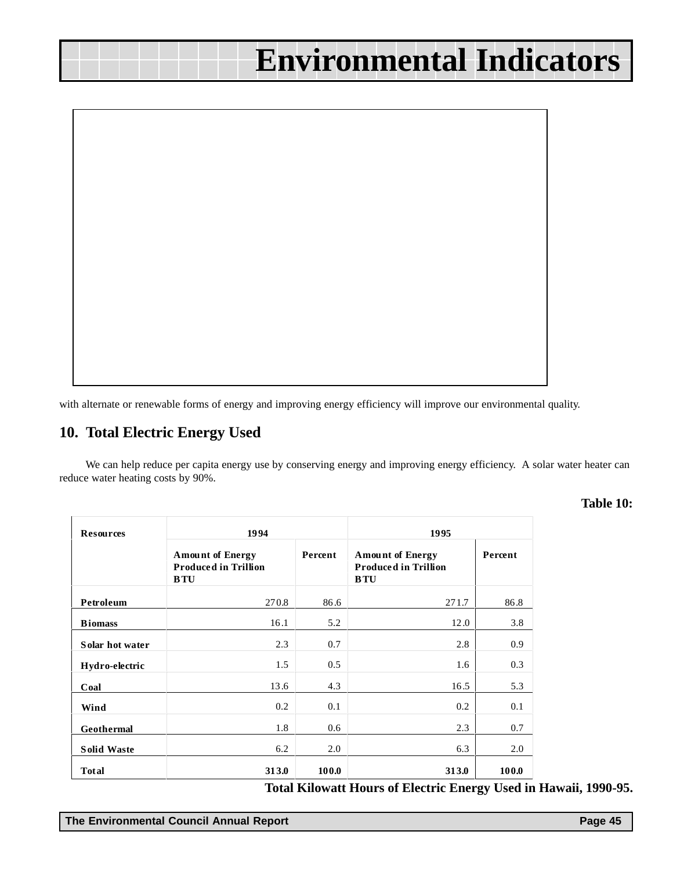<span id="page-44-0"></span>

with alternate or renewable forms of energy and improving energy efficiency will improve our environmental quality.

#### **10. Total Electric Energy Used**

We can help reduce per capita energy use by conserving energy and improving energy efficiency. A solar water heater can reduce water heating costs by 90%.

**Table 10:**

| <b>Resources</b>   | 1994                                                                 |         | 1995                                                                 |         |  |  |
|--------------------|----------------------------------------------------------------------|---------|----------------------------------------------------------------------|---------|--|--|
|                    | <b>Amount of Energy</b><br><b>Produced in Trillion</b><br><b>BTU</b> | Percent | <b>Amount of Energy</b><br><b>Produced in Trillion</b><br><b>BTU</b> | Percent |  |  |
| Petroleum          | 270.8                                                                | 86.6    | 271.7                                                                | 86.8    |  |  |
| <b>B</b> iomass    | 16.1                                                                 | 5.2     | 12.0                                                                 | 3.8     |  |  |
| Solar hot water    | 2.3                                                                  | 0.7     | 2.8                                                                  | 0.9     |  |  |
| Hydro-electric     | 1.5                                                                  | 0.5     | 1.6                                                                  | 0.3     |  |  |
| Coal               | 13.6                                                                 | 4.3     | 16.5                                                                 | 5.3     |  |  |
| Wind               | 0.2                                                                  | 0.1     | 0.2                                                                  | 0.1     |  |  |
| Geothermal         | 1.8                                                                  | 0.6     | 2.3                                                                  | 0.7     |  |  |
| <b>Solid Waste</b> | 6.2                                                                  | 2.0     | 6.3                                                                  | 2.0     |  |  |
| Total              | 313.0                                                                | 100.0   | 313.0                                                                | 100.0   |  |  |

 **Total Kilowatt Hours of Electric Energy Used in Hawaii, 1990-95.**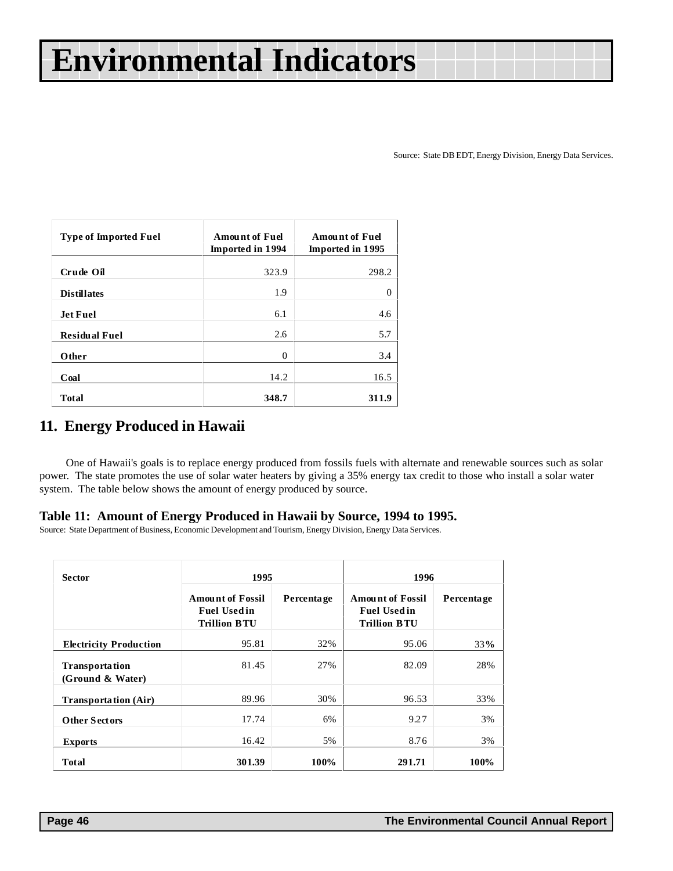Source: State DB EDT, Energy Division, Energy Data Services.

<span id="page-45-0"></span>

| <b>Type of Imported Fuel</b> | <b>Amount of Fuel</b><br><b>Imported in 1994</b> | <b>Amount of Fuel</b><br><b>Imported in 1995</b> |
|------------------------------|--------------------------------------------------|--------------------------------------------------|
| Crude Oil                    | 323.9                                            | 298.2                                            |
| <b>Distillates</b>           | 1.9                                              | 0                                                |
| <b>Jet Fuel</b>              | 6.1                                              | 4.6                                              |
| <b>Residual Fuel</b>         | 2.6                                              | 5.7                                              |
| Other                        | $\theta$                                         | 3.4                                              |
| Coal                         | 14.2                                             | 16.5                                             |
| <b>Total</b>                 | 348.7                                            | 311.9                                            |

#### **11. Energy Produced in Hawaii**

One of Hawaii's goals is to replace energy produced from fossils fuels with alternate and renewable sources such as solar power. The state promotes the use of solar water heaters by giving a 35% energy tax credit to those who install a solar water system. The table below shows the amount of energy produced by source.

#### **Table 11: Amount of Energy Produced in Hawaii by Source, 1994 to 1995.**

Source: State Department of Business, Economic Development and Tourism, Energy Division, Energy Data Services.

| <b>Sector</b>                             | 1995                                                                 |            | 1996                                                                  |            |  |
|-------------------------------------------|----------------------------------------------------------------------|------------|-----------------------------------------------------------------------|------------|--|
|                                           | <b>Amount of Fossil</b><br><b>Fuel Usedin</b><br><b>Trillion BTU</b> | Percentage | <b>Amount of Fossil</b><br><b>Fuel Used in</b><br><b>Trillion BTU</b> | Percentage |  |
| <b>Electricity Production</b>             | 95.81                                                                | 32%        | 95.06                                                                 | 33%        |  |
| <b>Transportation</b><br>(Ground & Water) | 81.45                                                                | 27%        | 82.09                                                                 | 28%        |  |
| <b>Transportation (Air)</b>               | 89.96                                                                | 30%        | 96.53                                                                 | 33%        |  |
| <b>Other Sectors</b>                      | 17.74                                                                | 6%         | 9.27                                                                  | 3%         |  |
| <b>Exports</b>                            | 16.42                                                                | 5%         | 8.76                                                                  | 3%         |  |
| Total                                     | 301.39                                                               | 100%       | 291.71                                                                | 100%       |  |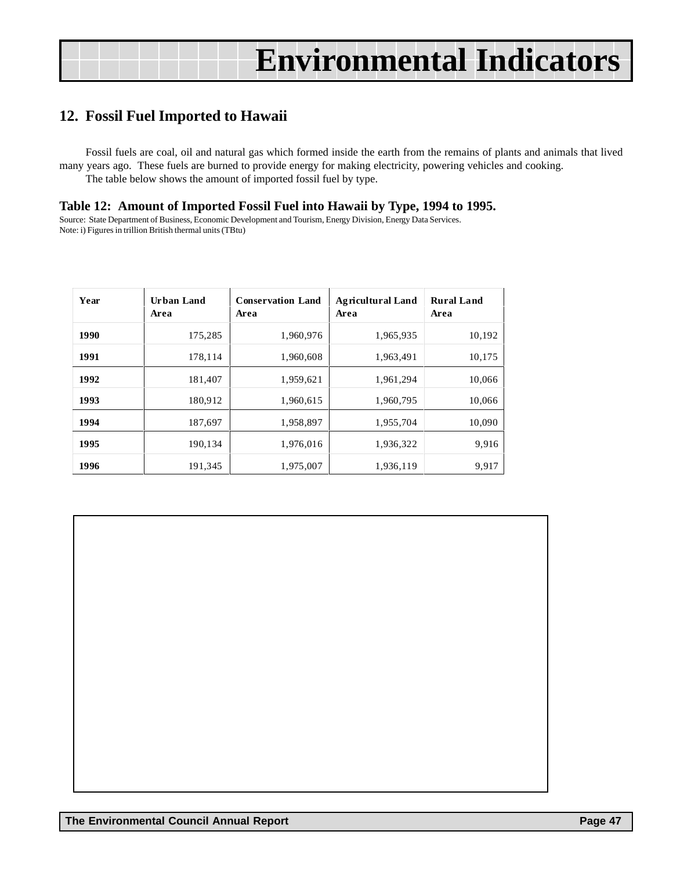### <span id="page-46-0"></span>**12. Fossil Fuel Imported to Hawaii**

Fossil fuels are coal, oil and natural gas which formed inside the earth from the remains of plants and animals that lived many years ago. These fuels are burned to provide energy for making electricity, powering vehicles and cooking. The table below shows the amount of imported fossil fuel by type.

#### **Table 12: Amount of Imported Fossil Fuel into Hawaii by Type, 1994 to 1995.**

Source: State Department of Business, Economic Development and Tourism, Energy Division, Energy Data Services. Note: i) Figures in trillion British thermal units (TBtu)

| Year | Urban Land<br>Area | <b>Conservation Land</b><br>Area | <b>Agricultural Land</b><br>Area | <b>Rural Land</b><br>Area |
|------|--------------------|----------------------------------|----------------------------------|---------------------------|
| 1990 | 175,285            | 1,960,976                        | 1,965,935                        | 10,192                    |
| 1991 | 178,114            | 1,960,608                        | 1,963,491                        | 10,175                    |
| 1992 | 181,407            | 1,959,621                        | 1,961,294                        | 10,066                    |
| 1993 | 180,912            | 1,960,615                        | 1,960,795                        | 10,066                    |
| 1994 | 187,697            | 1,958,897                        | 1,955,704                        | 10,090                    |
| 1995 | 190,134            | 1,976,016                        | 1,936,322                        | 9,916                     |
| 1996 | 191,345            | 1,975,007                        | 1,936,119                        | 9,917                     |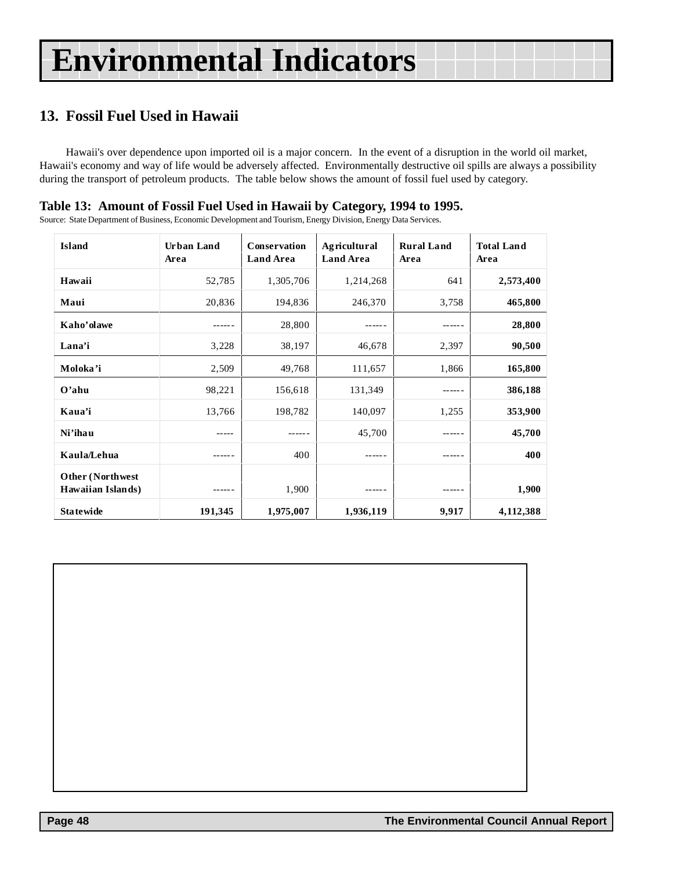### <span id="page-47-0"></span>**13. Fossil Fuel Used in Hawaii**

Hawaii's over dependence upon imported oil is a major concern. In the event of a disruption in the world oil market, Hawaii's economy and way of life would be adversely affected. Environmentally destructive oil spills are always a possibility during the transport of petroleum products. The table below shows the amount of fossil fuel used by category.

#### **Table 13: Amount of Fossil Fuel Used in Hawaii by Category, 1994 to 1995.**

Source: State Department of Business, Economic Development and Tourism, Energy Division, Energy Data Services.

| <b>Island</b>                                 | Urban Land<br>Area | Conservation<br><b>Land Area</b> | Agricultural<br><b>Land Area</b> | <b>Rural Land</b><br>Area | <b>Total Land</b><br>Area |
|-----------------------------------------------|--------------------|----------------------------------|----------------------------------|---------------------------|---------------------------|
| Hawaii                                        | 52,785             | 1,305,706                        | 1,214,268                        | 641                       | 2,573,400                 |
| Maui                                          | 20,836             | 194,836                          | 246,370                          | 3,758                     | 465,800                   |
| Kaho'olawe                                    | ------             | 28,800                           |                                  | ------                    | 28,800                    |
| Lana'i                                        | 3,228              | 38,197                           | 46,678                           | 2,397                     | 90,500                    |
| Moloka'i                                      | 2,509              | 49,768                           | 111,657                          | 1,866                     | 165,800                   |
| $O'$ ahu                                      | 98,221             | 156,618                          | 131,349                          |                           | 386,188                   |
| Kaua'i                                        | 13,766             | 198,782                          | 140,097                          | 1,255                     | 353,900                   |
| Ni'ihau                                       |                    |                                  | 45,700                           |                           | 45,700                    |
| Kaula/Lehua                                   | ------             | 400                              |                                  | ------                    | 400                       |
| <b>Other (Northwest)</b><br>Hawaiian Islands) |                    | 1,900                            |                                  |                           | 1,900                     |
| <b>Statewide</b>                              | 191,345            | 1,975,007                        | 1,936,119                        | 9,917                     | 4,112,388                 |

 **Page 48 The Environmental Council Annual Report**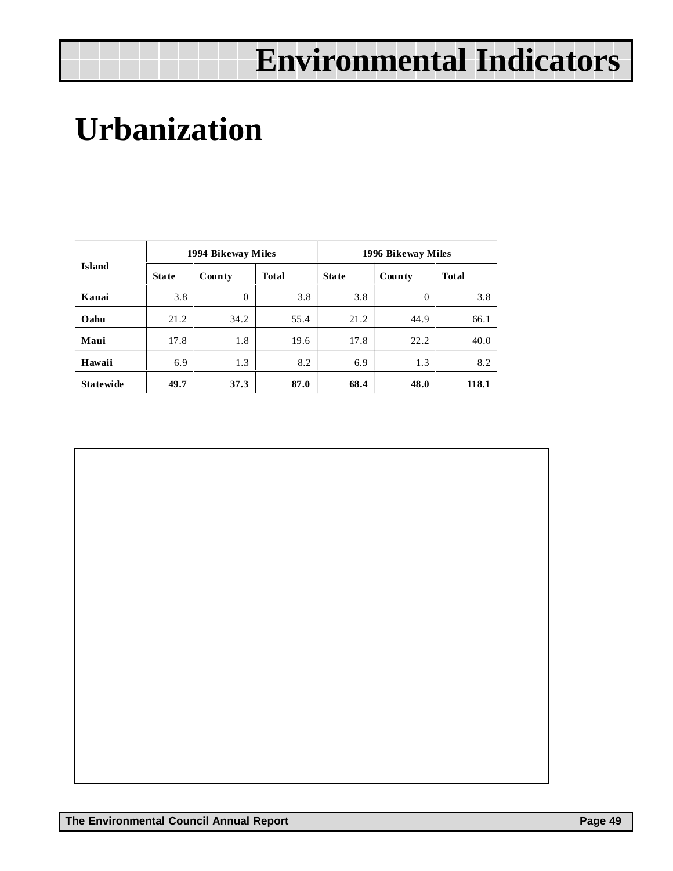# <span id="page-48-0"></span>**Urbanization**

|                  |              | 1994 Bikeway Miles |              | 1996 Bikeway Miles |                |              |  |
|------------------|--------------|--------------------|--------------|--------------------|----------------|--------------|--|
| <b>Island</b>    | <b>State</b> | County             | <b>Total</b> | <b>State</b>       | County         | <b>Total</b> |  |
| Kauai            | 3.8          | $\overline{0}$     | 3.8          | 3.8                | $\overline{0}$ | 3.8          |  |
| Oahu             | 21.2         | 34.2               | 55.4         | 21.2               | 44.9           | 66.1         |  |
| Maui             | 17.8         | 1.8                | 19.6         | 17.8               | 22.2           | 40.0         |  |
| Hawaii           | 6.9          | 1.3                | 8.2          | 6.9                | 1.3            | 8.2          |  |
| <b>Statewide</b> | 49.7         | 37.3               | 87.0         | 68.4               | 48.0           | 118.1        |  |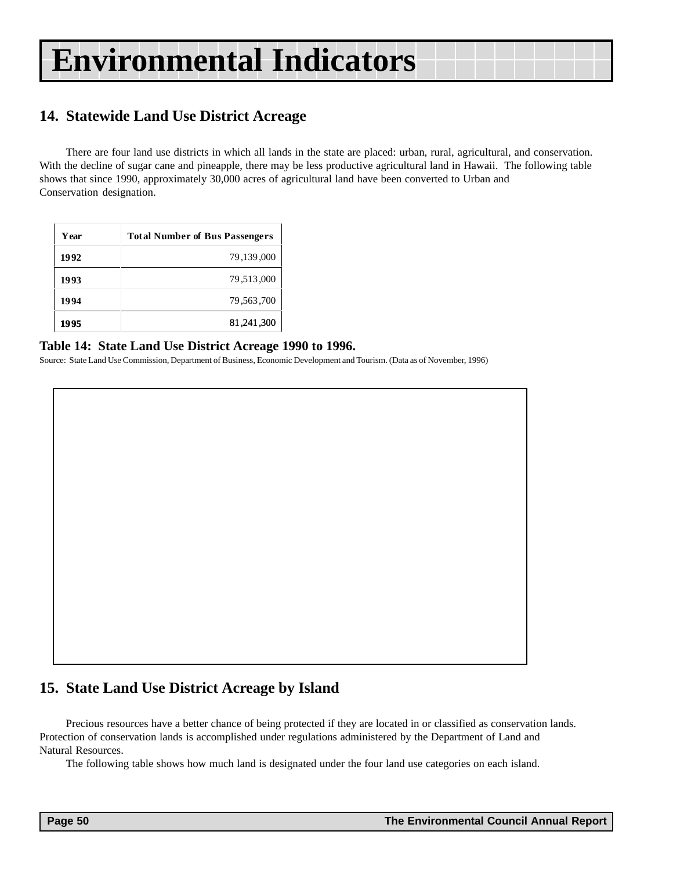### <span id="page-49-0"></span>**14. Statewide Land Use District Acreage**

There are four land use districts in which all lands in the state are placed: urban, rural, agricultural, and conservation. With the decline of sugar cane and pineapple, there may be less productive agricultural land in Hawaii. The following table shows that since 1990, approximately 30,000 acres of agricultural land have been converted to Urban and Conservation designation.

| Year | <b>Total Number of Bus Passengers</b> |
|------|---------------------------------------|
| 1992 | 79,139,000                            |
| 1993 | 79,513,000                            |
| 1994 | 79,563,700                            |
| 1995 | 81,241,300                            |

#### **Table 14: State Land Use District Acreage 1990 to 1996.**

Source: State Land Use Commission, Department of Business, Economic Development and Tourism. (Data as of November, 1996)

#### **15. State Land Use District Acreage by Island**

Precious resources have a better chance of being protected if they are located in or classified as conservation lands. Protection of conservation lands is accomplished under regulations administered by the Department of Land and Natural Resources.

The following table shows how much land is designated under the four land use categories on each island.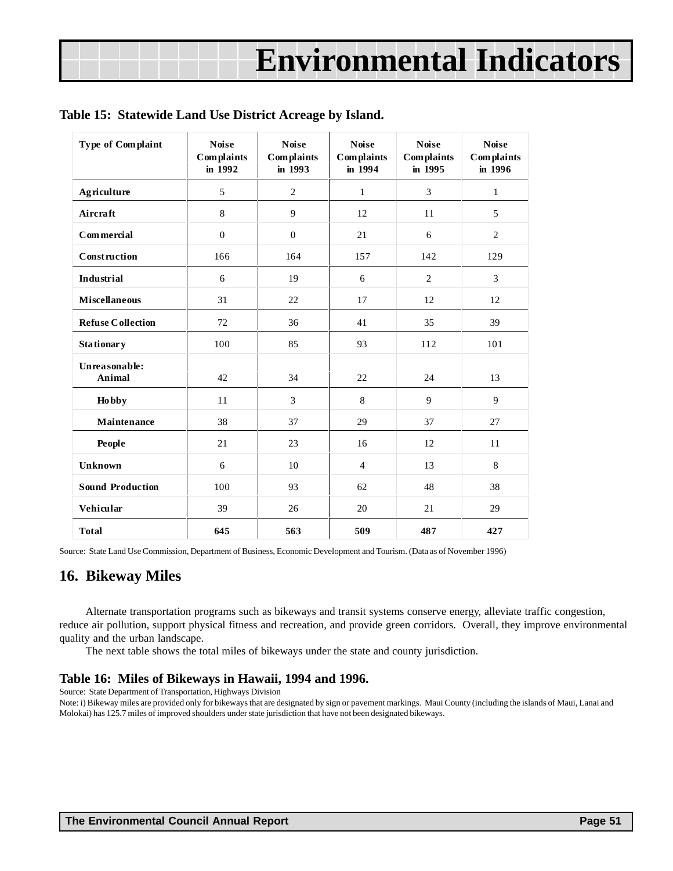| Type of Complaint              | <b>Noise</b><br><b>Complaints</b><br>in 1992 | <b>Noise</b><br><b>Complaints</b><br>in 1993 | <b>Noise</b><br>Complaints<br>in 1994 | <b>Noise</b><br>Complaints<br>in 1995 | <b>Noise</b><br><b>Complaints</b><br>in 1996 |
|--------------------------------|----------------------------------------------|----------------------------------------------|---------------------------------------|---------------------------------------|----------------------------------------------|
| Agriculture                    | 5                                            | $\overline{2}$                               | $\mathbf{1}$                          | 3                                     | $\mathbf{1}$                                 |
| Aircraft                       | 8                                            | 9                                            | 12                                    | 11                                    | 5                                            |
| Commercial                     | $\boldsymbol{0}$                             | $\theta$                                     | 21                                    | 6                                     | $\overline{2}$                               |
| Construction                   | 166                                          | 164                                          | 157                                   | 142                                   | 129                                          |
| Industrial                     | 6                                            | 19                                           | 6                                     | $\overline{c}$                        | 3                                            |
| <b>Miscellaneous</b>           | 31                                           | 22                                           | 17                                    | 12                                    | 12                                           |
| <b>Refuse Collection</b>       | 72                                           | 36                                           | 41                                    | 35                                    | 39                                           |
| <b>Stationary</b>              | 100                                          | 85                                           | 93                                    | 112                                   | 101                                          |
| Unreasonable:<br><b>Animal</b> | 42                                           | 34                                           | 22                                    | 24                                    | 13                                           |
| <b>Hobby</b>                   | 11                                           | 3                                            | 8                                     | 9                                     | 9                                            |
| Maintenance                    | 38                                           | 37                                           | 29                                    | 37                                    | 27                                           |
| People                         | 21                                           | 23                                           | 16                                    | 12                                    | 11                                           |
| <b>Unknown</b>                 | 6                                            | 10                                           | $\overline{4}$                        | 13                                    | $\,8\,$                                      |
| <b>Sound Production</b>        | 100                                          | 93                                           | 62                                    | 48                                    | 38                                           |
| Vehicular                      | 39                                           | 26                                           | 20                                    | 21                                    | 29                                           |
| <b>Total</b>                   | 645                                          | 563                                          | 509                                   | 487                                   | 427                                          |

#### <span id="page-50-0"></span>**Table 15: Statewide Land Use District Acreage by Island.**

Source: State Land Use Commission, Department of Business, Economic Development and Tourism. (Data as of November 1996)

#### **16. Bikeway Miles**

Alternate transportation programs such as bikeways and transit systems conserve energy, alleviate traffic congestion, reduce air pollution, support physical fitness and recreation, and provide green corridors. Overall, they improve environmental quality and the urban landscape.

The next table shows the total miles of bikeways under the state and county jurisdiction.

#### **Table 16: Miles of Bikeways in Hawaii, 1994 and 1996.**

Source: State Department of Transportation, Highways Division

Note: i) Bikeway miles are provided only for bikeways that are designated by sign or pavement markings. Maui County (including the islands of Maui, Lanai and Molokai) has 125.7 miles of improved shoulders under state jurisdiction that have not been designated bikeways.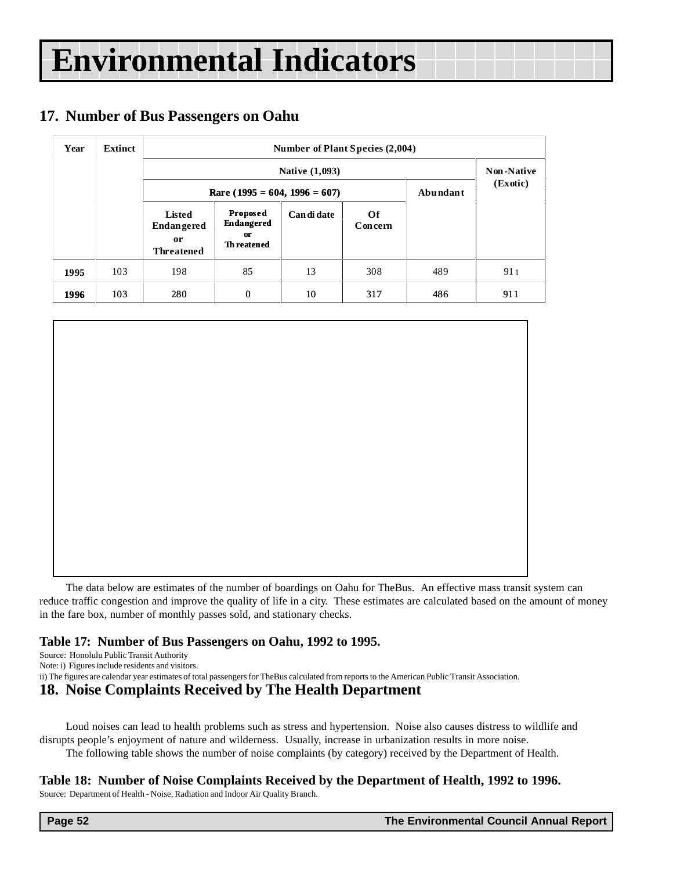### **17. Number of Bus Passengers on Oahu**

| Year | Extinct |                                                        | Number of Plant Species (2,004)                                  |             |               |          |          |  |  |  |
|------|---------|--------------------------------------------------------|------------------------------------------------------------------|-------------|---------------|----------|----------|--|--|--|
|      |         |                                                        | <b>Native (1,093)</b>                                            |             |               |          |          |  |  |  |
|      |         |                                                        | Rare (1995 = 604, 1996 = 607)                                    |             |               | Abundant | (Exotic) |  |  |  |
|      |         | Listed<br><b>Endangered</b><br>0r<br><b>Threatened</b> | Proposed<br><b>Endangered</b><br><b>or</b><br><b>Th</b> reatened | Can di date | Of<br>Concern |          |          |  |  |  |
| 1995 | 103     | 198                                                    | 85                                                               | 13          | 308           | 489      | 911      |  |  |  |
| 1996 | 103     | 280                                                    | 0                                                                | 10          | 317           | 486      | 911      |  |  |  |

The data below are estimates of the number of boardings on Oahu for TheBus. An effective mass transit system can reduce traffic congestion and improve the quality of life in a city. These estimates are calculated based on the amount of money in the fare box, number of monthly passes sold, and stationary checks.

#### **Table 17: Number of Bus Passengers on Oahu, 1992 to 1995.**

Source: Honolulu Public Transit Authority

Note: i) Figures include residents and visitors.

ii) The figures are calendar year estimates of total passengers for TheBus calculated from reports to the American Public Transit Association.

#### **18. Noise Complaints Received by The Health Department**

Loud noises can lead to health problems such as stress and hypertension. Noise also causes distress to wildlife and disrupts people's enjoyment of nature and wilderness. Usually, increase in urbanization results in more noise. The following table shows the number of noise complaints (by category) received by the Department of Health.

#### **Table 18: Number of Noise Complaints Received by the Department of Health, 1992 to 1996.**

Source: Department of Health - Noise, Radiation and Indoor Air Quality Branch.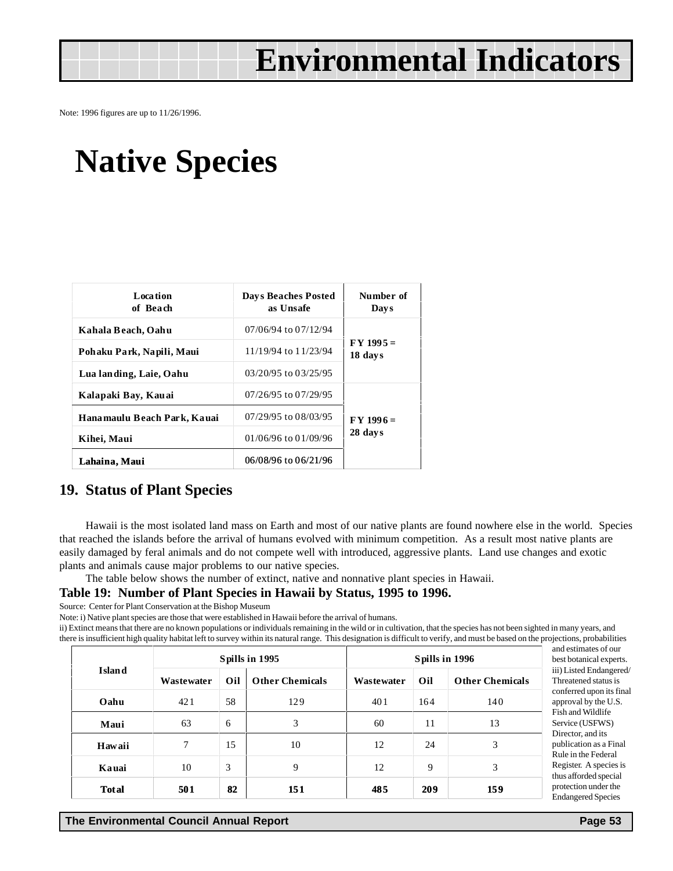<span id="page-52-0"></span>Note: 1996 figures are up to 11/26/1996.

## **Native Species**

| <b>Location</b><br>of Beach | <b>Days Beaches Posted</b><br>as Unsafe | Number of<br><b>Days</b> |
|-----------------------------|-----------------------------------------|--------------------------|
| Kahala Beach, Oahu          | 07/06/94 to 07/12/94                    |                          |
| Pohaku Park, Napili, Maui   | 11/19/94 to 11/23/94                    | $FY 1995 =$<br>18 days   |
| Lua landing, Laie, Oahu     | 03/20/95 to 03/25/95                    |                          |
| Kalapaki Bay, Kauai         | $07/26/95$ to $07/29/95$                |                          |
| Hanamaulu Beach Park, Kauai | 07/29/95 to 08/03/95                    | $FY 1996 =$              |
| Kihei, Maui                 | $01/06/96$ to $01/09/96$                | 28 days                  |
| Lahaina, Maui               | 06/08/96 to 06/21/96                    |                          |

#### **19. Status of Plant Species**

Hawaii is the most isolated land mass on Earth and most of our native plants are found nowhere else in the world. Species that reached the islands before the arrival of humans evolved with minimum competition. As a result most native plants are easily damaged by feral animals and do not compete well with introduced, aggressive plants. Land use changes and exotic plants and animals cause major problems to our native species.

The table below shows the number of extinct, native and nonnative plant species in Hawaii.

#### **Table 19: Number of Plant Species in Hawaii by Status, 1995 to 1996.**

Source: Center for Plant Conservation at the Bishop Museum

Note: i) Native plant species are those that were established in Hawaii before the arrival of humans.

ii) Extinct means that there are no known populations or individuals remaining in the wild or in cultivation, that the species has not been sighted in many years, and there is insufficient high quality habitat left to survey within its natural range. This designation is difficult to verify, and must be based on the projections, probabilities

|               | Spills in 1995 |     |                        | Spills in 1996 |     |                        |
|---------------|----------------|-----|------------------------|----------------|-----|------------------------|
| <b>Island</b> | Wastewater     | Oil | <b>Other Chemicals</b> | Wastewater     | Oil | <b>Other Chemicals</b> |
| Oahu          | 421            | 58  | 129                    | 401            | 164 | 140                    |
| Maui          | 63             | 6   | 3                      | 60             | 11  | 13                     |
| Hawaii        | 7              | 15  | 10                     | 12             | 24  | 3                      |
| Kauai         | 10             | 3   | 9                      | 12             | 9   | 3                      |
| <b>Total</b>  | 501            | 82  | 151                    | 485            | 209 | 159                    |

and estimates of our best botanical experts. iii) Listed Endangered/ Threatened status is conferred upon its final approval by the U.S. Fish and Wildlife Service (USFWS) Director, and its publication as a Final Rule in the Federal Register. A species is thus afforded special protection under the Endangered Species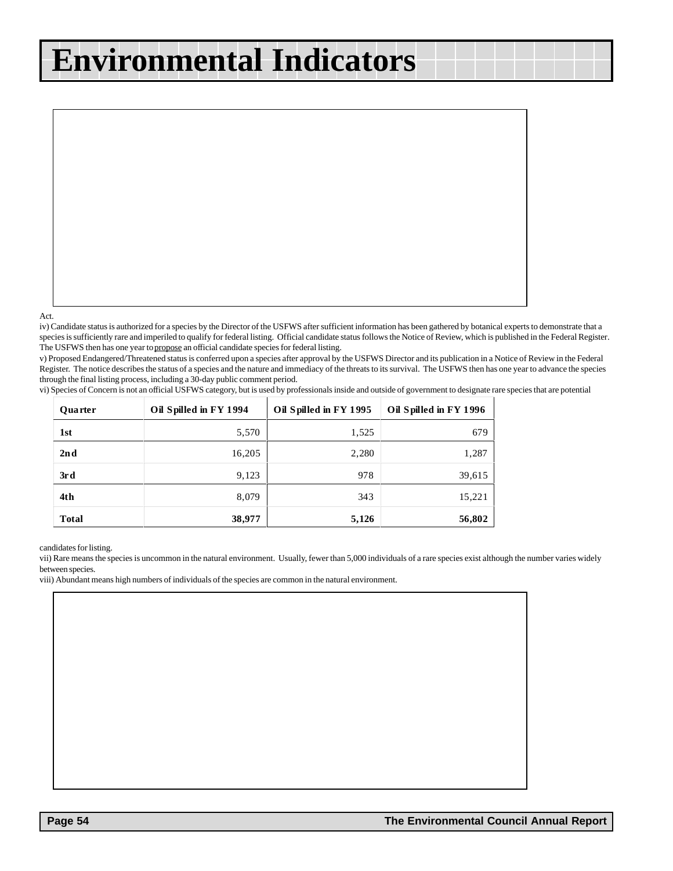<span id="page-53-0"></span>Act.

iv) Candidate status is authorized for a species by the Director of the USFWS after sufficient information has been gathered by botanical experts to demonstrate that a species is sufficiently rare and imperiled to qualify for federal listing. Official candidate status follows the Notice of Review, which is published in the Federal Register. The USFWS then has one year to propose an official candidate species for federal listing.

v) Proposed Endangered/Threatened status is conferred upon a species after approval by the USFWS Director and its publication in a Notice of Review in the Federal Register. The notice describes the status of a species and the nature and immediacy of the threats to its survival. The USFWS then has one year to advance the species through the final listing process, including a 30-day public comment period.

vi) Species of Concern is not an official USFWS category, but is used by professionals inside and outside of government to designate rare species that are potential

| <b>Ouarter</b> | Oil Spilled in FY 1994 | Oil Spilled in FY 1995 | Oil Spilled in FY 1996 |
|----------------|------------------------|------------------------|------------------------|
| 1st            | 5,570                  | 1,525                  | 679                    |
| 2nd            | 16,205                 | 2,280                  | 1,287                  |
| 3rd            | 9,123                  | 978                    | 39,615                 |
| 4th            | 8,079                  | 343                    | 15,221                 |
| <b>Total</b>   | 38,977                 | 5,126                  | 56,802                 |

candidates for listing.

vii) Rare means the species is uncommon in the natural environment. Usually, fewer than 5,000 individuals of a rare species exist although the number varies widely between species.

viii) Abundant means high numbers of individuals of the species are common in the natural environment.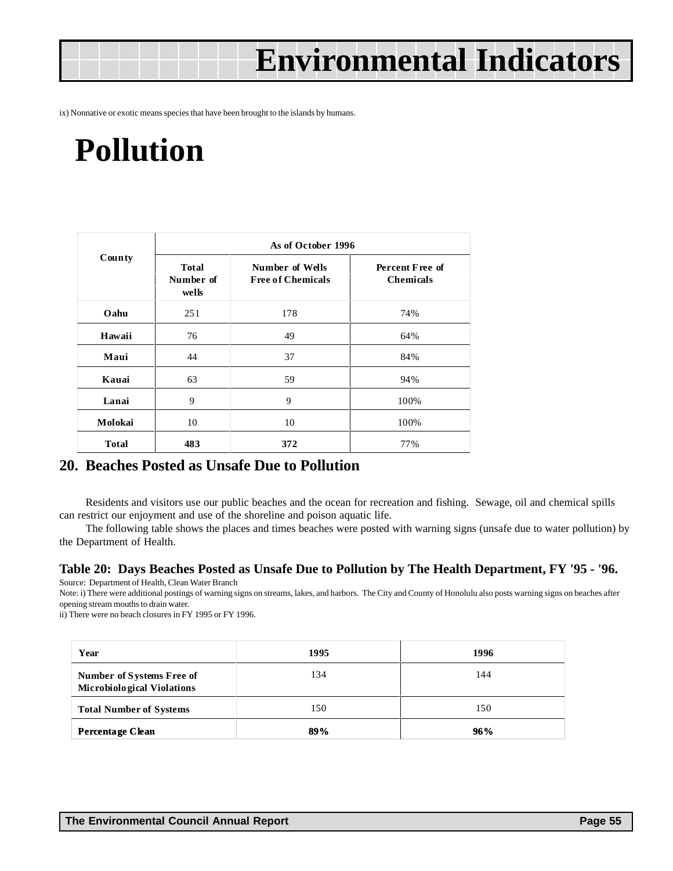<span id="page-54-0"></span>ix) Nonnative or exotic means species that have been brought to the islands by humans.

## **Pollution**

| County       | As of October 1996                 |                                             |                                     |  |  |  |
|--------------|------------------------------------|---------------------------------------------|-------------------------------------|--|--|--|
|              | <b>Total</b><br>Number of<br>wells | Number of Wells<br><b>Free of Chemicals</b> | Percent Free of<br><b>Chemicals</b> |  |  |  |
| Oahu         | 251                                | 178                                         | 74%                                 |  |  |  |
| Hawaii       | 76                                 | 49                                          | 64%                                 |  |  |  |
| Maui         | 44                                 | 37                                          | 84%                                 |  |  |  |
| Kauai        | 63                                 | 59                                          | 94%                                 |  |  |  |
| Lanai        | 9                                  | 9                                           | 100%                                |  |  |  |
| Molokai      | 10                                 | 10                                          | 100%                                |  |  |  |
| <b>Total</b> | 483                                | 372                                         | 77%                                 |  |  |  |

#### **20. Beaches Posted as Unsafe Due to Pollution**

Residents and visitors use our public beaches and the ocean for recreation and fishing. Sewage, oil and chemical spills can restrict our enjoyment and use of the shoreline and poison aquatic life.

The following table shows the places and times beaches were posted with warning signs (unsafe due to water pollution) by the Department of Health.

#### **Table 20: Days Beaches Posted as Unsafe Due to Pollution by The Health Department, FY '95 - '96.**

Source: Department of Health, Clean Water Branch

Note: i) There were additional postings of warning signs on streams, lakes, and harbors. The City and County of Honolulu also posts warning signs on beaches after opening stream mouths to drain water.

ii) There were no beach closures in FY 1995 or FY 1996.

| Year                                                                  | 1995 | 1996 |
|-----------------------------------------------------------------------|------|------|
| <b>Number of Systems Free of</b><br><b>Microbiological Violations</b> | 134  | 144  |
| <b>Total Number of Systems</b>                                        | 150  | 150  |
| Percentage Clean                                                      | 89%  | 96%  |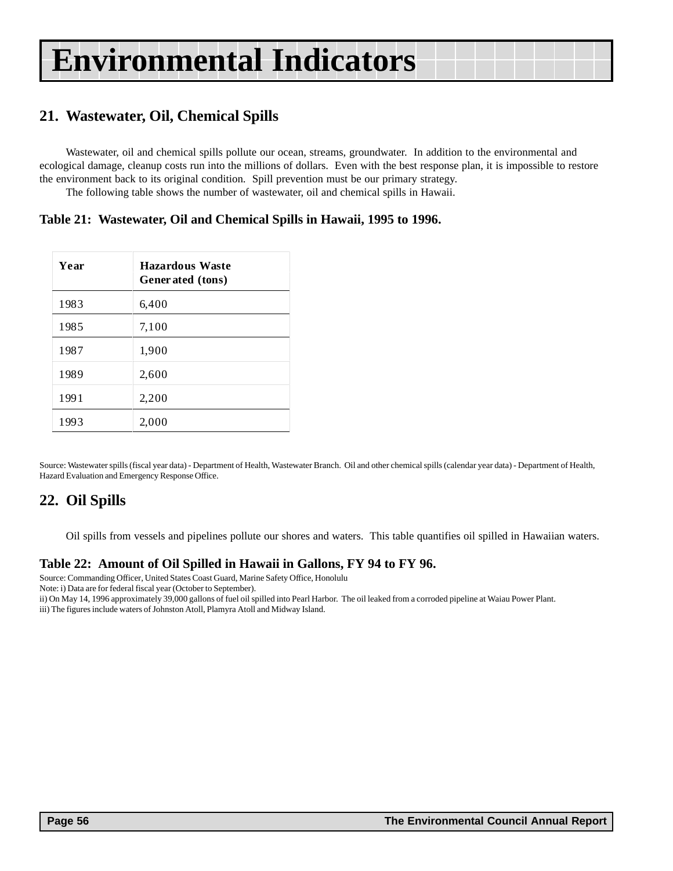### <span id="page-55-0"></span>**21. Wastewater, Oil, Chemical Spills**

Wastewater, oil and chemical spills pollute our ocean, streams, groundwater. In addition to the environmental and ecological damage, cleanup costs run into the millions of dollars. Even with the best response plan, it is impossible to restore the environment back to its original condition. Spill prevention must be our primary strategy.

The following table shows the number of wastewater, oil and chemical spills in Hawaii.

#### **Table 21: Wastewater, Oil and Chemical Spills in Hawaii, 1995 to 1996.**

| Year | <b>Hazardous Waste</b><br>Generated (tons) |
|------|--------------------------------------------|
| 1983 | 6,400                                      |
| 1985 | 7,100                                      |
| 1987 | 1,900                                      |
| 1989 | 2,600                                      |
| 1991 | 2,200                                      |
| 1993 | 2,000                                      |

Source: Wastewater spills (fiscal year data) - Department of Health, Wastewater Branch. Oil and other chemical spills (calendar year data) - Department of Health, Hazard Evaluation and Emergency Response Office.

#### **22. Oil Spills**

Oil spills from vessels and pipelines pollute our shores and waters. This table quantifies oil spilled in Hawaiian waters.

#### **Table 22: Amount of Oil Spilled in Hawaii in Gallons, FY 94 to FY 96.**

Source: Commanding Officer, United States Coast Guard, Marine Safety Office, Honolulu

Note: i) Data are for federal fiscal year (October to September).

ii) On May 14, 1996 approximately 39,000 gallons of fuel oil spilled into Pearl Harbor. The oil leaked from a corroded pipeline at Waiau Power Plant. iii) The figures include waters of Johnston Atoll, Plamyra Atoll and Midway Island.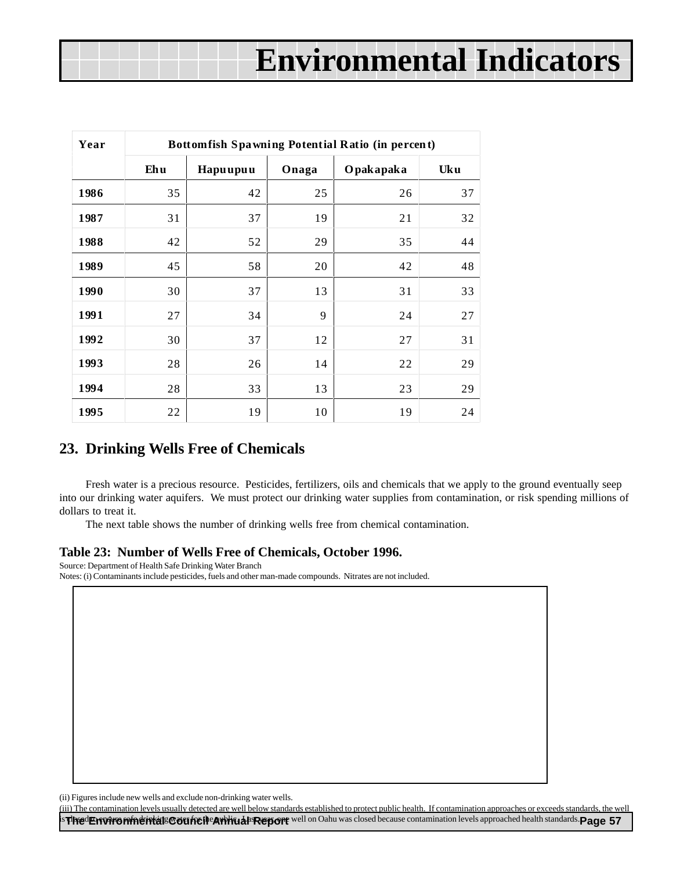<span id="page-56-0"></span>

| Year | Bottomfish Spawning Potential Ratio (in percent) |          |       |           |     |  |  |  |
|------|--------------------------------------------------|----------|-------|-----------|-----|--|--|--|
|      | Ehu                                              | Hapuupuu | Onaga | Opakapaka | Uku |  |  |  |
| 1986 | 35                                               | 42       | 25    | 26        | 37  |  |  |  |
| 1987 | 31                                               | 37       | 19    | 21        | 32  |  |  |  |
| 1988 | 42                                               | 52       | 29    | 35        | 44  |  |  |  |
| 1989 | 45                                               | 58       | 20    | 42        | 48  |  |  |  |
| 1990 | 30                                               | 37       | 13    | 31        | 33  |  |  |  |
| 1991 | 27                                               | 34       | 9     | 24        | 27  |  |  |  |
| 1992 | 30                                               | 37       | 12    | 27        | 31  |  |  |  |
| 1993 | 28                                               | 26       | 14    | 22        | 29  |  |  |  |
| 1994 | 28                                               | 33       | 13    | 23        | 29  |  |  |  |
| 1995 | 22                                               | 19       | 10    | 19        | 24  |  |  |  |

#### **23. Drinking Wells Free of Chemicals**

Fresh water is a precious resource. Pesticides, fertilizers, oils and chemicals that we apply to the ground eventually seep into our drinking water aquifers. We must protect our drinking water supplies from contamination, or risk spending millions of dollars to treat it.

The next table shows the number of drinking wells free from chemical contamination.

#### **Table 23: Number of Wells Free of Chemicals, October 1996.**

Source: Department of Health Safe Drinking Water Branch

Notes: (i) Contaminants include pesticides, fuels and other man-made compounds. Nitrates are not included.

(ii) Figures include new wells and exclude non-drinking water wells.

**is The Environmental Council Cauncil annough Report** well on Oahu was closed because contamination levels approached health standards. Page 57 (iii) The contamination levels usually detected are well below standards established to protect public health. If contamination approaches or exceeds standards, the well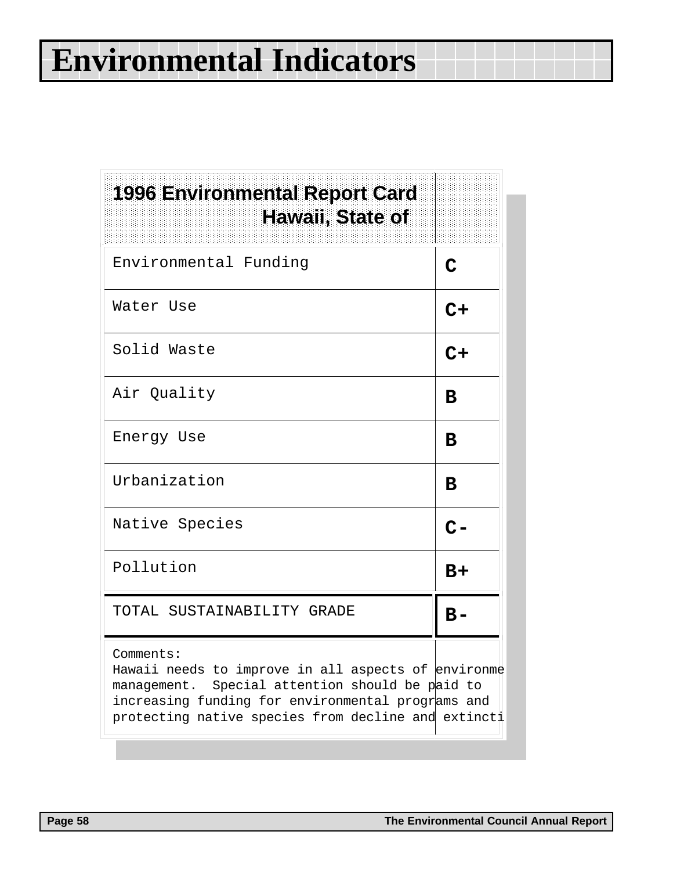| <b>1996 Environmental Report Card</b><br>Hawaii, State of                                                                                                                                                                      |             |
|--------------------------------------------------------------------------------------------------------------------------------------------------------------------------------------------------------------------------------|-------------|
| Environmental Funding                                                                                                                                                                                                          | $\mathbf C$ |
| Water Use                                                                                                                                                                                                                      | $C+$        |
| Solid Waste                                                                                                                                                                                                                    | $C+$        |
| Air Quality                                                                                                                                                                                                                    | в           |
| Energy Use                                                                                                                                                                                                                     | в           |
| Urbanization                                                                                                                                                                                                                   | B           |
| Native Species                                                                                                                                                                                                                 | $C -$       |
| Pollution                                                                                                                                                                                                                      | B+          |
| TOTAL SUSTAINABILITY GRADE                                                                                                                                                                                                     | $B -$       |
| Comments:<br>Hawaii needs to improve in all aspects of environme<br>management. Special attention should be paid to<br>increasing funding for environmental programs and<br>protecting native species from decline and extinct |             |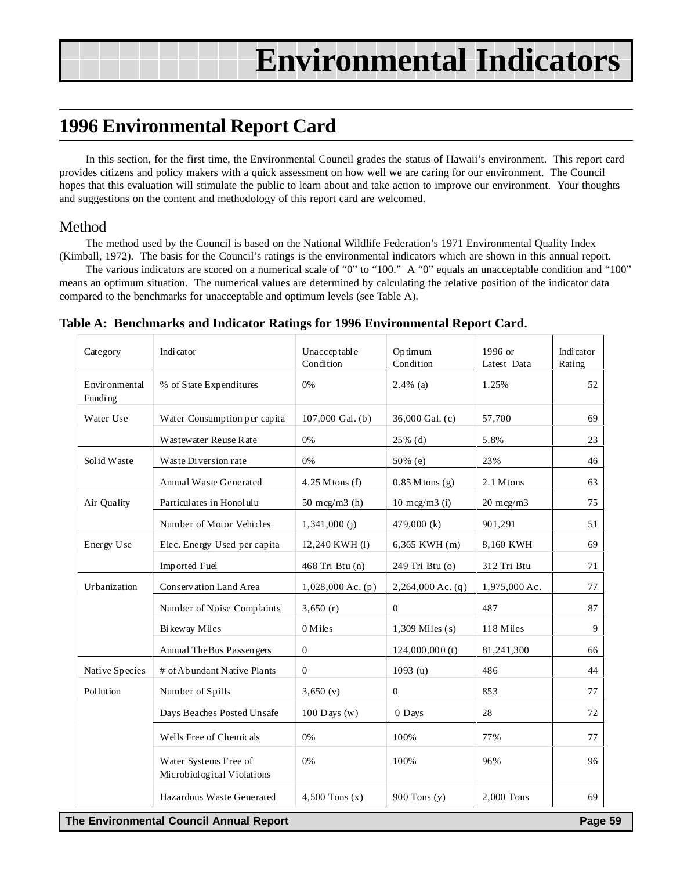### <span id="page-58-0"></span>**1996 Environmental Report Card**

In this section, for the first time, the Environmental Council grades the status of Hawaii's environment. This report card provides citizens and policy makers with a quick assessment on how well we are caring for our environment. The Council hopes that this evaluation will stimulate the public to learn about and take action to improve our environment. Your thoughts and suggestions on the content and methodology of this report card are welcomed.

#### Method

The method used by the Council is based on the National Wildlife Federation's 1971 Environmental Quality Index (Kimball, 1972). The basis for the Council's ratings is the environmental indicators which are shown in this annual report.

The various indicators are scored on a numerical scale of "0" to "100." A "0" equals an unacceptable condition and "100" means an optimum situation. The numerical values are determined by calculating the relative position of the indicator data compared to the benchmarks for unacceptable and optimum levels (see Table A).

| Category                 | Indicator                                           | Unacceptable<br>Condition | Optimum<br>Condition     | 1996 or<br>Latest Data | Indicator<br>Rating |
|--------------------------|-----------------------------------------------------|---------------------------|--------------------------|------------------------|---------------------|
| Environmental<br>Funding | % of State Expenditures                             | 0%                        | $2.4\%$ (a)              | 1.25%                  | 52                  |
| Water Use                | Water Consumption per capita                        | 107,000 Gal. (b)          | 36,000 Gal. (c)          | 57,700                 | 69                  |
|                          | Wastewater Reuse Rate                               | 0%                        | $25\%$ (d)               | 5.8%                   | 23                  |
| Solid Waste              | Waste Diversion rate                                | 0%                        | $50\%$ (e)               | 23%                    | 46                  |
|                          | <b>Annual Waste Generated</b>                       | $4.25$ M tons (f)         | $0.85$ Mtons $(g)$       | 2.1 Mtons              | 63                  |
| Air Quality              | Particulates in Honolulu                            | 50 mcg/m $3$ (h)          | $10 \text{ mcg/m}$ 3 (i) | $20 \text{ mg/m}$      | 75                  |
|                          | Number of Motor Vehicles                            | $1,341,000$ (j)           | 479,000 $(k)$            | 901,291                | 51                  |
| Energy Use               | Elec. Energy Used per capita                        | 12,240 KWH (1)            | 6,365 KWH (m)            | 8,160 KWH              | 69                  |
|                          | Imported Fuel                                       | 468 Tri Btu (n)           | 249 Tri Btu (o)          | 312 Tri Btu            | 71                  |
| Urbanization             | Conservation Land Area                              | $1,028,000$ Ac. (p)       | $2,264,000$ Ac. (q)      | 1,975,000 Ac.          | 77                  |
|                          | Number of Noise Complaints                          | 3,650(r)                  | $\overline{0}$           | 487                    | 87                  |
|                          | Bikeway Miles                                       | 0 Miles                   | $1,309$ Miles (s)        | 118 Miles              | 9                   |
|                          | Annual The Bus Passengers                           | $\mathbf{0}$              | 124,000,000(t)           | 81,241,300             | 66                  |
| Native Species           | # of Abundant Native Plants                         | $\overline{0}$            | 1093 (u)                 | 486                    | 44                  |
| Pollution                | Number of Spills                                    | 3,650(y)                  | $\boldsymbol{0}$         | 853                    | 77                  |
|                          | Days Beaches Posted Unsafe                          | 100 Days $(w)$            | 0 Days                   | 28                     | 72                  |
|                          | Wells Free of Chemicals                             | 0%                        | 100%                     | 77%                    | 77                  |
|                          | Water Systems Free of<br>Microbiological Violations | 0%                        | 100%                     | 96%                    | 96                  |
|                          | Hazardous Waste Generated                           | $4,500$ Tons $(x)$        | 900 Tons (y)             | 2,000 Tons             | 69                  |

**Table A: Benchmarks and Indicator Ratings for 1996 Environmental Report Card.**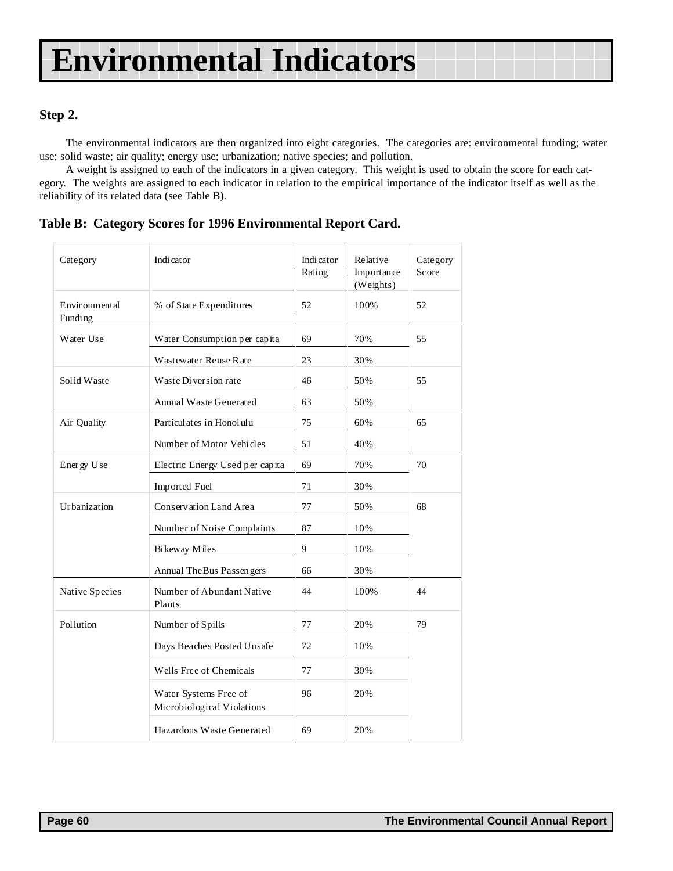#### **Step 2.**

The environmental indicators are then organized into eight categories. The categories are: environmental funding; water use; solid waste; air quality; energy use; urbanization; native species; and pollution.

A weight is assigned to each of the indicators in a given category. This weight is used to obtain the score for each category. The weights are assigned to each indicator in relation to the empirical importance of the indicator itself as well as the reliability of its related data (see Table B).

**Table B: Category Scores for 1996 Environmental Report Card.**

| Category                 | <b>Indicator</b>                                    |    | Relative<br>Importance<br>(Weights) | Category<br>Score |
|--------------------------|-----------------------------------------------------|----|-------------------------------------|-------------------|
| Environmental<br>Funding | % of State Expenditures                             | 52 | 100%                                | 52                |
| Water Use                | Water Consumption per capita                        | 69 | 70%                                 | 55                |
|                          | Wastewater Reuse Rate                               | 23 | 30%                                 |                   |
| Solid Waste              | Waste Diversion rate                                | 46 | 50%                                 | 55                |
|                          | <b>Annual Waste Generated</b>                       | 63 | 50%                                 |                   |
| Air Quality              | Particulates in Honolulu                            | 75 | 60%                                 | 65                |
|                          | Number of Motor Vehicles                            | 51 | 40%                                 |                   |
| Energy Use               | Electric Energy Used per capita                     | 69 | 70%                                 | 70                |
|                          | Imported Fuel                                       | 71 | 30%                                 |                   |
| Urbanization             | Conservation Land Area                              | 77 | 50%                                 | 68                |
|                          | Number of Noise Complaints                          | 87 | 10%                                 |                   |
|                          | Bikeway Miles                                       | 9  | 10%                                 |                   |
|                          | Annual The Bus Passengers                           | 66 | 30%                                 |                   |
| Native Species           | Number of Abundant Native<br>Plants                 | 44 | 100%                                | 44                |
| <b>Pollution</b>         | Number of Spills                                    | 77 | 20%                                 | 79                |
|                          | Days Beaches Posted Unsafe                          | 72 | 10%                                 |                   |
|                          | Wells Free of Chemicals                             | 77 | 30%                                 |                   |
|                          | Water Systems Free of<br>Microbiological Violations | 96 | 20%                                 |                   |
|                          | Hazardous Waste Generated                           | 69 | 20%                                 |                   |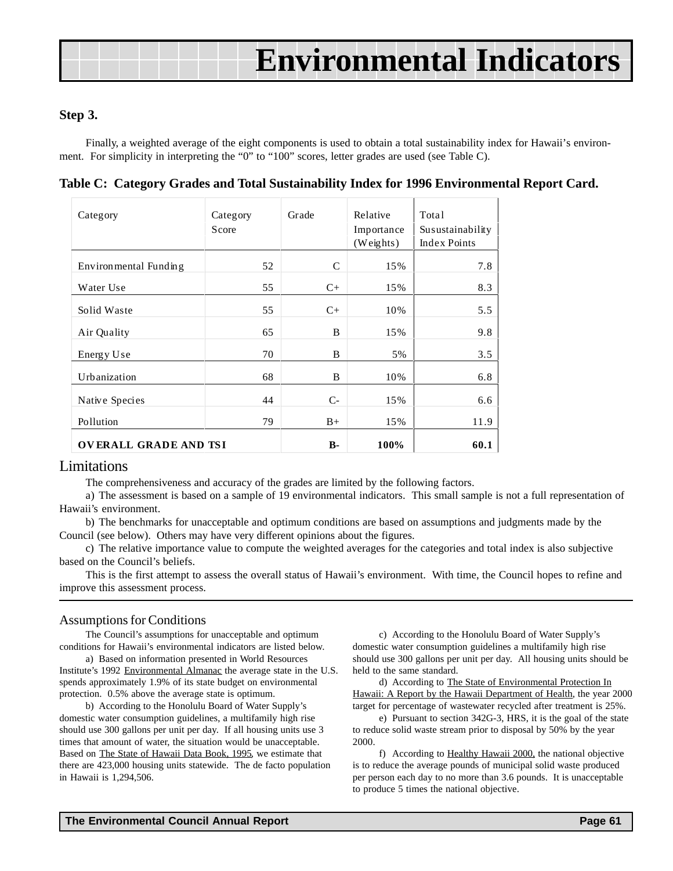#### **Step 3.**

Finally, a weighted average of the eight components is used to obtain a total sustainability index for Hawaii's environment. For simplicity in interpreting the "0" to "100" scores, letter grades are used (see Table C).

| Category              | Category<br>Score | Grade         | Relative<br>Importance<br>(Weights) | Total<br>Susustainability<br>Index Points |
|-----------------------|-------------------|---------------|-------------------------------------|-------------------------------------------|
| Environmental Funding | 52                | $\mathcal{C}$ | 15%                                 | 7.8                                       |
| Water Use             | 55                | $C+$          | 15%                                 | 8.3                                       |
| Solid Waste           | 55                | $C+$          | 10%                                 | 5.5                                       |
| Air Quality           | 65                | B             | 15%                                 | 9.8                                       |
| Energy Use            | 70                | B             | 5%                                  | 3.5                                       |
| Urbanization          | 68                | B             | 10%                                 | 6.8                                       |
| Native Species        | 44                | $C-$          | 15%                                 | 6.6                                       |
| Pollution             | 79                | $B+$          | 15%                                 | 11.9                                      |
| OVERALL GRADE AND TSI |                   | $B-$          | 100%                                | 60.1                                      |

**Table C: Category Grades and Total Sustainability Index for 1996 Environmental Report Card.**

#### Limitations

The comprehensiveness and accuracy of the grades are limited by the following factors.

a) The assessment is based on a sample of 19 environmental indicators. This small sample is not a full representation of Hawaii's environment.

b) The benchmarks for unacceptable and optimum conditions are based on assumptions and judgments made by the Council (see below). Others may have very different opinions about the figures.

c) The relative importance value to compute the weighted averages for the categories and total index is also subjective based on the Council's beliefs.

This is the first attempt to assess the overall status of Hawaii's environment. With time, the Council hopes to refine and improve this assessment process.

#### Assumptions for Conditions

The Council's assumptions for unacceptable and optimum conditions for Hawaii's environmental indicators are listed below.

a) Based on information presented in World Resources Institute's 1992 Environmental Almanac the average state in the U.S. spends approximately 1.9% of its state budget on environmental protection. 0.5% above the average state is optimum.

b) According to the Honolulu Board of Water Supply's domestic water consumption guidelines, a multifamily high rise should use 300 gallons per unit per day. If all housing units use 3 times that amount of water, the situation would be unacceptable. Based on The State of Hawaii Data Book, 1995, we estimate that there are 423,000 housing units statewide. The de facto population in Hawaii is 1,294,506.

c) According to the Honolulu Board of Water Supply's domestic water consumption guidelines a multifamily high rise should use 300 gallons per unit per day. All housing units should be held to the same standard.

d) According to The State of Environmental Protection In Hawaii: A Report by the Hawaii Department of Health, the year 2000 target for percentage of wastewater recycled after treatment is 25%.

e) Pursuant to section 342G-3, HRS, it is the goal of the state to reduce solid waste stream prior to disposal by 50% by the year 2000.

f) According to Healthy Hawaii 2000, the national objective is to reduce the average pounds of municipal solid waste produced per person each day to no more than 3.6 pounds. It is unacceptable to produce 5 times the national objective.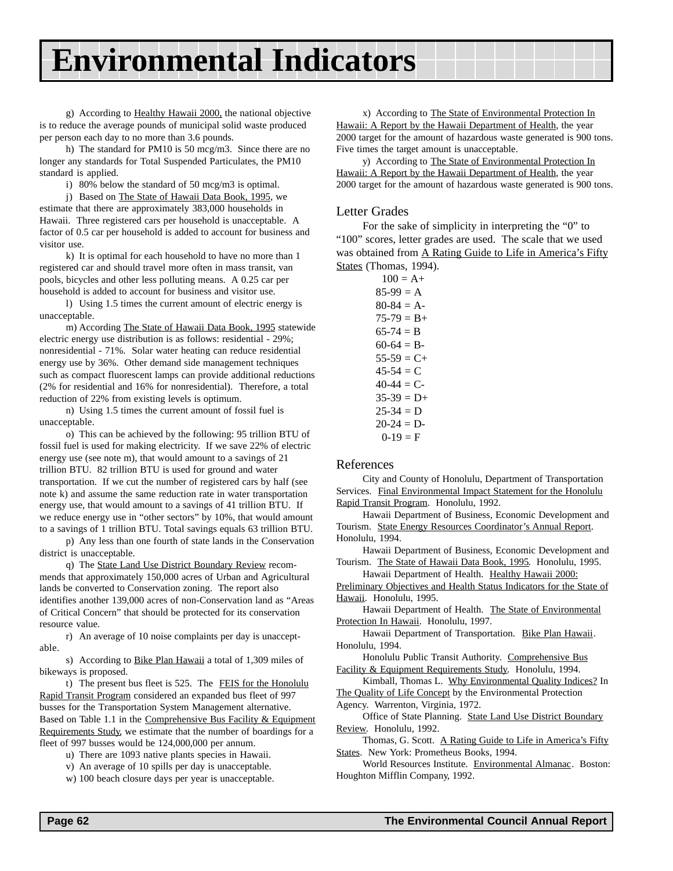g) According to Healthy Hawaii 2000, the national objective is to reduce the average pounds of municipal solid waste produced per person each day to no more than 3.6 pounds.

h) The standard for PM10 is 50 mcg/m3. Since there are no longer any standards for Total Suspended Particulates, the PM10 standard is applied.

i) 80% below the standard of 50 mcg/m3 is optimal.

j) Based on The State of Hawaii Data Book, 1995, we estimate that there are approximately 383,000 households in Hawaii. Three registered cars per household is unacceptable. A factor of 0.5 car per household is added to account for business and visitor use.

k) It is optimal for each household to have no more than 1 registered car and should travel more often in mass transit, van pools, bicycles and other less polluting means. A 0.25 car per household is added to account for business and visitor use.

l) Using 1.5 times the current amount of electric energy is unacceptable.

m) According The State of Hawaii Data Book, 1995 statewide electric energy use distribution is as follows: residential - 29%; nonresidential - 71%. Solar water heating can reduce residential energy use by 36%. Other demand side management techniques such as compact fluorescent lamps can provide additional reductions (2% for residential and 16% for nonresidential). Therefore, a total reduction of 22% from existing levels is optimum.

n) Using 1.5 times the current amount of fossil fuel is unacceptable.

o) This can be achieved by the following: 95 trillion BTU of fossil fuel is used for making electricity. If we save 22% of electric energy use (see note m), that would amount to a savings of 21 trillion BTU. 82 trillion BTU is used for ground and water transportation. If we cut the number of registered cars by half (see note k) and assume the same reduction rate in water transportation energy use, that would amount to a savings of 41 trillion BTU. If we reduce energy use in "other sectors" by 10%, that would amount to a savings of 1 trillion BTU. Total savings equals 63 trillion BTU.

p) Any less than one fourth of state lands in the Conservation district is unacceptable.

q) The State Land Use District Boundary Review recommends that approximately 150,000 acres of Urban and Agricultural lands be converted to Conservation zoning. The report also identifies another 139,000 acres of non-Conservation land as "Areas of Critical Concern" that should be protected for its conservation resource value.

r) An average of 10 noise complaints per day is unacceptable.

s) According to Bike Plan Hawaii a total of 1,309 miles of bikeways is proposed.

t) The present bus fleet is 525. The FEIS for the Honolulu Rapid Transit Program considered an expanded bus fleet of 997 busses for the Transportation System Management alternative. Based on Table 1.1 in the Comprehensive Bus Facility & Equipment Requirements Study, we estimate that the number of boardings for a fleet of 997 busses would be 124,000,000 per annum.

u) There are 1093 native plants species in Hawaii.

v) An average of 10 spills per day is unacceptable.

w) 100 beach closure days per year is unacceptable.

x) According to The State of Environmental Protection In Hawaii: A Report by the Hawaii Department of Health, the year 2000 target for the amount of hazardous waste generated is 900 tons. Five times the target amount is unacceptable.

y) According to The State of Environmental Protection In Hawaii: A Report by the Hawaii Department of Health, the year 2000 target for the amount of hazardous waste generated is 900 tons.

#### Letter Grades

For the sake of simplicity in interpreting the "0" to "100" scores, letter grades are used. The scale that we used was obtained from A Rating Guide to Life in America's Fifty States (Thomas, 1994).

| $100 = A +$       |
|-------------------|
| $85-99 = A$       |
| $80-84 = A-$      |
| $75-79 = B+$      |
| $65-74 = B$       |
| $60-64 = B -$     |
| $55-59 = C+$      |
| 45-54 $= C$       |
| 40-44 $\equiv$ C- |
| $35-39 = D+$      |
| $25-34 = D$       |
| $20-24 = D$       |
| $0-19 = F$        |

#### References

City and County of Honolulu, Department of Transportation Services. Final Environmental Impact Statement for the Honolulu Rapid Transit Program. Honolulu, 1992.

Hawaii Department of Business, Economic Development and Tourism. State Energy Resources Coordinator's Annual Report. Honolulu, 1994.

Hawaii Department of Business, Economic Development and Tourism. The State of Hawaii Data Book, 1995. Honolulu, 1995.

Hawaii Department of Health. Healthy Hawaii 2000:

Preliminary Objectives and Health Status Indicators for the State of Hawaii. Honolulu, 1995.

Hawaii Department of Health. The State of Environmental Protection In Hawaii. Honolulu, 1997.

Hawaii Department of Transportation. Bike Plan Hawaii. Honolulu, 1994.

Honolulu Public Transit Authority. Comprehensive Bus Facility & Equipment Requirements Study. Honolulu, 1994.

Kimball, Thomas L. Why Environmental Quality Indices? In The Quality of Life Concept by the Environmental Protection

Agency. Warrenton, Virginia, 1972.

Office of State Planning. State Land Use District Boundary Review. Honolulu, 1992.

Thomas, G. Scott. A Rating Guide to Life in America's Fifty States. New York: Prometheus Books, 1994.

World Resources Institute. Environmental Almanac. Boston: Houghton Mifflin Company, 1992.